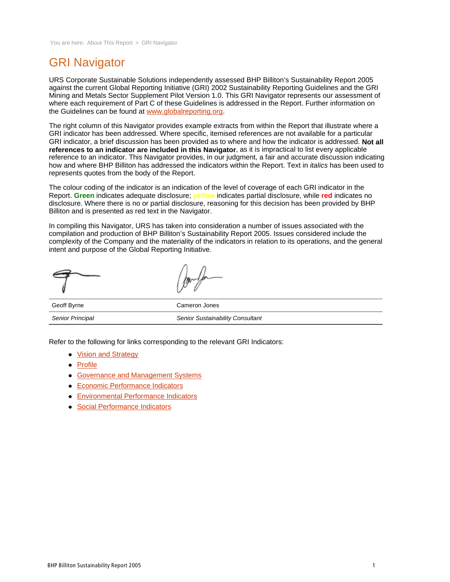# GRI Navigator

URS Corporate Sustainable Solutions independently assessed BHP Billiton's Sustainability Report 2005 against the current Global Reporting Initiative (GRI) 2002 Sustainability Reporting Guidelines and the GRI Mining and Metals Sector Supplement Pilot Version 1.0. This GRI Navigator represents our assessment of where each requirement of Part C of these Guidelines is addressed in the Report. Further information on the Guidelines can be found at www.globalreporting.org.

The right column of this Navigator provides example extracts from within the Report that illustrate where a GRI indicator has been addressed. Where specific, itemised references are not available for a particular GRI indicator, a brief discussion has been provided as to where and how the indicator is addressed. **Not all references to an indicator are included in this Navigator**, as it is impractical to list every applicable reference to an indicator. This Navigator provides, in our judgment, a fair and accurate discussion indicating how and where BHP Billiton has addressed the indicators within the Report. Text in *italics* has been used to represents quotes from the body of the Report.

The colour coding of the indicator is an indication of the level of coverage of each GRI indicator in the Report. **Green** indicates adequate disclosure; **yellow** indicates partial disclosure, while **red** indicates no disclosure. Where there is no or partial disclosure, reasoning for this decision has been provided by BHP Billiton and is presented as red text in the Navigator.

In compiling this Navigator, URS has taken into consideration a number of issues associated with the compilation and production of BHP Billiton's Sustainability Report 2005. Issues considered include the complexity of the Company and the materiality of the indicators in relation to its operations, and the general intent and purpose of the Global Reporting Initiative.

|             | moto          |
|-------------|---------------|
| Geoff Byrne | Cameron Jones |

Refer to the following for links corresponding to the relevant GRI Indicators:

Senior Principal **Senior Sustainability Consultant** 

- Vision and Strategy
- Profile
- **Governance and Management Systems**
- Economic Performance Indicators
- Environmental Performance Indicators
- Social Performance Indicators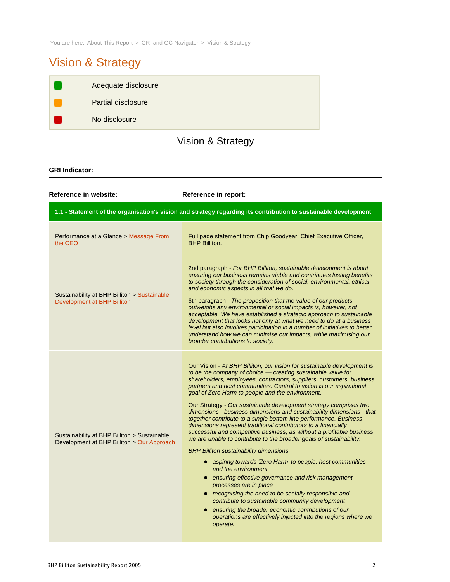You are here: About This Report > GRI and GC Navigator > Vision & Strategy

# Vision & Strategy

| Adequate disclosure       |
|---------------------------|
| <b>Partial disclosure</b> |
| No disclosure             |

# Vision & Strategy

### **GRI Indicator:**

| Reference in website:                                                                      | Reference in report:                                                                                                                                                                                                                                                                                                                                                                                                                                                                                                                                                                                                                                                                                                                                                                                                                                                                                                                                                                                                                                                                                                                                                                                                                                              |
|--------------------------------------------------------------------------------------------|-------------------------------------------------------------------------------------------------------------------------------------------------------------------------------------------------------------------------------------------------------------------------------------------------------------------------------------------------------------------------------------------------------------------------------------------------------------------------------------------------------------------------------------------------------------------------------------------------------------------------------------------------------------------------------------------------------------------------------------------------------------------------------------------------------------------------------------------------------------------------------------------------------------------------------------------------------------------------------------------------------------------------------------------------------------------------------------------------------------------------------------------------------------------------------------------------------------------------------------------------------------------|
|                                                                                            | 1.1 - Statement of the organisation's vision and strategy regarding its contribution to sustainable development                                                                                                                                                                                                                                                                                                                                                                                                                                                                                                                                                                                                                                                                                                                                                                                                                                                                                                                                                                                                                                                                                                                                                   |
| Performance at a Glance > Message From<br>the CEO                                          | Full page statement from Chip Goodyear, Chief Executive Officer,<br><b>BHP Billiton.</b>                                                                                                                                                                                                                                                                                                                                                                                                                                                                                                                                                                                                                                                                                                                                                                                                                                                                                                                                                                                                                                                                                                                                                                          |
| Sustainability at BHP Billiton > Sustainable<br>Development at BHP Billiton                | 2nd paragraph - For BHP Billiton, sustainable development is about<br>ensuring our business remains viable and contributes lasting benefits<br>to society through the consideration of social, environmental, ethical<br>and economic aspects in all that we do.<br>6th paragraph - The proposition that the value of our products<br>outweighs any environmental or social impacts is, however, not<br>acceptable. We have established a strategic approach to sustainable<br>development that looks not only at what we need to do at a business<br>level but also involves participation in a number of initiatives to better<br>understand how we can minimise our impacts, while maximising our<br>broader contributions to society.                                                                                                                                                                                                                                                                                                                                                                                                                                                                                                                         |
| Sustainability at BHP Billiton > Sustainable<br>Development at BHP Billiton > Our Approach | Our Vision - At BHP Billiton, our vision for sustainable development is<br>to be the company of choice - creating sustainable value for<br>shareholders, employees, contractors, suppliers, customers, business<br>partners and host communities. Central to vision is our aspirational<br>goal of Zero Harm to people and the environment.<br>Our Strategy - Our sustainable development strategy comprises two<br>dimensions - business dimensions and sustainability dimensions - that<br>together contribute to a single bottom line performance. Business<br>dimensions represent traditional contributors to a financially<br>successful and competitive business, as without a profitable business<br>we are unable to contribute to the broader goals of sustainability.<br><b>BHP Billiton sustainability dimensions</b><br>• aspiring towards 'Zero Harm' to people, host communities<br>and the environment<br>• ensuring effective governance and risk management<br>processes are in place<br>recognising the need to be socially responsible and<br>contribute to sustainable community development<br>ensuring the broader economic contributions of our<br>$\bullet$<br>operations are effectively injected into the regions where we<br>operate. |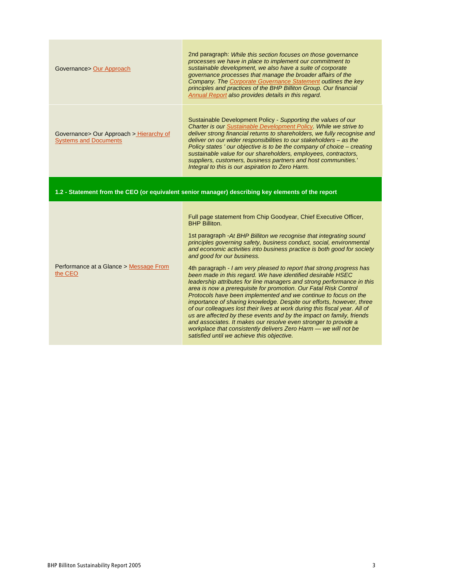| Governance> Our Approach                                                | 2nd paragraph: While this section focuses on those governance<br>processes we have in place to implement our commitment to<br>sustainable development, we also have a suite of corporate<br>governance processes that manage the broader affairs of the<br>Company. The Corporate Governance Statement outlines the key<br>principles and practices of the BHP Billiton Group. Our financial<br>Annual Report also provides details in this regard.                                                                                                                                                                                                                                                                                                                                                                                                                                                                                                                                                                                                                                                                        |
|-------------------------------------------------------------------------|----------------------------------------------------------------------------------------------------------------------------------------------------------------------------------------------------------------------------------------------------------------------------------------------------------------------------------------------------------------------------------------------------------------------------------------------------------------------------------------------------------------------------------------------------------------------------------------------------------------------------------------------------------------------------------------------------------------------------------------------------------------------------------------------------------------------------------------------------------------------------------------------------------------------------------------------------------------------------------------------------------------------------------------------------------------------------------------------------------------------------|
| Governance> Our Approach > Hierarchy of<br><b>Systems and Documents</b> | Sustainable Development Policy - Supporting the values of our<br>Charter is our Sustainable Development Policy. While we strive to<br>deliver strong financial returns to shareholders, we fully recognise and<br>deliver on our wider responsibilities to our stakeholders - as the<br>Policy states ' our objective is to be the company of choice - creating<br>sustainable value for our shareholders, employees, contractors,<br>suppliers, customers, business partners and host communities.'<br>Integral to this is our aspiration to Zero Harm.                                                                                                                                                                                                                                                                                                                                                                                                                                                                                                                                                                   |
|                                                                         | 1.2 - Statement from the CEO (or equivalent senior manager) describing key elements of the report                                                                                                                                                                                                                                                                                                                                                                                                                                                                                                                                                                                                                                                                                                                                                                                                                                                                                                                                                                                                                          |
| Performance at a Glance > Message From<br>the CEO                       | Full page statement from Chip Goodyear, Chief Executive Officer,<br><b>BHP Billiton.</b><br>1st paragraph - At BHP Billiton we recognise that integrating sound<br>principles governing safety, business conduct, social, environmental<br>and economic activities into business practice is both good for society<br>and good for our business.<br>4th paragraph - I am very pleased to report that strong progress has<br>been made in this regard. We have identified desirable HSEC<br>leadership attributes for line managers and strong performance in this<br>area is now a prerequisite for promotion. Our Fatal Risk Control<br>Protocols have been implemented and we continue to focus on the<br>importance of sharing knowledge. Despite our efforts, however, three<br>of our colleagues lost their lives at work during this fiscal year. All of<br>us are affected by these events and by the impact on family, friends<br>and associates. It makes our resolve even stronger to provide a<br>workplace that consistently delivers Zero Harm - we will not be<br>satisfied until we achieve this objective. |

r.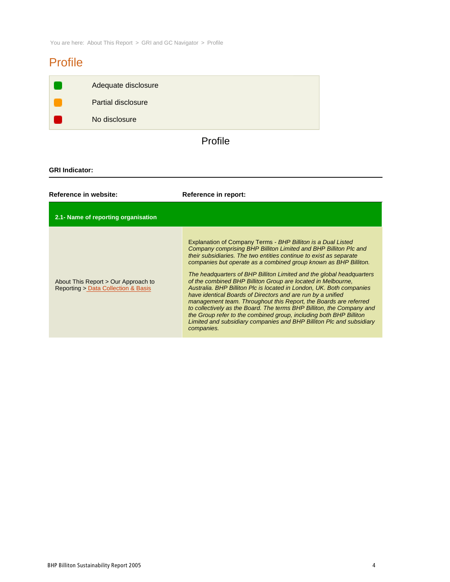You are here: About This Report > GRI and GC Navigator > Profile

# Profile

| Adequate disclosure |
|---------------------|
| Partial disclosure  |
| No disclosure       |

# Profile

### **GRI Indicator:**

| Reference in website:                                                      | Reference in report:                                                                                                                                                                                                                                                                                                                                                                                                                                                                                                                                                                                                                                                                                                                                                                                                                                               |
|----------------------------------------------------------------------------|--------------------------------------------------------------------------------------------------------------------------------------------------------------------------------------------------------------------------------------------------------------------------------------------------------------------------------------------------------------------------------------------------------------------------------------------------------------------------------------------------------------------------------------------------------------------------------------------------------------------------------------------------------------------------------------------------------------------------------------------------------------------------------------------------------------------------------------------------------------------|
| 2.1- Name of reporting organisation                                        |                                                                                                                                                                                                                                                                                                                                                                                                                                                                                                                                                                                                                                                                                                                                                                                                                                                                    |
| About This Report > Our Approach to<br>Reporting > Data Collection & Basis | Explanation of Company Terms - BHP Billiton is a Dual Listed<br>Company comprising BHP Billiton Limited and BHP Billiton Plc and<br>their subsidiaries. The two entities continue to exist as separate<br>companies but operate as a combined group known as BHP Billiton.<br>The headquarters of BHP Billiton Limited and the global headquarters<br>of the combined BHP Billiton Group are located in Melbourne,<br>Australia. BHP Billiton Plc is located in London, UK. Both companies<br>have identical Boards of Directors and are run by a unified<br>management team. Throughout this Report, the Boards are referred<br>to collectively as the Board. The terms BHP Billiton, the Company and<br>the Group refer to the combined group, including both BHP Billiton<br>Limited and subsidiary companies and BHP Billiton Plc and subsidiary<br>companies. |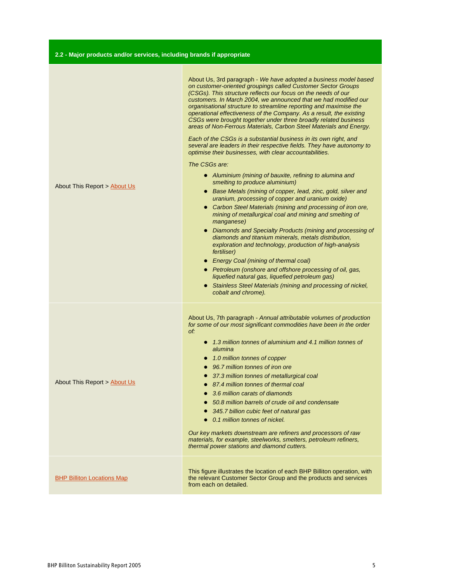|  | 2.2 - Major products and/or services, including brands if appropriate |  |  |  |
|--|-----------------------------------------------------------------------|--|--|--|
|--|-----------------------------------------------------------------------|--|--|--|

| About This Report > About Us      | About Us, 3rd paragraph - We have adopted a business model based<br>on customer-oriented groupings called Customer Sector Groups<br>(CSGs). This structure reflects our focus on the needs of our<br>customers. In March 2004, we announced that we had modified our<br>organisational structure to streamline reporting and maximise the<br>operational effectiveness of the Company. As a result, the existing<br>CSGs were brought together under three broadly related business<br>areas of Non-Ferrous Materials, Carbon Steel Materials and Energy.<br>Each of the CSGs is a substantial business in its own right, and<br>several are leaders in their respective fields. They have autonomy to<br>optimise their businesses, with clear accountabilities.<br>The CSGs are:<br>• Aluminium (mining of bauxite, refining to alumina and<br>smelting to produce aluminium)<br>• Base Metals (mining of copper, lead, zinc, gold, silver and<br>uranium, processing of copper and uranium oxide)<br>• Carbon Steel Materials (mining and processing of iron ore,<br>mining of metallurgical coal and mining and smelting of<br>manganese)<br>Diamonds and Specialty Products (mining and processing of<br>diamonds and titanium minerals, metals distribution,<br>exploration and technology, production of high-analysis<br><i>fertiliser</i> )<br>• Energy Coal (mining of thermal coal)<br>• Petroleum (onshore and offshore processing of oil, gas,<br>liquefied natural gas, liquefied petroleum gas)<br>• Stainless Steel Materials (mining and processing of nickel,<br>cobalt and chrome). |
|-----------------------------------|--------------------------------------------------------------------------------------------------------------------------------------------------------------------------------------------------------------------------------------------------------------------------------------------------------------------------------------------------------------------------------------------------------------------------------------------------------------------------------------------------------------------------------------------------------------------------------------------------------------------------------------------------------------------------------------------------------------------------------------------------------------------------------------------------------------------------------------------------------------------------------------------------------------------------------------------------------------------------------------------------------------------------------------------------------------------------------------------------------------------------------------------------------------------------------------------------------------------------------------------------------------------------------------------------------------------------------------------------------------------------------------------------------------------------------------------------------------------------------------------------------------------------------------------------------------------------------------------------------|
| About This Report > About Us      | About Us, 7th paragraph - Annual attributable volumes of production<br>for some of our most significant commodities have been in the order<br>of:<br>• 1.3 million tonnes of aluminium and 4.1 million tonnes of<br>alumina<br>• 1.0 million tonnes of copper<br>• 96.7 million tonnes of iron ore<br>37.3 million tonnes of metallurgical coal<br>$\bullet$<br>• 87.4 million tonnes of thermal coal<br>3.6 million carats of diamonds<br>50.8 million barrels of crude oil and condensate<br>$\bullet$<br>345.7 billion cubic feet of natural gas<br>0.1 million tonnes of nickel.<br>Our key markets downstream are refiners and processors of raw<br>materials, for example, steelworks, smelters, petroleum refiners,<br>thermal power stations and diamond cutters.                                                                                                                                                                                                                                                                                                                                                                                                                                                                                                                                                                                                                                                                                                                                                                                                                              |
| <b>BHP Billiton Locations Map</b> | This figure illustrates the location of each BHP Billiton operation, with<br>the relevant Customer Sector Group and the products and services<br>from each on detailed.                                                                                                                                                                                                                                                                                                                                                                                                                                                                                                                                                                                                                                                                                                                                                                                                                                                                                                                                                                                                                                                                                                                                                                                                                                                                                                                                                                                                                                |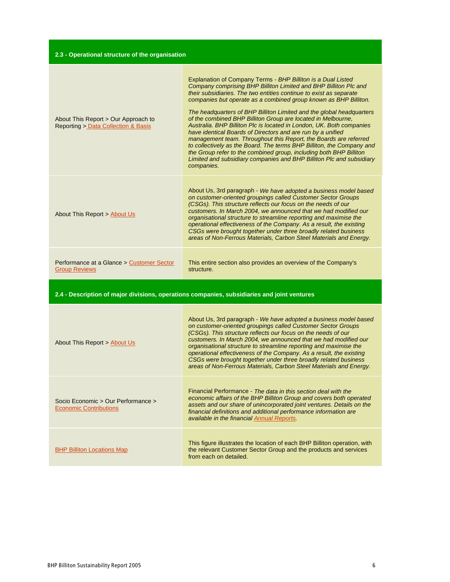| 2.3 - Operational structure of the organisation                                             |                                                                                                                                                                                                                                                                                                                                                                                                                                                                                                                                                                                                                                                                                                                                                                                                                                                                    |  |
|---------------------------------------------------------------------------------------------|--------------------------------------------------------------------------------------------------------------------------------------------------------------------------------------------------------------------------------------------------------------------------------------------------------------------------------------------------------------------------------------------------------------------------------------------------------------------------------------------------------------------------------------------------------------------------------------------------------------------------------------------------------------------------------------------------------------------------------------------------------------------------------------------------------------------------------------------------------------------|--|
| About This Report > Our Approach to<br><b>Reporting &gt; Data Collection &amp; Basis</b>    | Explanation of Company Terms - BHP Billiton is a Dual Listed<br>Company comprising BHP Billiton Limited and BHP Billiton Plc and<br>their subsidiaries. The two entities continue to exist as separate<br>companies but operate as a combined group known as BHP Billiton.<br>The headquarters of BHP Billiton Limited and the global headquarters<br>of the combined BHP Billiton Group are located in Melbourne,<br>Australia. BHP Billiton Plc is located in London, UK. Both companies<br>have identical Boards of Directors and are run by a unified<br>management team. Throughout this Report, the Boards are referred<br>to collectively as the Board. The terms BHP Billiton, the Company and<br>the Group refer to the combined group, including both BHP Billiton<br>Limited and subsidiary companies and BHP Billiton Plc and subsidiary<br>companies. |  |
| About This Report > About Us                                                                | About Us, 3rd paragraph - We have adopted a business model based<br>on customer-oriented groupings called Customer Sector Groups<br>(CSGs). This structure reflects our focus on the needs of our<br>customers. In March 2004, we announced that we had modified our<br>organisational structure to streamline reporting and maximise the<br>operational effectiveness of the Company. As a result, the existing<br>CSGs were brought together under three broadly related business<br>areas of Non-Ferrous Materials, Carbon Steel Materials and Energy.                                                                                                                                                                                                                                                                                                          |  |
| Performance at a Glance > Customer Sector<br><b>Group Reviews</b>                           | This entire section also provides an overview of the Company's<br>structure.                                                                                                                                                                                                                                                                                                                                                                                                                                                                                                                                                                                                                                                                                                                                                                                       |  |
| 2.4 - Description of major divisions, operations companies, subsidiaries and joint ventures |                                                                                                                                                                                                                                                                                                                                                                                                                                                                                                                                                                                                                                                                                                                                                                                                                                                                    |  |
| About This Report > About Us                                                                | About Us, 3rd paragraph - We have adopted a business model based<br>on customer-oriented groupings called Customer Sector Groups<br>(CSGs). This structure reflects our focus on the needs of our<br>customers. In March 2004, we announced that we had modified our<br>organisational structure to streamline reporting and maximise the<br>operational effectiveness of the Company. As a result, the existing<br>CSGs were brought together under three broadly related business<br>areas of Non-Ferrous Materials, Carbon Steel Materials and Energy.                                                                                                                                                                                                                                                                                                          |  |
| Socio Economic > Our Performance ><br><b>Economic Contributions</b>                         | Financial Performance - The data in this section deal with the<br>economic affairs of the BHP Billiton Group and covers both operated<br>assets and our share of unincorporated joint ventures. Details on the<br>financial definitions and additional performance information are<br>available in the financial Annual Reports.                                                                                                                                                                                                                                                                                                                                                                                                                                                                                                                                   |  |
| <b>BHP Billiton Locations Map</b>                                                           | This figure illustrates the location of each BHP Billiton operation, with<br>the relevant Customer Sector Group and the products and services<br>from each on detailed.                                                                                                                                                                                                                                                                                                                                                                                                                                                                                                                                                                                                                                                                                            |  |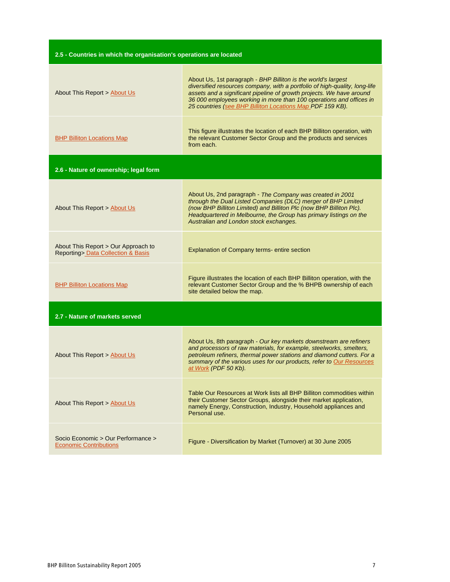| 2.5 - Countries in which the organisation's operations are located                      |                                                                                                                                                                                                                                                                                                                                                         |  |
|-----------------------------------------------------------------------------------------|---------------------------------------------------------------------------------------------------------------------------------------------------------------------------------------------------------------------------------------------------------------------------------------------------------------------------------------------------------|--|
| About This Report > About Us                                                            | About Us, 1st paragraph - BHP Billiton is the world's largest<br>diversified resources company, with a portfolio of high-quality, long-life<br>assets and a significant pipeline of growth projects. We have around<br>36 000 employees working in more than 100 operations and offices in<br>25 countries (see BHP Billiton Locations Map PDF 159 KB). |  |
| <b>BHP Billiton Locations Map</b>                                                       | This figure illustrates the location of each BHP Billiton operation, with<br>the relevant Customer Sector Group and the products and services<br>from each.                                                                                                                                                                                             |  |
| 2.6 - Nature of ownership; legal form                                                   |                                                                                                                                                                                                                                                                                                                                                         |  |
| About This Report > About Us                                                            | About Us, 2nd paragraph - The Company was created in 2001<br>through the Dual Listed Companies (DLC) merger of BHP Limited<br>(now BHP Billiton Limited) and Billiton Plc (now BHP Billiton Plc).<br>Headquartered in Melbourne, the Group has primary listings on the<br>Australian and London stock exchanges.                                        |  |
| About This Report > Our Approach to<br><b>Reporting&gt; Data Collection &amp; Basis</b> | Explanation of Company terms-entire section                                                                                                                                                                                                                                                                                                             |  |
| <b>BHP Billiton Locations Map</b>                                                       | Figure illustrates the location of each BHP Billiton operation, with the<br>relevant Customer Sector Group and the % BHPB ownership of each<br>site detailed below the map.                                                                                                                                                                             |  |
| 2.7 - Nature of markets served                                                          |                                                                                                                                                                                                                                                                                                                                                         |  |
| About This Report > About Us                                                            | About Us, 8th paragraph - Our key markets downstream are refiners<br>and processors of raw materials, for example, steelworks, smelters,<br>petroleum refiners, thermal power stations and diamond cutters. For a<br>summary of the various uses for our products, refer to Our Resources<br>at Work (PDF 50 Kb).                                       |  |
| About This Report > About Us                                                            | Table Our Resources at Work lists all BHP Billiton commodities within<br>their Customer Sector Groups, alongside their market application,<br>namely Energy, Construction, Industry, Household appliances and<br>Personal use.                                                                                                                          |  |
| Socio Economic > Our Performance ><br><b>Economic Contributions</b>                     | Figure - Diversification by Market (Turnover) at 30 June 2005                                                                                                                                                                                                                                                                                           |  |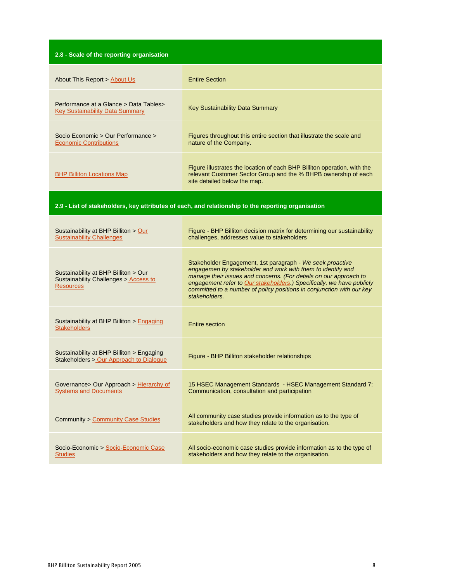| 2.8 - Scale of the reporting organisation                                                          |                                                                                                                                                                                                                                                                                                                                                                  |  |
|----------------------------------------------------------------------------------------------------|------------------------------------------------------------------------------------------------------------------------------------------------------------------------------------------------------------------------------------------------------------------------------------------------------------------------------------------------------------------|--|
| About This Report > About Us                                                                       | <b>Entire Section</b>                                                                                                                                                                                                                                                                                                                                            |  |
| Performance at a Glance > Data Tables ><br><b>Key Sustainability Data Summary</b>                  | <b>Key Sustainability Data Summary</b>                                                                                                                                                                                                                                                                                                                           |  |
| Socio Economic > Our Performance ><br><b>Economic Contributions</b>                                | Figures throughout this entire section that illustrate the scale and<br>nature of the Company.                                                                                                                                                                                                                                                                   |  |
| <b>BHP Billiton Locations Map</b>                                                                  | Figure illustrates the location of each BHP Billiton operation, with the<br>relevant Customer Sector Group and the % BHPB ownership of each<br>site detailed below the map.                                                                                                                                                                                      |  |
| 2.9 - List of stakeholders, key attributes of each, and relationship to the reporting organisation |                                                                                                                                                                                                                                                                                                                                                                  |  |
| Sustainability at BHP Billiton > Our<br><b>Sustainability Challenges</b>                           | Figure - BHP Billiton decision matrix for determining our sustainability<br>challenges, addresses value to stakeholders                                                                                                                                                                                                                                          |  |
| Sustainability at BHP Billiton > Our<br>Sustainability Challenges > Access to<br><b>Resources</b>  | Stakeholder Engagement, 1st paragraph - We seek proactive<br>engagemen by stakeholder and work with them to identify and<br>manage their issues and concerns. (For details on our approach to<br>engagement refer to Our stakeholders.) Specifically, we have publicly<br>committed to a number of policy positions in conjunction with our key<br>stakeholders. |  |
| Sustainability at BHP Billiton > Engaging<br><b>Stakeholders</b>                                   | Entire section                                                                                                                                                                                                                                                                                                                                                   |  |
| Sustainability at BHP Billiton > Engaging<br>Stakeholders > Our Approach to Dialogue               | Figure - BHP Billiton stakeholder relationships                                                                                                                                                                                                                                                                                                                  |  |
| Governance> Our Approach > Hierarchy of<br><b>Systems and Documents</b>                            | 15 HSEC Management Standards - HSEC Management Standard 7:<br>Communication, consultation and participation                                                                                                                                                                                                                                                      |  |
| <b>Community &gt; Community Case Studies</b>                                                       | All community case studies provide information as to the type of<br>stakeholders and how they relate to the organisation.                                                                                                                                                                                                                                        |  |
| Socio-Economic > Socio-Economic Case<br><b>Studies</b>                                             | All socio-economic case studies provide information as to the type of<br>stakeholders and how they relate to the organisation.                                                                                                                                                                                                                                   |  |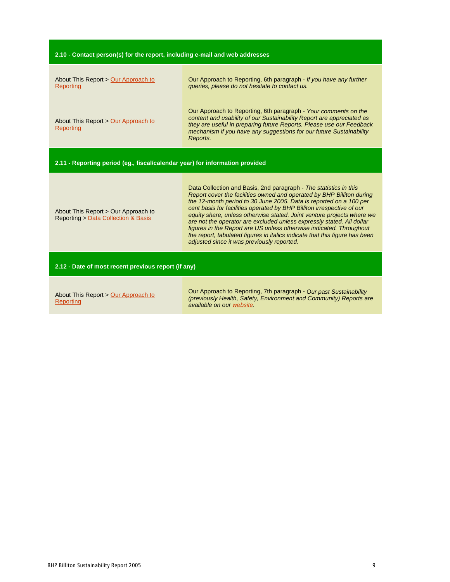| 2.10 - Contact person(s) for the report, including e-mail and web addresses |  |
|-----------------------------------------------------------------------------|--|
|-----------------------------------------------------------------------------|--|

| About This Report > Our Approach to<br>Reporting                             | Our Approach to Reporting, 6th paragraph - If you have any further<br>queries, please do not hesitate to contact us.                                                                                                                                                                                                                                                                                                                                                                                                                                                                                                                              |  |
|------------------------------------------------------------------------------|---------------------------------------------------------------------------------------------------------------------------------------------------------------------------------------------------------------------------------------------------------------------------------------------------------------------------------------------------------------------------------------------------------------------------------------------------------------------------------------------------------------------------------------------------------------------------------------------------------------------------------------------------|--|
| About This Report > Our Approach to<br><b>Reporting</b>                      | Our Approach to Reporting, 6th paragraph - Your comments on the<br>content and usability of our Sustainability Report are appreciated as<br>they are useful in preparing future Reports. Please use our Feedback<br>mechanism if you have any suggestions for our future Sustainability<br>Reports.                                                                                                                                                                                                                                                                                                                                               |  |
| 2.11 - Reporting period (eg., fiscal/calendar year) for information provided |                                                                                                                                                                                                                                                                                                                                                                                                                                                                                                                                                                                                                                                   |  |
| About This Report > Our Approach to<br>Reporting > Data Collection & Basis   | Data Collection and Basis, 2nd paragraph - The statistics in this<br>Report cover the facilities owned and operated by BHP Billiton during<br>the 12-month period to 30 June 2005. Data is reported on a 100 per<br>cent basis for facilities operated by BHP Billiton irrespective of our<br>equity share, unless otherwise stated. Joint venture projects where we<br>are not the operator are excluded unless expressly stated. All dollar<br>figures in the Report are US unless otherwise indicated. Throughout<br>the report, tabulated figures in italics indicate that this figure has been<br>adjusted since it was previously reported. |  |
| 2.12 - Date of most recent previous report (if any)                          |                                                                                                                                                                                                                                                                                                                                                                                                                                                                                                                                                                                                                                                   |  |
| About This Report > Our Approach to<br>Reporting                             | Our Approach to Reporting, 7th paragraph - Our past Sustainability<br>(previously Health, Safety, Environment and Community) Reports are<br>available on our website.                                                                                                                                                                                                                                                                                                                                                                                                                                                                             |  |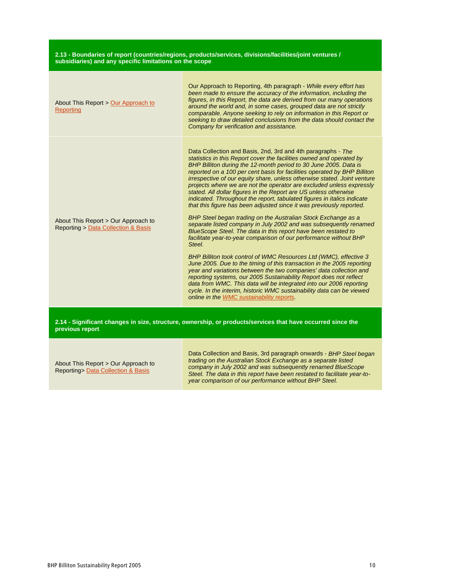#### **2.13 - Boundaries of report (countries/regions, products/services, divisions/facilities/joint ventures / subsidiaries) and any specific limitations on the scope**

| About This Report > Our Approach to<br>Reporting                           | Our Approach to Reporting, 4th paragraph - While every effort has<br>been made to ensure the accuracy of the information, including the<br>figures, in this Report, the data are derived from our many operations<br>around the world and, in some cases, grouped data are not strictly<br>comparable. Anyone seeking to rely on information in this Report or<br>seeking to draw detailed conclusions from the data should contact the<br>Company for verification and assistance.                                                                                                                                                                                                                                                                                                                                                                                                                                                                                                                                                                                                                                                                                                                                                                                                                                                                                                                                                            |
|----------------------------------------------------------------------------|------------------------------------------------------------------------------------------------------------------------------------------------------------------------------------------------------------------------------------------------------------------------------------------------------------------------------------------------------------------------------------------------------------------------------------------------------------------------------------------------------------------------------------------------------------------------------------------------------------------------------------------------------------------------------------------------------------------------------------------------------------------------------------------------------------------------------------------------------------------------------------------------------------------------------------------------------------------------------------------------------------------------------------------------------------------------------------------------------------------------------------------------------------------------------------------------------------------------------------------------------------------------------------------------------------------------------------------------------------------------------------------------------------------------------------------------|
| About This Report > Our Approach to<br>Reporting > Data Collection & Basis | Data Collection and Basis, 2nd, 3rd and 4th paragraphs - The<br>statistics in this Report cover the facilities owned and operated by<br>BHP Billiton during the 12-month period to 30 June 2005. Data is<br>reported on a 100 per cent basis for facilities operated by BHP Billiton<br>irrespective of our equity share, unless otherwise stated. Joint venture<br>projects where we are not the operator are excluded unless expressly<br>stated. All dollar figures in the Report are US unless otherwise<br>indicated. Throughout the report, tabulated figures in italics indicate<br>that this figure has been adjusted since it was previously reported.<br>BHP Steel began trading on the Australian Stock Exchange as a<br>separate listed company in July 2002 and was subsequently renamed<br>BlueScope Steel. The data in this report have been restated to<br>facilitate year-to-year comparison of our performance without BHP<br>Steel.<br>BHP Billiton took control of WMC Resources Ltd (WMC), effective 3<br>June 2005. Due to the timing of this transaction in the 2005 reporting<br>year and variations between the two companies' data collection and<br>reporting systems, our 2005 Sustainability Report does not reflect<br>data from WMC. This data will be integrated into our 2006 reporting<br>cycle. In the interim, historic WMC sustainability data can be viewed<br>online in the WMC sustainability reports. |
|                                                                            |                                                                                                                                                                                                                                                                                                                                                                                                                                                                                                                                                                                                                                                                                                                                                                                                                                                                                                                                                                                                                                                                                                                                                                                                                                                                                                                                                                                                                                                |

**2.14 - Significant changes in size, structure, ownership, or products/services that have occurred since the previous report**

About This Report > Our Approach to Reporting> Data Collection & Basis

Data Collection and Basis, 3rd paragraph onwards - BHP Steel began trading on the Australian Stock Exchange as a separate listed company in July 2002 and was subsequently renamed BlueScope Steel. The data in this report have been restated to facilitate year-toyear comparison of our performance without BHP Steel.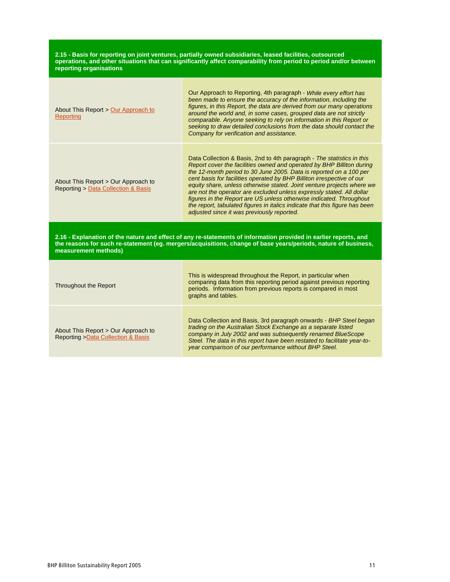**2.15 - Basis for reporting on joint ventures, partially owned subsidiaries, leased facilities, outsourced operations, and other situations that can significantly affect comparability from period to period and/or between reporting organisations**

| About This Report > Our Approach to<br>Reporting                                                                                                                                                                                                           | Our Approach to Reporting, 4th paragraph - While every effort has<br>been made to ensure the accuracy of the information, including the<br>figures, in this Report, the data are derived from our many operations<br>around the world and, in some cases, grouped data are not strictly<br>comparable. Anyone seeking to rely on information in this Report or<br>seeking to draw detailed conclusions from the data should contact the<br>Company for verification and assistance.                                                                                                                                                                    |
|------------------------------------------------------------------------------------------------------------------------------------------------------------------------------------------------------------------------------------------------------------|--------------------------------------------------------------------------------------------------------------------------------------------------------------------------------------------------------------------------------------------------------------------------------------------------------------------------------------------------------------------------------------------------------------------------------------------------------------------------------------------------------------------------------------------------------------------------------------------------------------------------------------------------------|
| About This Report > Our Approach to<br><b>Reporting &gt; Data Collection &amp; Basis</b>                                                                                                                                                                   | Data Collection & Basis, 2nd to 4th paragraph - The statistics in this<br>Report cover the facilities owned and operated by BHP Billiton during<br>the 12-month period to 30 June 2005. Data is reported on a 100 per<br>cent basis for facilities operated by BHP Billiton irrespective of our<br>equity share, unless otherwise stated. Joint venture projects where we<br>are not the operator are excluded unless expressly stated. All dollar<br>figures in the Report are US unless otherwise indicated. Throughout<br>the report, tabulated figures in italics indicate that this figure has been<br>adjusted since it was previously reported. |
| 2.16 - Explanation of the nature and effect of any re-statements of information provided in earlier reports, and<br>the reasons for such re-statement (eg. mergers/acquisitions, change of base years/periods, nature of business,<br>measurement methods) |                                                                                                                                                                                                                                                                                                                                                                                                                                                                                                                                                                                                                                                        |
| Throughout the Report                                                                                                                                                                                                                                      | This is widespread throughout the Report, in particular when<br>comparing data from this reporting period against previous reporting<br>periods. Information from previous reports is compared in most<br>graphs and tables.                                                                                                                                                                                                                                                                                                                                                                                                                           |

About This Report > Our Approach to Reporting >Data Collection & Basis

Data Collection and Basis, 3rd paragraph onwards - BHP Steel began trading on the Australian Stock Exchange as a separate listed company in July 2002 and was subsequently renamed BlueScope Steel. The data in this report have been restated to facilitate year-toyear comparison of our performance without BHP Steel.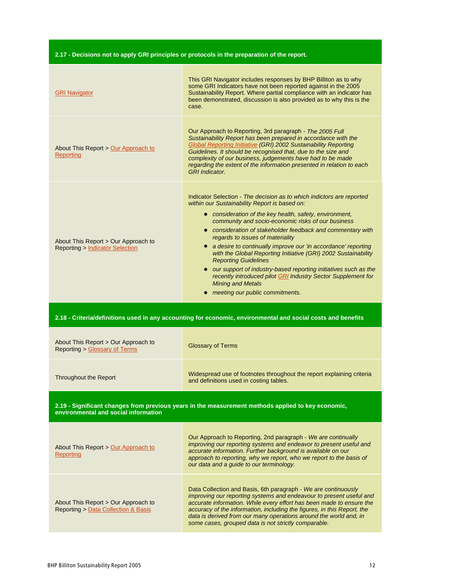### **2.17 - Decisions not to apply GRI principles or protocols in the preparation of the report.**

| <b>GRI Navigator</b>                                                                                         | This GRI Navigator includes responses by BHP Billiton as to why<br>some GRI Indicators have not been reported against in the 2005<br>Sustainability Report. Where partial compliance with an indicator has<br>been demonstrated, discussion is also provided as to why this is the<br>case.                                                                                                                                                                                                                                                                                                                                                                                                                          |  |
|--------------------------------------------------------------------------------------------------------------|----------------------------------------------------------------------------------------------------------------------------------------------------------------------------------------------------------------------------------------------------------------------------------------------------------------------------------------------------------------------------------------------------------------------------------------------------------------------------------------------------------------------------------------------------------------------------------------------------------------------------------------------------------------------------------------------------------------------|--|
| About This Report > Our Approach to<br><b>Reporting</b>                                                      | Our Approach to Reporting, 3rd paragraph - The 2005 Full<br>Sustainability Report has been prepared in accordance with the<br><b>Global Reporting Initiative (GRI) 2002 Sustainability Reporting</b><br>Guidelines. It should be recognised that, due to the size and<br>complexity of our business, judgements have had to be made<br>regarding the extent of the information presented in relation to each<br><b>GRI</b> Indicator.                                                                                                                                                                                                                                                                                |  |
| About This Report > Our Approach to<br><b>Reporting &gt; Indicator Selection</b>                             | Indicator Selection - The decision as to which indictors are reported<br>within our Sustainability Report is based on:<br>• consideration of the key health, safety, environment,<br>community and socio-economic risks of our business<br>• consideration of stakeholder feedback and commentary with<br>regards to issues of materiality<br>• a desire to continually improve our 'in accordance' reporting<br>with the Global Reporting Initiative (GRI) 2002 Sustainability<br><b>Reporting Guidelines</b><br>• our support of industry-based reporting initiatives such as the<br>recently introduced pilot GRI Industry Sector Supplement for<br><b>Mining and Metals</b><br>• meeting our public commitments. |  |
| 2.18 - Criteria/definitions used in any accounting for economic, environmental and social costs and benefits |                                                                                                                                                                                                                                                                                                                                                                                                                                                                                                                                                                                                                                                                                                                      |  |
| About This Report > Our Approach to<br><b>Reporting &gt; Glossary of Terms</b>                               | <b>Glossary of Terms</b>                                                                                                                                                                                                                                                                                                                                                                                                                                                                                                                                                                                                                                                                                             |  |
|                                                                                                              |                                                                                                                                                                                                                                                                                                                                                                                                                                                                                                                                                                                                                                                                                                                      |  |
| <b>Throughout the Report</b>                                                                                 | Widespread use of footnotes throughout the report explaining criteria<br>and definitions used in costing tables.                                                                                                                                                                                                                                                                                                                                                                                                                                                                                                                                                                                                     |  |
| environmental and social information                                                                         | 2.19 - Significant changes from previous years in the measurement methods applied to key economic,                                                                                                                                                                                                                                                                                                                                                                                                                                                                                                                                                                                                                   |  |
| About This Report > Our Approach to<br><b>Reporting</b>                                                      | Our Approach to Reporting, 2nd paragraph - We are continually<br>improving our reporting systems and endeavor to present useful and<br>accurate information. Further background is available on our<br>approach to reporting, why we report, who we report to the basis of<br>our data and a guide to our terminology.                                                                                                                                                                                                                                                                                                                                                                                               |  |

Reporting > Data Collection & Basis

accuracy of the information, including the figures, in this Report, the data is derived from our many operations around the world and, in some cases, grouped data is not strictly comparable.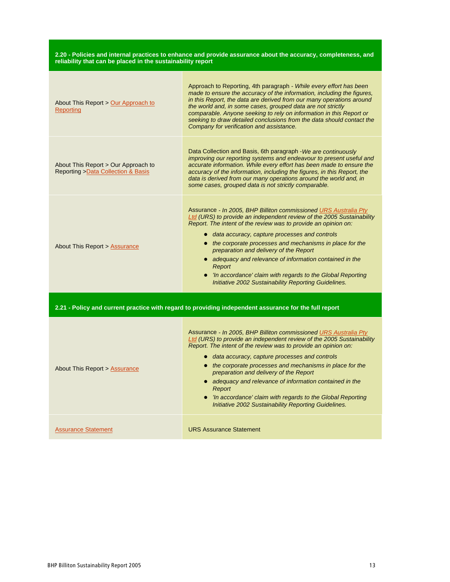#### **2.20 - Policies and internal practices to enhance and provide assurance about the accuracy, completeness, and reliability that can be placed in the sustainability report**

| About This Report > Our Approach to<br>Reporting                                                      | Approach to Reporting, 4th paragraph - While every effort has been<br>made to ensure the accuracy of the information, including the figures,<br>in this Report, the data are derived from our many operations around<br>the world and, in some cases, grouped data are not strictly<br>comparable. Anyone seeking to rely on information in this Report or<br>seeking to draw detailed conclusions from the data should contact the<br>Company for verification and assistance.                                                                                     |  |
|-------------------------------------------------------------------------------------------------------|---------------------------------------------------------------------------------------------------------------------------------------------------------------------------------------------------------------------------------------------------------------------------------------------------------------------------------------------------------------------------------------------------------------------------------------------------------------------------------------------------------------------------------------------------------------------|--|
| About This Report > Our Approach to<br>Reporting > Data Collection & Basis                            | Data Collection and Basis, 6th paragraph - We are continuously<br>improving our reporting systems and endeavour to present useful and<br>accurate information. While every effort has been made to ensure the<br>accuracy of the information, including the figures, in this Report, the<br>data is derived from our many operations around the world and, in<br>some cases, grouped data is not strictly comparable.                                                                                                                                               |  |
| About This Report > Assurance                                                                         | Assurance - In 2005, BHP Billiton commissioned URS Australia Pty<br>Ltd (URS) to provide an independent review of the 2005 Sustainability<br>Report. The intent of the review was to provide an opinion on:<br>· data accuracy, capture processes and controls<br>• the corporate processes and mechanisms in place for the<br>preparation and delivery of the Report<br>• adequacy and relevance of information contained in the<br>Report<br>• 'In accordance' claim with regards to the Global Reporting<br>Initiative 2002 Sustainability Reporting Guidelines. |  |
| 2.21 - Policy and current practice with regard to providing independent assurance for the full report |                                                                                                                                                                                                                                                                                                                                                                                                                                                                                                                                                                     |  |
| About This Report > Assurance                                                                         | Assurance - In 2005, BHP Billiton commissioned URS Australia Pty<br>Ltd (URS) to provide an independent review of the 2005 Sustainability<br>Report. The intent of the review was to provide an opinion on:<br>• data accuracy, capture processes and controls<br>• the corporate processes and mechanisms in place for the<br>preparation and delivery of the Report<br>• adequacy and relevance of information contained in the<br>Report<br>• 'In accordance' claim with regards to the Global Reporting<br>Initiative 2002 Sustainability Reporting Guidelines. |  |
| <b>Assurance Statement</b>                                                                            | <b>URS Assurance Statement</b>                                                                                                                                                                                                                                                                                                                                                                                                                                                                                                                                      |  |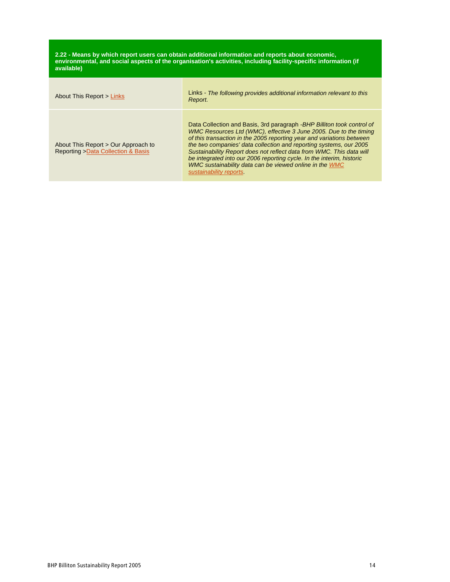**2.22 - Means by which report users can obtain additional information and reports about economic, environmental, and social aspects of the organisation's activities, including facility-specific information (if available)**

| About This Report > Links                                                  | Links - The following provides additional information relevant to this<br>Report.                                                                                                                                                                                                                                                                                                                                                                                                                                                  |
|----------------------------------------------------------------------------|------------------------------------------------------------------------------------------------------------------------------------------------------------------------------------------------------------------------------------------------------------------------------------------------------------------------------------------------------------------------------------------------------------------------------------------------------------------------------------------------------------------------------------|
| About This Report > Our Approach to<br>Reporting > Data Collection & Basis | Data Collection and Basis, 3rd paragraph - BHP Billiton took control of<br>WMC Resources Ltd (WMC), effective 3 June 2005. Due to the timing<br>of this transaction in the 2005 reporting year and variations between<br>the two companies' data collection and reporting systems, our 2005<br>Sustainability Report does not reflect data from WMC. This data will<br>be integrated into our 2006 reporting cycle. In the interim, historic<br>WMC sustainability data can be viewed online in the WMC<br>sustainability reports. |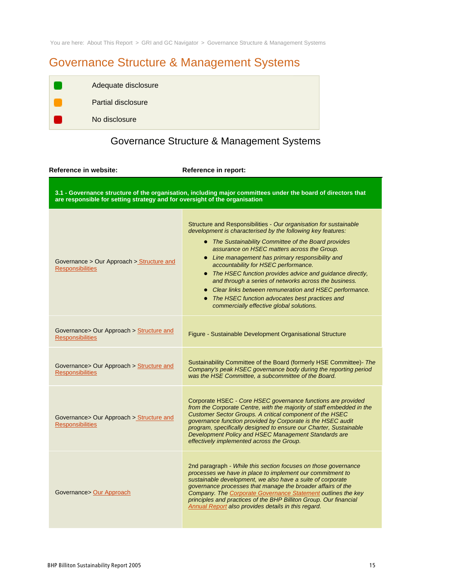You are here: About This Report > GRI and GC Navigator > Governance Structure & Management Systems

# Governance Structure & Management Systems

| Adequate disclosure |
|---------------------|
| Partial disclosure  |
| No disclosure       |

# Governance Structure & Management Systems

**Reference in website: Reference in report:**

**3.1 - Governance structure of the organisation, including major committees under the board of directors that are responsible for setting strategy and for oversight of the organisation**

| Governance > Our Approach > Structure and<br><b>Responsibilities</b> | Structure and Responsibilities - Our organisation for sustainable<br>development is characterised by the following key features:<br>• The Sustainability Committee of the Board provides<br>assurance on HSEC matters across the Group.<br>• Line management has primary responsibility and<br>accountability for HSEC performance.<br>• The HSEC function provides advice and guidance directly,<br>and through a series of networks across the business.<br>• Clear links between remuneration and HSEC performance.<br>• The HSEC function advocates best practices and<br>commercially effective global solutions. |
|----------------------------------------------------------------------|------------------------------------------------------------------------------------------------------------------------------------------------------------------------------------------------------------------------------------------------------------------------------------------------------------------------------------------------------------------------------------------------------------------------------------------------------------------------------------------------------------------------------------------------------------------------------------------------------------------------|
| Governance> Our Approach > Structure and<br><b>Responsibilities</b>  | Figure - Sustainable Development Organisational Structure                                                                                                                                                                                                                                                                                                                                                                                                                                                                                                                                                              |
| Governance> Our Approach > Structure and<br><b>Responsibilities</b>  | Sustainability Committee of the Board (formerly HSE Committee)- The<br>Company's peak HSEC governance body during the reporting period<br>was the HSE Committee, a subcommittee of the Board.                                                                                                                                                                                                                                                                                                                                                                                                                          |
| Governance> Our Approach > Structure and<br><b>Responsibilities</b>  | Corporate HSEC - Core HSEC governance functions are provided<br>from the Corporate Centre, with the majority of staff embedded in the<br>Customer Sector Groups. A critical component of the HSEC<br>governance function provided by Corporate is the HSEC audit<br>program, specifically designed to ensure our Charter, Sustainable<br>Development Policy and HSEC Management Standards are<br>effectively implemented across the Group.                                                                                                                                                                             |
| Governance> Our Approach                                             | 2nd paragraph - While this section focuses on those governance<br>processes we have in place to implement our commitment to<br>sustainable development, we also have a suite of corporate<br>governance processes that manage the broader affairs of the<br>Company. The Corporate Governance Statement outlines the key<br>principles and practices of the BHP Billiton Group. Our financial<br>Annual Report also provides details in this regard.                                                                                                                                                                   |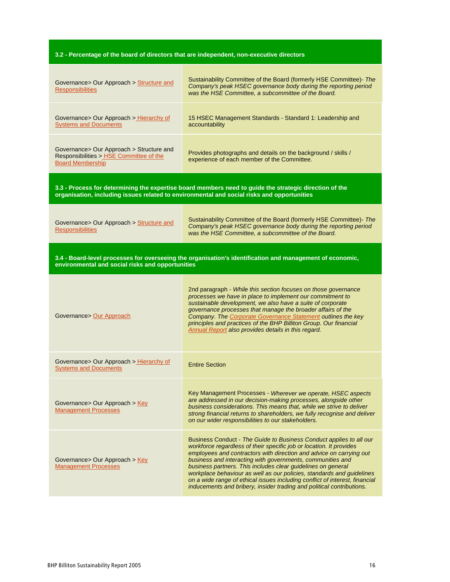# **3.2 - Percentage of the board of directors that are independent, non-executive directors**

| Governance> Our Approach > Structure and<br><b>Responsibilities</b>                                                                                                                                  | Sustainability Committee of the Board (formerly HSE Committee)- The<br>Company's peak HSEC governance body during the reporting period<br>was the HSE Committee, a subcommittee of the Board.                                                                                                                                                                                                                                                                                                                                                                                    |  |
|------------------------------------------------------------------------------------------------------------------------------------------------------------------------------------------------------|----------------------------------------------------------------------------------------------------------------------------------------------------------------------------------------------------------------------------------------------------------------------------------------------------------------------------------------------------------------------------------------------------------------------------------------------------------------------------------------------------------------------------------------------------------------------------------|--|
| Governance> Our Approach > Hierarchy of<br><b>Systems and Documents</b>                                                                                                                              | 15 HSEC Management Standards - Standard 1: Leadership and<br>accountability                                                                                                                                                                                                                                                                                                                                                                                                                                                                                                      |  |
| Governance> Our Approach > Structure and<br>Responsibilities > HSE Committee of the<br><b>Board Membership</b>                                                                                       | Provides photographs and details on the background / skills /<br>experience of each member of the Committee.                                                                                                                                                                                                                                                                                                                                                                                                                                                                     |  |
| 3.3 - Process for determining the expertise board members need to guide the strategic direction of the<br>organisation, including issues related to environmental and social risks and opportunities |                                                                                                                                                                                                                                                                                                                                                                                                                                                                                                                                                                                  |  |
| Governance> Our Approach > Structure and<br><b>Responsibilities</b>                                                                                                                                  | Sustainability Committee of the Board (formerly HSE Committee)- The<br>Company's peak HSEC governance body during the reporting period<br>was the HSE Committee, a subcommittee of the Board.                                                                                                                                                                                                                                                                                                                                                                                    |  |
| 3.4 - Board-level processes for overseeing the organisation's identification and management of economic,<br>environmental and social risks and opportunities                                         |                                                                                                                                                                                                                                                                                                                                                                                                                                                                                                                                                                                  |  |
| Governance> Our Approach                                                                                                                                                                             | 2nd paragraph - While this section focuses on those governance<br>processes we have in place to implement our commitment to<br>sustainable development, we also have a suite of corporate<br>governance processes that manage the broader affairs of the<br>Company. The Corporate Governance Statement outlines the key<br>principles and practices of the BHP Billiton Group. Our financial<br>Annual Report also provides details in this regard.                                                                                                                             |  |
| Governance> Our Approach > Hierarchy of<br><b>Systems and Documents</b>                                                                                                                              | <b>Entire Section</b>                                                                                                                                                                                                                                                                                                                                                                                                                                                                                                                                                            |  |
| Governance> Our Approach > Key<br><b>Management Processes</b>                                                                                                                                        | Key Management Processes - Wherever we operate, HSEC aspects<br>are addressed in our decision-making processes, alongside other<br>business considerations. This means that, while we strive to deliver<br>strong financial returns to shareholders, we fully recognise and deliver<br>on our wider responsibilities to our stakeholders.                                                                                                                                                                                                                                        |  |
| Governance> Our Approach > Key<br><b>Management Processes</b>                                                                                                                                        | Business Conduct - The Guide to Business Conduct applies to all our<br>workforce regardless of their specific job or location. It provides<br>employees and contractors with direction and advice on carrying out<br>business and interacting with governments, communities and<br>business partners. This includes clear guidelines on general<br>workplace behaviour as well as our policies, standards and guidelines<br>on a wide range of ethical issues including conflict of interest, financial<br>inducements and bribery, insider trading and political contributions. |  |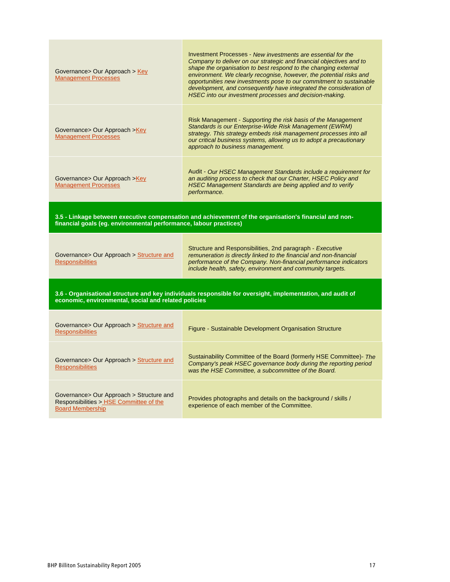| Governance> Our Approach > Key<br><b>Management Processes</b>                                                                                                              | Investment Processes - New investments are essential for the<br>Company to deliver on our strategic and financial objectives and to<br>shape the organisation to best respond to the changing external<br>environment. We clearly recognise, however, the potential risks and<br>opportunities new investments pose to our commitment to sustainable<br>development, and consequently have integrated the consideration of<br>HSEC into our investment processes and decision-making. |
|----------------------------------------------------------------------------------------------------------------------------------------------------------------------------|---------------------------------------------------------------------------------------------------------------------------------------------------------------------------------------------------------------------------------------------------------------------------------------------------------------------------------------------------------------------------------------------------------------------------------------------------------------------------------------|
| Governance> Our Approach >Key<br><b>Management Processes</b>                                                                                                               | Risk Management - Supporting the risk basis of the Management<br>Standards is our Enterprise-Wide Risk Management (EWRM)<br>strategy. This strategy embeds risk management processes into all<br>our critical business systems, allowing us to adopt a precautionary<br>approach to business management.                                                                                                                                                                              |
| Governance> Our Approach >Key<br><b>Management Processes</b>                                                                                                               | Audit - Our HSEC Management Standards include a requirement for<br>an auditing process to check that our Charter, HSEC Policy and<br>HSEC Management Standards are being applied and to verify<br>performance.                                                                                                                                                                                                                                                                        |
| 3.5 - Linkage between executive compensation and achievement of the organisation's financial and non-<br>financial goals (eg. environmental performance, labour practices) |                                                                                                                                                                                                                                                                                                                                                                                                                                                                                       |
|                                                                                                                                                                            |                                                                                                                                                                                                                                                                                                                                                                                                                                                                                       |
| Governance> Our Approach > Structure and<br><b>Responsibilities</b>                                                                                                        | Structure and Responsibilities, 2nd paragraph - Executive<br>remuneration is directly linked to the financial and non-financial<br>performance of the Company. Non-financial performance indicators<br>include health, safety, environment and community targets.                                                                                                                                                                                                                     |
| economic, environmental, social and related policies                                                                                                                       | 3.6 - Organisational structure and key individuals responsible for oversight, implementation, and audit of                                                                                                                                                                                                                                                                                                                                                                            |
| Governance> Our Approach > Structure and<br><b>Responsibilities</b>                                                                                                        | Figure - Sustainable Development Organisation Structure                                                                                                                                                                                                                                                                                                                                                                                                                               |
| Governance> Our Approach > Structure and<br><b>Responsibilities</b>                                                                                                        | Sustainability Committee of the Board (formerly HSE Committee)- The<br>Company's peak HSEC governance body during the reporting period<br>was the HSE Committee, a subcommittee of the Board.                                                                                                                                                                                                                                                                                         |

r.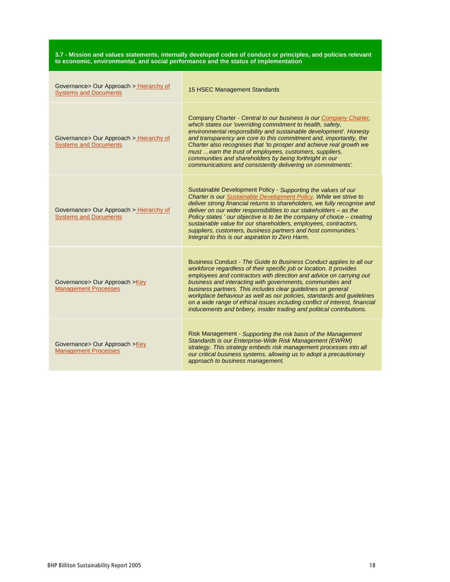| 3.7 - Mission and values statements, internally developed codes of conduct or principles, and policies relevant |
|-----------------------------------------------------------------------------------------------------------------|
| to economic, environmental, and social performance and the status of implementation                             |

| Governance> Our Approach > Hierarchy of<br><b>Systems and Documents</b> | 15 HSEC Management Standards                                                                                                                                                                                                                                                                                                                                                                                                                                                                                                                                                     |
|-------------------------------------------------------------------------|----------------------------------------------------------------------------------------------------------------------------------------------------------------------------------------------------------------------------------------------------------------------------------------------------------------------------------------------------------------------------------------------------------------------------------------------------------------------------------------------------------------------------------------------------------------------------------|
| Governance> Our Approach > Hierarchy of<br><b>Systems and Documents</b> | Company Charter - Central to our business is our Company Charter,<br>which states our 'overriding commitment to health, safety,<br>environmental responsibility and sustainable development'. Honesty<br>and transparency are core to this commitment and, importantly, the<br>Charter also recognises that 'to prosper and achieve real growth we<br>must  earn the trust of employees, customers, suppliers,<br>communities and shareholders by being forthright in our<br>communications and consistently delivering on commitments'.                                         |
| Governance> Our Approach > Hierarchy of<br><b>Systems and Documents</b> | Sustainable Development Policy - Supporting the values of our<br>Charter is our Sustainable Development Policy. While we strive to<br>deliver strong financial returns to shareholders, we fully recognise and<br>deliver on our wider responsibilities to our stakeholders - as the<br>Policy states ' our objective is to be the company of choice - creating<br>sustainable value for our shareholders, employees, contractors,<br>suppliers, customers, business partners and host communities.'<br>Integral to this is our aspiration to Zero Harm.                         |
| Governance > Our Approach > Key<br><b>Management Processes</b>          | Business Conduct - The Guide to Business Conduct applies to all our<br>workforce regardless of their specific job or location. It provides<br>employees and contractors with direction and advice on carrying out<br>business and interacting with governments, communities and<br>business partners. This includes clear guidelines on general<br>workplace behaviour as well as our policies, standards and guidelines<br>on a wide range of ethical issues including conflict of interest, financial<br>inducements and bribery, insider trading and political contributions. |
| Governance> Our Approach >Key<br><b>Management Processes</b>            | Risk Management - Supporting the risk basis of the Management<br>Standards is our Enterprise-Wide Risk Management (EWRM)<br>strategy. This strategy embeds risk management processes into all<br>our critical business systems, allowing us to adopt a precautionary<br>approach to business management.                                                                                                                                                                                                                                                                         |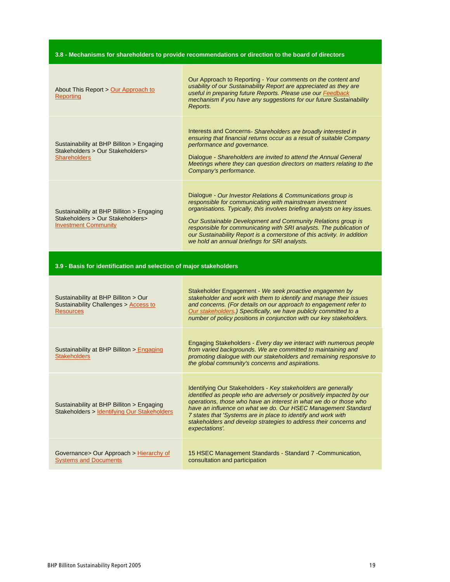# **3.8 - Mechanisms for shareholders to provide recommendations or direction to the board of directors**

| About This Report > Our Approach to<br>Reporting                                                             | Our Approach to Reporting - Your comments on the content and<br>usability of our Sustainability Report are appreciated as they are<br>useful in preparing future Reports. Please use our <b>Feedback</b><br>mechanism if you have any suggestions for our future Sustainability<br>Reports.                                                                                                                                                                             |  |
|--------------------------------------------------------------------------------------------------------------|-------------------------------------------------------------------------------------------------------------------------------------------------------------------------------------------------------------------------------------------------------------------------------------------------------------------------------------------------------------------------------------------------------------------------------------------------------------------------|--|
| Sustainability at BHP Billiton > Engaging<br>Stakeholders > Our Stakeholders><br><b>Shareholders</b>         | Interests and Concerns - Shareholders are broadly interested in<br>ensuring that financial returns occur as a result of suitable Company<br>performance and governance.<br>Dialogue - Shareholders are invited to attend the Annual General<br>Meetings where they can question directors on matters relating to the<br>Company's performance.                                                                                                                          |  |
| Sustainability at BHP Billiton > Engaging<br>Stakeholders > Our Stakeholders><br><b>Investment Community</b> | Dialogue - Our Investor Relations & Communications group is<br>responsible for communicating with mainstream investment<br>organisations. Typically, this involves briefing analysts on key issues.<br>Our Sustainable Development and Community Relations group is<br>responsible for communicating with SRI analysts. The publication of<br>our Sustainability Report is a cornerstone of this activity. In addition<br>we hold an annual briefings for SRI analysts. |  |
| 3.9 - Basis for identification and selection of major stakeholders                                           |                                                                                                                                                                                                                                                                                                                                                                                                                                                                         |  |
| Sustainability at BHP Billiton > Our                                                                         | Stakeholder Engagement - We seek proactive engagemen by<br>stakeholder and work with them to identify and manage their issues                                                                                                                                                                                                                                                                                                                                           |  |

| Sustainability at BHP Billiton > Our<br>Sustainability Challenges > Access to<br><b>Resources</b> | stakeholder and work with them to identify and manage their issues<br>and concerns. (For details on our approach to engagement refer to<br>Our stakeholders.) Specifically, we have publicly committed to a<br>number of policy positions in conjunction with our key stakeholders.                                                                                                                                                 |
|---------------------------------------------------------------------------------------------------|-------------------------------------------------------------------------------------------------------------------------------------------------------------------------------------------------------------------------------------------------------------------------------------------------------------------------------------------------------------------------------------------------------------------------------------|
| Sustainability at BHP Billiton > Engaging<br><b>Stakeholders</b>                                  | Engaging Stakeholders - Every day we interact with numerous people<br>from varied backgrounds. We are committed to maintaining and<br>promoting dialogue with our stakeholders and remaining responsive to<br>the global community's concerns and aspirations.                                                                                                                                                                      |
| Sustainability at BHP Billiton > Engaging<br>Stakeholders > Identifying Our Stakeholders          | Identifying Our Stakeholders - Key stakeholders are generally<br>identified as people who are adversely or positively impacted by our<br>operations, those who have an interest in what we do or those who<br>have an influence on what we do. Our HSEC Management Standard<br>7 states that 'Systems are in place to identify and work with<br>stakeholders and develop strategies to address their concerns and<br>expectations'. |
| Governance > Our Approach > Hierarchy of<br><b>Systems and Documents</b>                          | 15 HSEC Management Standards - Standard 7 - Communication,<br>consultation and participation                                                                                                                                                                                                                                                                                                                                        |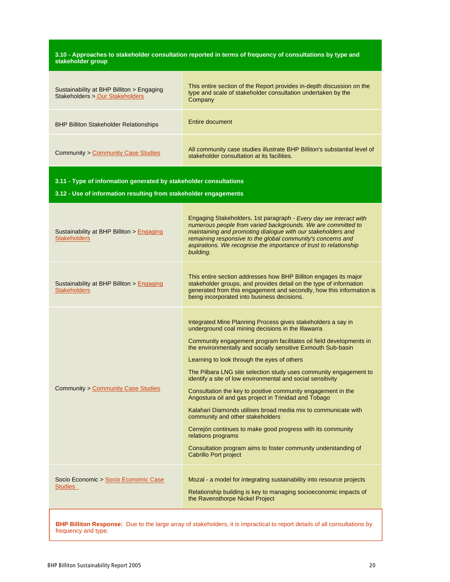#### **3.10 - Approaches to stakeholder consultation reported in terms of frequency of consultations by type and stakeholder group**

| Sustainability at BHP Billiton > Engaging<br>Stakeholders > Our Stakeholders | This entire section of the Report provides in-depth discussion on the<br>type and scale of stakeholder consultation undertaken by the<br>Company |
|------------------------------------------------------------------------------|--------------------------------------------------------------------------------------------------------------------------------------------------|
| <b>BHP Billiton Stakeholder Relationships</b>                                | Entire document                                                                                                                                  |
| <b>Community &gt; Community Case Studies</b>                                 | All community case studies illustrate BHP Billiton's substantial level of<br>stakeholder consultation at its facilities.                         |

### **3.11 - Type of information generated by stakeholder consultations**

**3.12 - Use of information resulting from stakeholder engagements**

| Sustainability at BHP Billiton > Engaging<br><b>Stakeholders</b> | Engaging Stakeholders, 1st paragraph - Every day we interact with<br>numerous people from varied backgrounds. We are committed to<br>maintaining and promoting dialogue with our stakeholders and<br>remaining responsive to the global community's concerns and<br>aspirations. We recognise the importance of trust to relationship<br>building.                                                                                                                                                                                                                                                                                                                                                                                                                                                                                                               |
|------------------------------------------------------------------|------------------------------------------------------------------------------------------------------------------------------------------------------------------------------------------------------------------------------------------------------------------------------------------------------------------------------------------------------------------------------------------------------------------------------------------------------------------------------------------------------------------------------------------------------------------------------------------------------------------------------------------------------------------------------------------------------------------------------------------------------------------------------------------------------------------------------------------------------------------|
| Sustainability at BHP Billiton > Engaging<br><b>Stakeholders</b> | This entire section addresses how BHP Billiton engages its major<br>stakeholder groups, and provides detail on the type of information<br>generated from this engagement and secondly, how this information is<br>being incorporated into business decisions.                                                                                                                                                                                                                                                                                                                                                                                                                                                                                                                                                                                                    |
| <b>Community &gt; Community Case Studies</b>                     | Integrated Mine Planning Process gives stakeholders a say in<br>underground coal mining decisions in the Illawarra<br>Community engagement program facilitates oil field developments in<br>the environmentally and socially sensitive Exmouth Sub-basin<br>Learning to look through the eyes of others<br>The Pilbara LNG site selection study uses community engagement to<br>identify a site of low environmental and social sensitivity<br>Consultation the key to positive community engagement in the<br>Angostura oil and gas project in Trinidad and Tobago<br>Kalahari Diamonds utilises broad media mix to communicate with<br>community and other stakeholders<br>Cerrejón continues to make good progress with its community<br>relations programs<br>Consultation program aims to foster community understanding of<br><b>Cabrillo Port project</b> |
| Socio Economic > Socio Economic Case<br><b>Studies</b>           | Mozal - a model for integrating sustainability into resource projects<br>Relationship building is key to managing socioeconomic impacts of<br>the Ravensthorpe Nickel Project                                                                                                                                                                                                                                                                                                                                                                                                                                                                                                                                                                                                                                                                                    |

**BHP Billiton Response:** Due to the large array of stakeholders, it is impractical to report details of all consultations by frequency and type.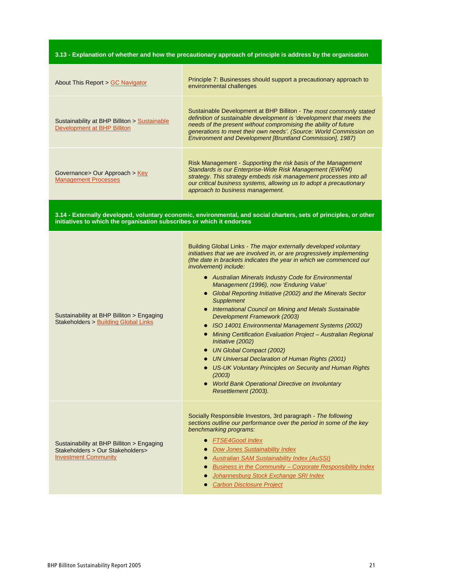3.13 - Explanation of whether and how the precautionary approach of principle is address by the organisation

| About This Report > GC Navigator                                                                             | Principle 7: Businesses should support a precautionary approach to<br>environmental challenges                                                                                                                                                                                                                                                                                                                                                                                                                                                                                                                                                                                                                                                                                                                                                                                                                |
|--------------------------------------------------------------------------------------------------------------|---------------------------------------------------------------------------------------------------------------------------------------------------------------------------------------------------------------------------------------------------------------------------------------------------------------------------------------------------------------------------------------------------------------------------------------------------------------------------------------------------------------------------------------------------------------------------------------------------------------------------------------------------------------------------------------------------------------------------------------------------------------------------------------------------------------------------------------------------------------------------------------------------------------|
| Sustainability at BHP Billiton > Sustainable<br>Development at BHP Billiton                                  | Sustainable Development at BHP Billiton - The most commonly stated<br>definition of sustainable development is 'development that meets the<br>needs of the present without compromising the ability of future<br>generations to meet their own needs'. (Source: World Commission on<br>Environment and Development [Bruntland Commission], 1987)                                                                                                                                                                                                                                                                                                                                                                                                                                                                                                                                                              |
| Governance> Our Approach > Key<br><b>Management Processes</b>                                                | Risk Management - Supporting the risk basis of the Management<br>Standards is our Enterprise-Wide Risk Management (EWRM)<br>strategy. This strategy embeds risk management processes into all<br>our critical business systems, allowing us to adopt a precautionary<br>approach to business management.                                                                                                                                                                                                                                                                                                                                                                                                                                                                                                                                                                                                      |
| initiatives to which the organisation subscribes or which it endorses                                        | 3.14 - Externally developed, voluntary economic, environmental, and social charters, sets of principles, or other                                                                                                                                                                                                                                                                                                                                                                                                                                                                                                                                                                                                                                                                                                                                                                                             |
| Sustainability at BHP Billiton > Engaging<br><b>Stakeholders &gt; Building Global Links</b>                  | Building Global Links - The major externally developed voluntary<br>initiatives that we are involved in, or are progressively implementing<br>(the date in brackets indicates the year in which we commenced our<br>involvement) include:<br>• Australian Minerals Industry Code for Environmental<br>Management (1996), now 'Enduring Value'<br>• Global Reporting Initiative (2002) and the Minerals Sector<br>Supplement<br>• International Council on Mining and Metals Sustainable<br>Development Framework (2003)<br>• ISO 14001 Environmental Management Systems (2002)<br>• Mining Certification Evaluation Project - Australian Regional<br>Initiative (2002)<br>• UN Global Compact (2002)<br>• UN Universal Declaration of Human Rights (2001)<br>• US-UK Voluntary Principles on Security and Human Rights<br>(2003)<br>• World Bank Operational Directive on Involuntary<br>Resettlement (2003). |
| Sustainability at BHP Billiton > Engaging<br>Stakeholders > Our Stakeholders><br><b>Investment Community</b> | Socially Responsible Investors, 3rd paragraph - The following<br>sections outline our performance over the period in some of the key<br>benchmarking programs:<br><b>FTSE4Good Index</b><br>$\bullet$<br><b>Dow Jones Sustainability Index</b><br><b>Australian SAM Sustainability Index (AuSSI)</b><br><b>Business in the Community - Corporate Responsibility Index</b><br>Johannesburg Stock Exchange SRI Index<br><b>Carbon Disclosure Project</b>                                                                                                                                                                                                                                                                                                                                                                                                                                                        |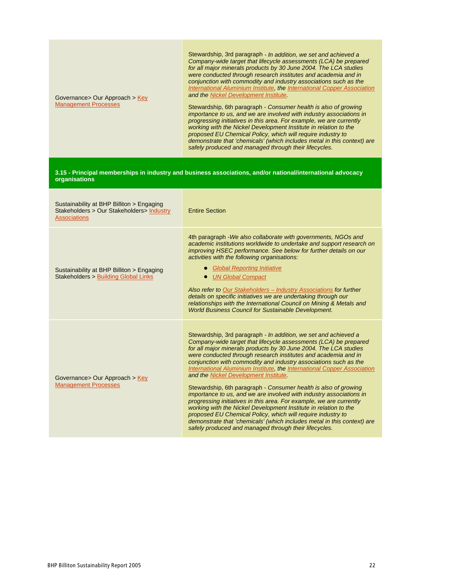| Governance> Our Approach > Key<br><b>Management Processes</b>                                                  | Stewardship, 3rd paragraph - In addition, we set and achieved a<br>Company-wide target that lifecycle assessments (LCA) be prepared<br>for all major minerals products by 30 June 2004. The LCA studies<br>were conducted through research institutes and academia and in<br>conjunction with commodity and industry associations such as the<br>International Aluminium Institute, the International Copper Association<br>and the Nickel Development Institute.<br>Stewardship, 6th paragraph - Consumer health is also of growing<br>importance to us, and we are involved with industry associations in<br>progressing initiatives in this area. For example, we are currently<br>working with the Nickel Development Institute in relation to the<br>proposed EU Chemical Policy, which will require industry to<br>demonstrate that 'chemicals' (which includes metal in this context) are<br>safely produced and managed through their lifecycles. |
|----------------------------------------------------------------------------------------------------------------|-----------------------------------------------------------------------------------------------------------------------------------------------------------------------------------------------------------------------------------------------------------------------------------------------------------------------------------------------------------------------------------------------------------------------------------------------------------------------------------------------------------------------------------------------------------------------------------------------------------------------------------------------------------------------------------------------------------------------------------------------------------------------------------------------------------------------------------------------------------------------------------------------------------------------------------------------------------|
| organisations                                                                                                  | 3.15 - Principal memberships in industry and business associations, and/or national/international advocacy                                                                                                                                                                                                                                                                                                                                                                                                                                                                                                                                                                                                                                                                                                                                                                                                                                                |
| Sustainability at BHP Billiton > Engaging<br>Stakeholders > Our Stakeholders > Industry<br><b>Associations</b> | <b>Entire Section</b>                                                                                                                                                                                                                                                                                                                                                                                                                                                                                                                                                                                                                                                                                                                                                                                                                                                                                                                                     |
| Sustainability at BHP Billiton > Engaging<br>Stakeholders > Building Global Links                              | 4th paragraph - We also collaborate with governments, NGOs and<br>academic institutions worldwide to undertake and support research on<br>improving HSEC performance. See below for further details on our<br>activities with the following organisations:<br>• Global Reporting Initiative<br>• UN Global Compact<br>Also refer to Our Stakeholders - Industry Associations for further<br>details on specific initiatives we are undertaking through our<br>relationships with the International Council on Mining & Metals and<br><b>World Business Council for Sustainable Development.</b>                                                                                                                                                                                                                                                                                                                                                           |
| Governance> Our Approach > Key<br><b>Management Processes</b>                                                  | Stewardship, 3rd paragraph - In addition, we set and achieved a<br>Company-wide target that lifecycle assessments (LCA) be prepared<br>for all major minerals products by 30 June 2004. The LCA studies<br>were conducted through research institutes and academia and in<br>conjunction with commodity and industry associations such as the<br>International Aluminium Institute, the International Copper Association<br>and the Nickel Development Institute.<br>Stewardship, 6th paragraph - Consumer health is also of growing<br>importance to us, and we are involved with industry associations in<br>progressing initiatives in this area. For example, we are currently                                                                                                                                                                                                                                                                        |

working with the Nickel Development Institute in relation to the proposed EU Chemical Policy, which will require industry to

safely produced and managed through their lifecycles.

demonstrate that 'chemicals' (which includes metal in this context) are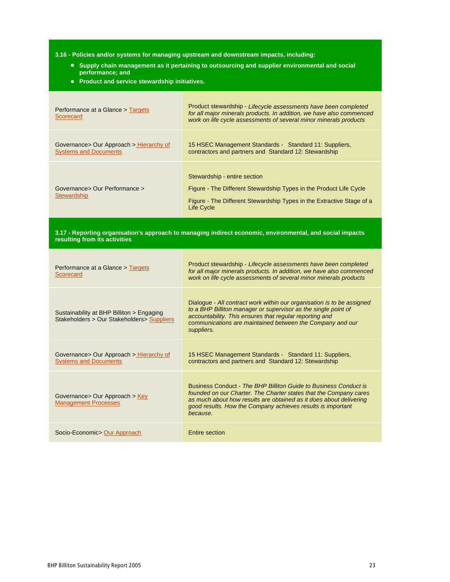**3.16 - Policies and/or systems for managing upstream and downstream impacts, including:**

- **Supply chain management as it pertaining to outsourcing and supplier environmental and social performance; and**
- **Product and service stewardship initiatives.**

| Performance at a Glance > Targets<br>Scorecard                           | Product stewardship - Lifecycle assessments have been completed<br>for all major minerals products. In addition, we have also commenced<br>work on life cycle assessments of several minor minerals products |
|--------------------------------------------------------------------------|--------------------------------------------------------------------------------------------------------------------------------------------------------------------------------------------------------------|
| Governance > Our Approach > Hierarchy of<br><b>Systems and Documents</b> | 15 HSEC Management Standards - Standard 11: Suppliers,<br>contractors and partners and Standard 12: Stewardship                                                                                              |
| Governance> Our Performance ><br>Stewardship                             | Stewardship - entire section<br>Figure - The Different Stewardship Types in the Product Life Cycle<br>Figure - The Different Stewardship Types in the Extractive Stage of a<br>Life Cycle                    |

**3.17 - Reporting organisation's approach to managing indirect economic, environmental, and social impacts resulting from its activities**

| Performance at a Glance > Targets<br>Scorecard                                           | Product stewardship - Lifecycle assessments have been completed<br>for all major minerals products. In addition, we have also commenced<br>work on life cycle assessments of several minor minerals products                                                                           |
|------------------------------------------------------------------------------------------|----------------------------------------------------------------------------------------------------------------------------------------------------------------------------------------------------------------------------------------------------------------------------------------|
| Sustainability at BHP Billiton > Engaging<br>Stakeholders > Our Stakeholders > Suppliers | Dialogue - All contract work within our organisation is to be assigned<br>to a BHP Billiton manager or supervisor as the single point of<br>accountability. This ensures that regular reporting and<br>communications are maintained between the Company and our<br>suppliers.         |
| Governance > Our Approach > Hierarchy of<br><b>Systems and Documents</b>                 | 15 HSEC Management Standards - Standard 11: Suppliers,<br>contractors and partners and Standard 12: Stewardship                                                                                                                                                                        |
| Governance > Our Approach > Key<br><b>Management Processes</b>                           | Business Conduct - The BHP Billiton Guide to Business Conduct is<br>founded on our Charter. The Charter states that the Company cares<br>as much about how results are obtained as it does about delivering<br>good results. How the Company achieves results is important<br>because. |
| Socio-Economic> Our Approach                                                             | <b>Entire section</b>                                                                                                                                                                                                                                                                  |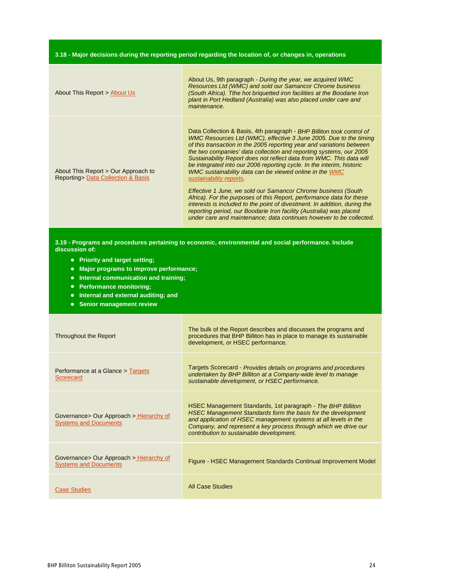### **3.18 - Major decisions during the reporting period regarding the location of, or changes in, operations**

| About This Report > About Us                                              | About Us, 9th paragraph - During the year, we acquired WMC<br>Resources Ltd (WMC) and sold our Samancor Chrome business<br>(South Africa). Tthe hot briguetted iron facilities at the Boodarie Iron<br>plant in Port Hedland (Australia) was also placed under care and<br>maintenance.                                                                                                                                                                                                                                                                                                                                                                                                                                                                                                                                                                                                              |
|---------------------------------------------------------------------------|------------------------------------------------------------------------------------------------------------------------------------------------------------------------------------------------------------------------------------------------------------------------------------------------------------------------------------------------------------------------------------------------------------------------------------------------------------------------------------------------------------------------------------------------------------------------------------------------------------------------------------------------------------------------------------------------------------------------------------------------------------------------------------------------------------------------------------------------------------------------------------------------------|
| About This Report > Our Approach to<br>Reporting> Data Collection & Basis | Data Collection & Basis, 4th paragraph - BHP Billiton took control of<br>WMC Resources Ltd (WMC), effective 3 June 2005. Due to the timing<br>of this transaction in the 2005 reporting year and variations between<br>the two companies' data collection and reporting systems, our 2005<br>Sustainability Report does not reflect data from WMC. This data will<br>be integrated into our 2006 reporting cycle. In the interim, historic<br>WMC sustainability data can be viewed online in the WMC<br>sustainability reports.<br>Effective 1 June, we sold our Samancor Chrome business (South<br>Africa). For the purposes of this Report, performance data for these<br>interests is included to the point of divestment. In addition, during the<br>reporting period, our Boodarie Iron facility (Australia) was placed<br>under care and maintenance; data continues however to be collected. |

**3.19 - Programs and procedures pertaining to economic, environmental and social performance. Include discussion of:**

- **Priority and target setting;**
- **Major programs to improve performance;**
- **Internal communication and training;**
- **Performance monitoring;**
- **Internal and external auditing; and**
- **Senior management review**

| Throughout the Report                                                    | The bulk of the Report describes and discusses the programs and<br>procedures that BHP Billiton has in place to manage its sustainable<br>development, or HSEC performance.                                                                                                                                          |
|--------------------------------------------------------------------------|----------------------------------------------------------------------------------------------------------------------------------------------------------------------------------------------------------------------------------------------------------------------------------------------------------------------|
| Performance at a Glance > Targets<br>Scorecard                           | Targets Scorecard - Provides details on programs and procedures<br>undertaken by BHP Billiton at a Company-wide level to manage<br>sustainable development, or HSEC performance.                                                                                                                                     |
| Governance > Our Approach > Hierarchy of<br><b>Systems and Documents</b> | HSEC Management Standards, 1st paragraph - The BHP Billiton<br><b>HSEC Management Standards form the basis for the development</b><br>and application of HSEC management systems at all levels in the<br>Company, and represent a key process through which we drive our<br>contribution to sustainable development. |
| Governance > Our Approach > Hierarchy of<br><b>Systems and Documents</b> | Figure - HSEC Management Standards Continual Improvement Model                                                                                                                                                                                                                                                       |
| <b>Case Studies</b>                                                      | <b>All Case Studies</b>                                                                                                                                                                                                                                                                                              |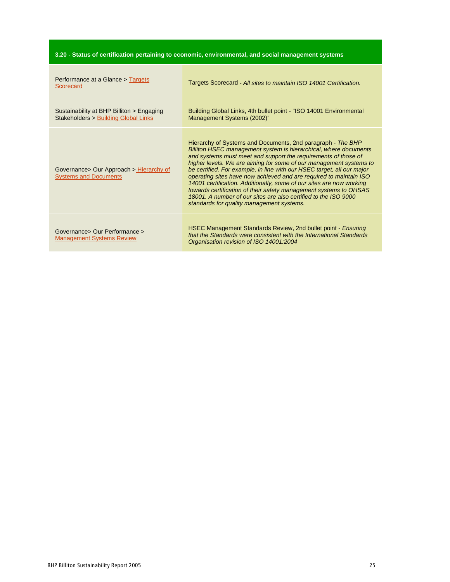| 3.20 - Status of certification pertaining to economic, environmental, and social management systems |  |  |  |
|-----------------------------------------------------------------------------------------------------|--|--|--|
|-----------------------------------------------------------------------------------------------------|--|--|--|

| Performance at a Glance > Targets<br>Scorecard                                    | Targets Scorecard - All sites to maintain ISO 14001 Certification.                                                                                                                                                                                                                                                                                                                                                                                                                                                                                                                                                                                                                   |
|-----------------------------------------------------------------------------------|--------------------------------------------------------------------------------------------------------------------------------------------------------------------------------------------------------------------------------------------------------------------------------------------------------------------------------------------------------------------------------------------------------------------------------------------------------------------------------------------------------------------------------------------------------------------------------------------------------------------------------------------------------------------------------------|
| Sustainability at BHP Billiton > Engaging<br>Stakeholders > Building Global Links | Building Global Links, 4th bullet point - "ISO 14001 Environmental<br>Management Systems (2002)"                                                                                                                                                                                                                                                                                                                                                                                                                                                                                                                                                                                     |
| Governance> Our Approach > Hierarchy of<br><b>Systems and Documents</b>           | Hierarchy of Systems and Documents, 2nd paragraph - The BHP<br>Billiton HSEC management system is hierarchical, where documents<br>and systems must meet and support the requirements of those of<br>higher levels. We are aiming for some of our management systems to<br>be certified. For example, in line with our HSEC target, all our major<br>operating sites have now achieved and are required to maintain ISO<br>14001 certification. Additionally, some of our sites are now working<br>towards certification of their safety management systems to OHSAS<br>18001. A number of our sites are also certified to the ISO 9000<br>standards for quality management systems. |
| Governance> Our Performance ><br><b>Management Systems Review</b>                 | HSEC Management Standards Review, 2nd bullet point - Ensuring<br>that the Standards were consistent with the International Standards<br>Organisation revision of ISO 14001:2004                                                                                                                                                                                                                                                                                                                                                                                                                                                                                                      |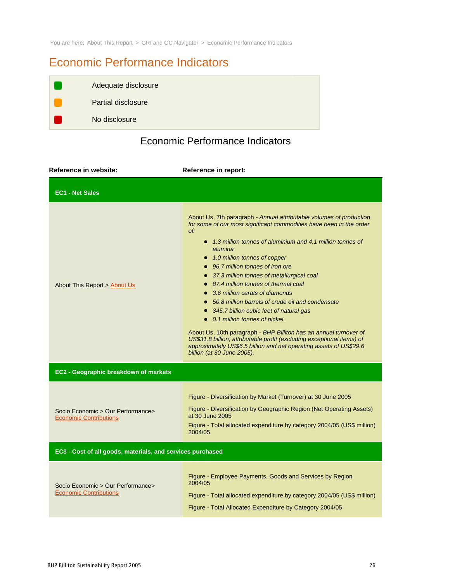You are here: About This Report > GRI and GC Navigator > Economic Performance Indicators

# Economic Performance Indicators

| Adequate disclosure       |
|---------------------------|
| <b>Partial disclosure</b> |
| No disclosure             |

# Economic Performance Indicators

| Reference in website:                                              | Reference in report:                                                                                                                                                                                                                                                                                                                                                                                                                                                                                                                                                                                                                                                                                                                                                                                                |  |  |
|--------------------------------------------------------------------|---------------------------------------------------------------------------------------------------------------------------------------------------------------------------------------------------------------------------------------------------------------------------------------------------------------------------------------------------------------------------------------------------------------------------------------------------------------------------------------------------------------------------------------------------------------------------------------------------------------------------------------------------------------------------------------------------------------------------------------------------------------------------------------------------------------------|--|--|
| <b>EC1 - Net Sales</b>                                             |                                                                                                                                                                                                                                                                                                                                                                                                                                                                                                                                                                                                                                                                                                                                                                                                                     |  |  |
| About This Report > About Us                                       | About Us, 7th paragraph - Annual attributable volumes of production<br>for some of our most significant commodities have been in the order<br>of:<br>• 1.3 million tonnes of aluminium and 4.1 million tonnes of<br>alumina<br>• 1.0 million tonnes of copper<br>• 96.7 million tonnes of iron ore<br>• 37.3 million tonnes of metallurgical coal<br>• 87.4 million tonnes of thermal coal<br>3.6 million carats of diamonds<br>50.8 million barrels of crude oil and condensate<br>• 345.7 billion cubic feet of natural gas<br>• 0.1 million tonnes of nickel.<br>About Us, 10th paragraph - BHP Billiton has an annual turnover of<br>US\$31.8 billion, attributable profit (excluding exceptional items) of<br>approximately US\$6.5 billion and net operating assets of US\$29.6<br>billion (at 30 June 2005). |  |  |
| EC2 - Geographic breakdown of markets                              |                                                                                                                                                                                                                                                                                                                                                                                                                                                                                                                                                                                                                                                                                                                                                                                                                     |  |  |
| Socio Economic > Our Performance><br><b>Economic Contributions</b> | Figure - Diversification by Market (Turnover) at 30 June 2005<br>Figure - Diversification by Geographic Region (Net Operating Assets)<br>at 30 June 2005<br>Figure - Total allocated expenditure by category 2004/05 (US\$ million)<br>2004/05                                                                                                                                                                                                                                                                                                                                                                                                                                                                                                                                                                      |  |  |
| EC3 - Cost of all goods, materials, and services purchased         |                                                                                                                                                                                                                                                                                                                                                                                                                                                                                                                                                                                                                                                                                                                                                                                                                     |  |  |
| Socio Economic > Our Performance><br><b>Economic Contributions</b> | Figure - Employee Payments, Goods and Services by Region<br>2004/05<br>Figure - Total allocated expenditure by category 2004/05 (US\$ million)<br>Figure - Total Allocated Expenditure by Category 2004/05                                                                                                                                                                                                                                                                                                                                                                                                                                                                                                                                                                                                          |  |  |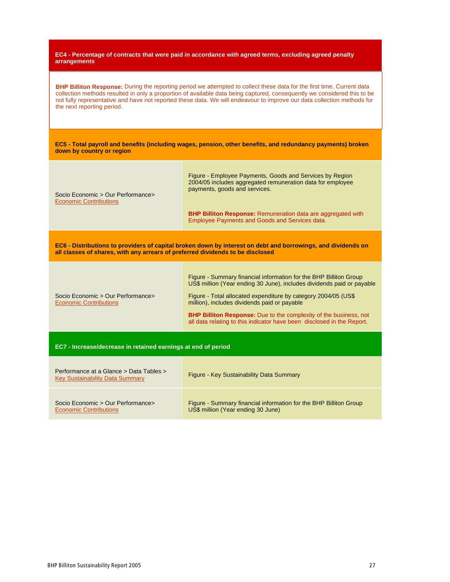**EC4 - Percentage of contracts that were paid in accordance with agreed terms, excluding agreed penalty arrangements**

**BHP Billiton Response:** During the reporting period we attempted to collect these data for the first time. Current data collection methods resulted in only a proportion of available data being captured, consequently we considered this to be not fully representative and have not reported these data. We will endeavour to improve our data collection methods for the next reporting period.

**EC5 - Total payroll and benefits (including wages, pension, other benefits, and redundancy payments) broken down by country or region**

| Socio Economic > Our Performance><br><b>Economic Contributions</b>                                                                                                                             | Figure - Employee Payments, Goods and Services by Region<br>2004/05 includes aggregated remuneration data for employee<br>payments, goods and services. |  |
|------------------------------------------------------------------------------------------------------------------------------------------------------------------------------------------------|---------------------------------------------------------------------------------------------------------------------------------------------------------|--|
|                                                                                                                                                                                                | <b>BHP Billiton Response:</b> Remuneration data are aggregated with<br>Employee Payments and Goods and Services data.                                   |  |
| EC6 - Distributions to providers of capital broken down by interest on debt and borrowings, and dividends on<br>all classes of shares, with any arrears of preferred dividends to be disclosed |                                                                                                                                                         |  |

Socio Economic > Our Performance> Economic Contributions Figure - Summary financial information for the BHP Billiton Group US\$ million (Year ending 30 June), includes dividends paid or payable Figure - Total allocated expenditure by category 2004/05 (US\$ million), includes dividends paid or payable **BHP Billiton Response:** Due to the complexity of the business, not

all data relating to this indicator have been disclosed in the Report.

**EC7 - Increase/decrease in retained earnings at end of period**

| Performance at a Glance > Data Tables ><br><b>Key Sustainability Data Summary</b> | Figure - Key Sustainability Data Summary                          |
|-----------------------------------------------------------------------------------|-------------------------------------------------------------------|
| Socio Economic > Our Performance>                                                 | Figure - Summary financial information for the BHP Billiton Group |
| <b>Economic Contributions</b>                                                     | US\$ million (Year ending 30 June)                                |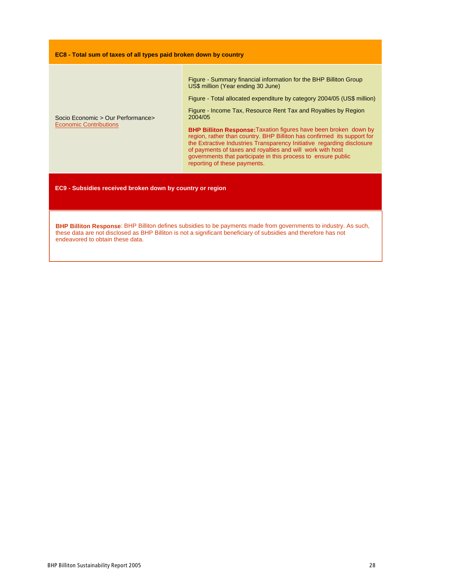#### **EC8 - Total sum of taxes of all types paid broken down by country**

Figure - Summary financial information for the BHP Billiton Group US\$ million (Year ending 30 June)

Figure - Total allocated expenditure by category 2004/05 (US\$ million)

Socio Economic > Our Performance> Economic Contributions

Figure - Income Tax, Resource Rent Tax and Royalties by Region 2004/05

**BHP Billiton Response:**Taxation figures have been broken down by region, rather than country. BHP Billiton has confirmed its support for the Extractive Industries Transparency Initiative regarding disclosure of payments of taxes and royalties and will work with host governments that participate in this process to ensure public reporting of these payments.

**EC9 - Subsidies received broken down by country or region**

**BHP Billiton Response**: BHP Billiton defines subsidies to be payments made from governments to industry. As such, these data are not disclosed as BHP Billiton is not a significant beneficiary of subsidies and therefore has not endeavored to obtain these data.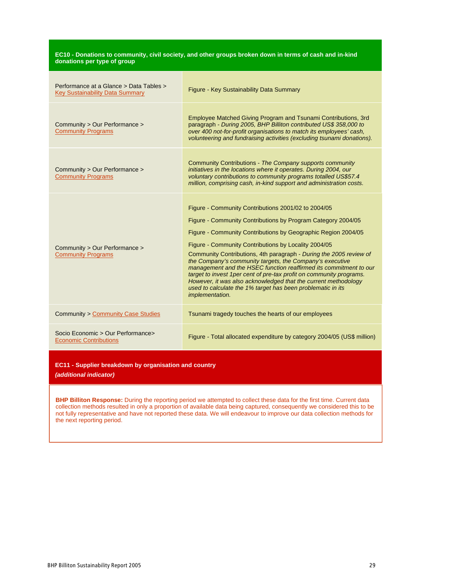| EC10 - Donations to community, civil society, and other groups broken down in terms of cash and in-kind<br>donations per type of group |                                                                                                                                                                                                                                                                                                                                                                                                                                                                                                                                                                                                                                                                                        |  |
|----------------------------------------------------------------------------------------------------------------------------------------|----------------------------------------------------------------------------------------------------------------------------------------------------------------------------------------------------------------------------------------------------------------------------------------------------------------------------------------------------------------------------------------------------------------------------------------------------------------------------------------------------------------------------------------------------------------------------------------------------------------------------------------------------------------------------------------|--|
| Performance at a Glance > Data Tables ><br>Key Sustainability Data Summary                                                             | Figure - Key Sustainability Data Summary                                                                                                                                                                                                                                                                                                                                                                                                                                                                                                                                                                                                                                               |  |
| Community > Our Performance ><br><b>Community Programs</b>                                                                             | Employee Matched Giving Program and Tsunami Contributions, 3rd<br>paragraph - During 2005, BHP Billiton contributed US\$ 358,000 to<br>over 400 not-for-profit organisations to match its employees' cash,<br>volunteering and fundraising activities (excluding tsunami donations).                                                                                                                                                                                                                                                                                                                                                                                                   |  |
| Community > Our Performance ><br><b>Community Programs</b>                                                                             | Community Contributions - The Company supports community<br>initiatives in the locations where it operates. During 2004, our<br>voluntary contributions to community programs totalled US\$57.4<br>million, comprising cash, in-kind support and administration costs.                                                                                                                                                                                                                                                                                                                                                                                                                 |  |
| Community > Our Performance ><br><b>Community Programs</b>                                                                             | Figure - Community Contributions 2001/02 to 2004/05<br>Figure - Community Contributions by Program Category 2004/05<br>Figure - Community Contributions by Geographic Region 2004/05<br>Figure - Community Contributions by Locality 2004/05<br>Community Contributions, 4th paragraph - During the 2005 review of<br>the Company's community targets, the Company's executive<br>management and the HSEC function reaffirmed its commitment to our<br>target to invest 1 per cent of pre-tax profit on community programs.<br>However, it was also acknowledged that the current methodology<br>used to calculate the 1% target has been problematic in its<br><i>implementation.</i> |  |
| Community > Community Case Studies                                                                                                     | Tsunami tragedy touches the hearts of our employees                                                                                                                                                                                                                                                                                                                                                                                                                                                                                                                                                                                                                                    |  |
| Socio Economic > Our Performance><br><b>Economic Contributions</b>                                                                     | Figure - Total allocated expenditure by category 2004/05 (US\$ million)                                                                                                                                                                                                                                                                                                                                                                                                                                                                                                                                                                                                                |  |

**EC11 - Supplier breakdown by organisation and country**

**(additional indicator)**

**BHP Billiton Response:** During the reporting period we attempted to collect these data for the first time. Current data collection methods resulted in only a proportion of available data being captured, consequently we considered this to be not fully representative and have not reported these data. We will endeavour to improve our data collection methods for the next reporting period.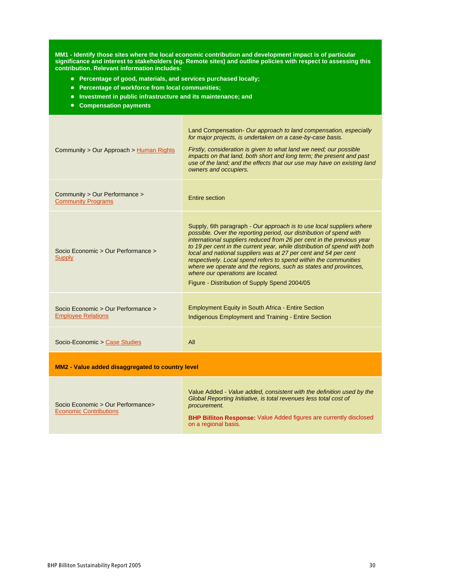**MM1 - Identify those sites where the local economic contribution and development impact is of particular significance and interest to stakeholders (eg. Remote sites) and outline policies with respect to assessing this contribution. Relevant information includes:**

- **Percentage of good, materials, and services purchased locally;**
- **Percentage of workforce from local communities;**
- **Investment in public infrastructure and its maintenance; and**
- **Compensation payments**

| Community > Our Approach > Human Rights                            | Land Compensation - Our approach to land compensation, especially<br>for major projects, is undertaken on a case-by-case basis.<br>Firstly, consideration is given to what land we need; our possible<br>impacts on that land, both short and long term; the present and past<br>use of the land; and the effects that our use may have on existing land<br>owners and occupiers.                                                                                                                                                                                                                  |  |
|--------------------------------------------------------------------|----------------------------------------------------------------------------------------------------------------------------------------------------------------------------------------------------------------------------------------------------------------------------------------------------------------------------------------------------------------------------------------------------------------------------------------------------------------------------------------------------------------------------------------------------------------------------------------------------|--|
| Community > Our Performance ><br><b>Community Programs</b>         | Entire section                                                                                                                                                                                                                                                                                                                                                                                                                                                                                                                                                                                     |  |
| Socio Economic > Our Performance ><br><b>Supply</b>                | Supply, 6th paragraph - Our approach is to use local suppliers where<br>possible. Over the reporting period, our distribution of spend with<br>international suppliers reduced from 26 per cent in the previous year<br>to 19 per cent in the current year, while distribution of spend with both<br>local and national suppliers was at 27 per cent and 54 per cent<br>respectively. Local spend refers to spend within the communities<br>where we operate and the regions, such as states and proviinces,<br>where our operations are located.<br>Figure - Distribution of Supply Spend 2004/05 |  |
| Socio Economic > Our Performance ><br><b>Employee Relations</b>    | <b>Employment Equity in South Africa - Entire Section</b><br>Indigenous Employment and Training - Entire Section                                                                                                                                                                                                                                                                                                                                                                                                                                                                                   |  |
| Socio-Economic > Case Studies                                      | All                                                                                                                                                                                                                                                                                                                                                                                                                                                                                                                                                                                                |  |
| MM2 - Value added disaggregated to country level                   |                                                                                                                                                                                                                                                                                                                                                                                                                                                                                                                                                                                                    |  |
| Socio Economic > Our Performance><br><b>Economic Contributions</b> | Value Added - Value added, consistent with the definition used by the<br>Global Reporting Initiative, is total revenues less total cost of<br>procurement.<br><b>BHP Billiton Response:</b> Value Added figures are currently disclosed<br>on a regional basis.                                                                                                                                                                                                                                                                                                                                    |  |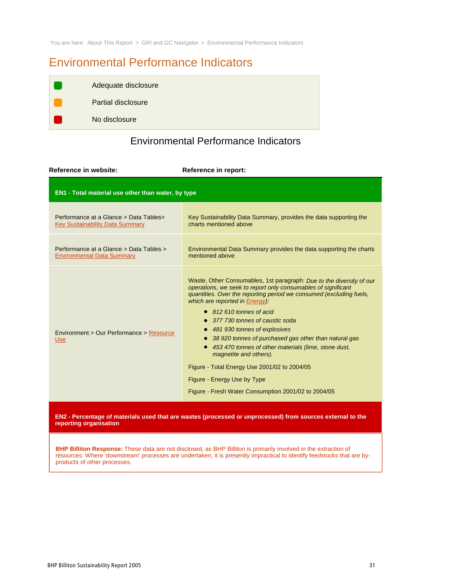You are here: About This Report > GRI and GC Navigator > Environmental Performance Indicators

# Environmental Performance Indicators

| Adequate disclosure       |
|---------------------------|
| <b>Partial disclosure</b> |
| No disclosure             |

# Environmental Performance Indicators

| Reference in website:                                                             | Reference in report:                                                                                                                                                                                                                                                                                                                                                                                                                                                                                                                                                                                                                  |  |  |
|-----------------------------------------------------------------------------------|---------------------------------------------------------------------------------------------------------------------------------------------------------------------------------------------------------------------------------------------------------------------------------------------------------------------------------------------------------------------------------------------------------------------------------------------------------------------------------------------------------------------------------------------------------------------------------------------------------------------------------------|--|--|
| EN1 - Total material use other than water, by type                                |                                                                                                                                                                                                                                                                                                                                                                                                                                                                                                                                                                                                                                       |  |  |
| Performance at a Glance > Data Tables ><br><b>Key Sustainability Data Summary</b> | Key Sustainability Data Summary, provides the data supporting the<br>charts mentioned above                                                                                                                                                                                                                                                                                                                                                                                                                                                                                                                                           |  |  |
| Performance at a Glance > Data Tables ><br><b>Environmental Data Summary</b>      | Environmental Data Summary provides the data supporting the charts<br>mentioned above                                                                                                                                                                                                                                                                                                                                                                                                                                                                                                                                                 |  |  |
| Environment > Our Performance > Resource<br><b>Use</b>                            | Waste, Other Consumables, 1st paragraph: Due to the diversity of our<br>operations, we seek to report only consumables of significant<br>quantities. Over the reporting period we consumed (excluding fuels,<br>which are reported in Energy):<br>$\bullet$ 812 610 tonnes of acid<br>377 730 tonnes of caustic soda<br>481 930 tonnes of explosives<br>38 920 tonnes of purchased gas other than natural gas<br>453 470 tonnes of other materials (lime, stone dust,<br>magnetite and others).<br>Figure - Total Energy Use 2001/02 to 2004/05<br>Figure - Energy Use by Type<br>Figure - Fresh Water Consumption 2001/02 to 2004/05 |  |  |

EN2 - Percentage of materials used that are wastes (processed or unprocessed) from sources external to the **reporting organisation**

**BHP Billiton Response:** These data are not disclosed, as BHP Billiton is primarily involved in the extraction of resources. Where 'downstream' processes are undertaken, it is presently impractical to identify feedstocks that are byproducts of other processes.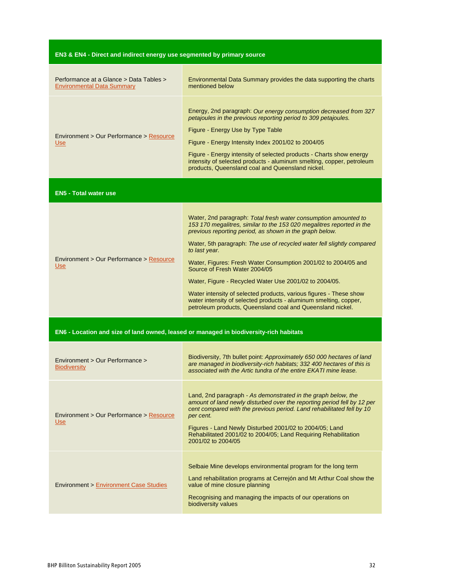| EN3 & EN4 - Direct and indirect energy use segmented by primary source                 |                                                                                                                                                                                                                                                                                                                                                                                                                                                                                                                                                                                                                                                                      |  |
|----------------------------------------------------------------------------------------|----------------------------------------------------------------------------------------------------------------------------------------------------------------------------------------------------------------------------------------------------------------------------------------------------------------------------------------------------------------------------------------------------------------------------------------------------------------------------------------------------------------------------------------------------------------------------------------------------------------------------------------------------------------------|--|
| Performance at a Glance > Data Tables ><br><b>Environmental Data Summary</b>           | Environmental Data Summary provides the data supporting the charts<br>mentioned below                                                                                                                                                                                                                                                                                                                                                                                                                                                                                                                                                                                |  |
| Environment > Our Performance > Resource<br><b>Use</b>                                 | Energy, 2nd paragraph: Our energy consumption decreased from 327<br>petajoules in the previous reporting period to 309 petajoules.<br>Figure - Energy Use by Type Table<br>Figure - Energy Intensity Index 2001/02 to 2004/05<br>Figure - Energy intensity of selected products - Charts show energy<br>intensity of selected products - aluminum smelting, copper, petroleum<br>products, Queensland coal and Queensland nickel.                                                                                                                                                                                                                                    |  |
| <b>EN5 - Total water use</b>                                                           |                                                                                                                                                                                                                                                                                                                                                                                                                                                                                                                                                                                                                                                                      |  |
| Environment > Our Performance > Resource<br>Use                                        | Water, 2nd paragraph: Total fresh water consumption amounted to<br>153 170 megalitres, similar to the 153 020 megalitres reported in the<br>previous reporting period, as shown in the graph below.<br>Water, 5th paragraph: The use of recycled water fell slightly compared<br>to last year.<br>Water, Figures: Fresh Water Consumption 2001/02 to 2004/05 and<br>Source of Fresh Water 2004/05<br>Water, Figure - Recycled Water Use 2001/02 to 2004/05.<br>Water intensity of selected products, various figures - These show<br>water intensity of selected products - aluminum smelting, copper,<br>petroleum products, Queensland coal and Queensland nickel. |  |
| EN6 - Location and size of land owned, leased or managed in biodiversity-rich habitats |                                                                                                                                                                                                                                                                                                                                                                                                                                                                                                                                                                                                                                                                      |  |
| Environment > Our Performance ><br><b>Biodiversity</b>                                 | Biodiversity, 7th bullet point: Approximately 650 000 hectares of land<br>are managed in biodiversity-rich habitats; 332 400 hectares of this is<br>associated with the Artic tundra of the entire EKATI mine lease.                                                                                                                                                                                                                                                                                                                                                                                                                                                 |  |
| Environment > Our Performance > Resource<br><b>Use</b>                                 | Land, 2nd paragraph - As demonstrated in the graph below, the<br>amount of land newly disturbed over the reporting period fell by 12 per<br>cent compared with the previous period. Land rehabilitated fell by 10<br>per cent.<br>Figures - Land Newly Disturbed 2001/02 to 2004/05; Land<br>Rehabilitated 2001/02 to 2004/05; Land Requiring Rehabilitation<br>2001/02 to 2004/05                                                                                                                                                                                                                                                                                   |  |
| <b>Environment &gt; Environment Case Studies</b>                                       | Selbaie Mine develops environmental program for the long term<br>Land rehabilitation programs at Cerrejón and Mt Arthur Coal show the<br>value of mine closure planning<br>Recognising and managing the impacts of our operations on<br>biodiversity values                                                                                                                                                                                                                                                                                                                                                                                                          |  |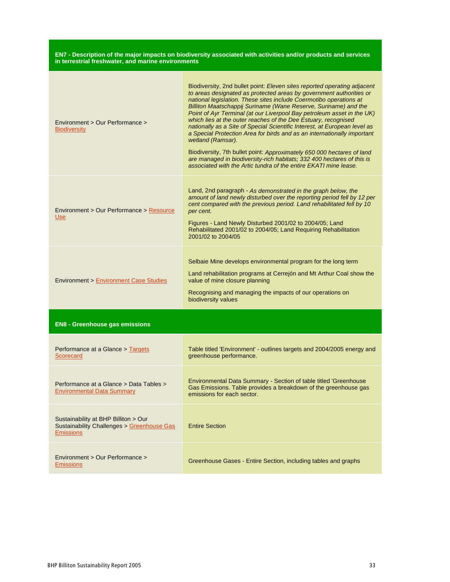#### **EN7 - Description of the major impacts on biodiversity associated with activities and/or products and services in terrestrial freshwater, and marine environments**

| Environment > Our Performance ><br><b>Biodiversity</b>                                                           | Biodiversity, 2nd bullet point: Eleven sites reported operating adjacent<br>to areas designated as protected areas by government authorities or<br>national legislation. These sites include Coermotibo operations at<br>Billiton Maatschappij Suriname (Wane Reserve, Suriname) and the<br>Point of Ayr Terminal (at our Liverpool Bay petroleum asset in the UK)<br>which lies at the outer reaches of the Dee Estuary, recognised<br>nationally as a Site of Special Scientific Interest, at European level as<br>a Special Protection Area for birds and as an internationally important<br>wetland (Ramsar).<br>Biodiversity, 7th bullet point: Approximately 650 000 hectares of land<br>are managed in biodiversity-rich habitats; 332 400 hectares of this is<br>associated with the Artic tundra of the entire EKATI mine lease. |  |  |
|------------------------------------------------------------------------------------------------------------------|-------------------------------------------------------------------------------------------------------------------------------------------------------------------------------------------------------------------------------------------------------------------------------------------------------------------------------------------------------------------------------------------------------------------------------------------------------------------------------------------------------------------------------------------------------------------------------------------------------------------------------------------------------------------------------------------------------------------------------------------------------------------------------------------------------------------------------------------|--|--|
| Environment > Our Performance > Resource<br><b>Use</b>                                                           | Land, 2nd paragraph - As demonstrated in the graph below, the<br>amount of land newly disturbed over the reporting period fell by 12 per<br>cent compared with the previous period. Land rehabilitated fell by 10<br>per cent.<br>Figures - Land Newly Disturbed 2001/02 to 2004/05; Land<br>Rehabilitated 2001/02 to 2004/05; Land Requiring Rehabilitation<br>2001/02 to 2004/05                                                                                                                                                                                                                                                                                                                                                                                                                                                        |  |  |
| <b>Environment &gt; Environment Case Studies</b>                                                                 | Selbaie Mine develops environmental program for the long term<br>Land rehabilitation programs at Cerrejón and Mt Arthur Coal show the<br>value of mine closure planning<br>Recognising and managing the impacts of our operations on<br>biodiversity values                                                                                                                                                                                                                                                                                                                                                                                                                                                                                                                                                                               |  |  |
| <b>EN8 - Greenhouse gas emissions</b>                                                                            |                                                                                                                                                                                                                                                                                                                                                                                                                                                                                                                                                                                                                                                                                                                                                                                                                                           |  |  |
| Performance at a Glance > Targets<br>Scorecard                                                                   | Table titled 'Environment' - outlines targets and 2004/2005 energy and<br>greenhouse performance.                                                                                                                                                                                                                                                                                                                                                                                                                                                                                                                                                                                                                                                                                                                                         |  |  |
| Performance at a Glance > Data Tables ><br><b>Environmental Data Summary</b>                                     | Environmental Data Summary - Section of table titled 'Greenhouse<br>Gas Emissions. Table provides a breakdown of the greenhouse gas<br>emissions for each sector.                                                                                                                                                                                                                                                                                                                                                                                                                                                                                                                                                                                                                                                                         |  |  |
| Sustainability at BHP Billiton > Our<br><b>Sustainability Challenges &gt; Greenhouse Gas</b><br><b>Emissions</b> | <b>Entire Section</b>                                                                                                                                                                                                                                                                                                                                                                                                                                                                                                                                                                                                                                                                                                                                                                                                                     |  |  |
| Environment > Our Performance ><br><b>Emissions</b>                                                              | Greenhouse Gases - Entire Section, including tables and graphs                                                                                                                                                                                                                                                                                                                                                                                                                                                                                                                                                                                                                                                                                                                                                                            |  |  |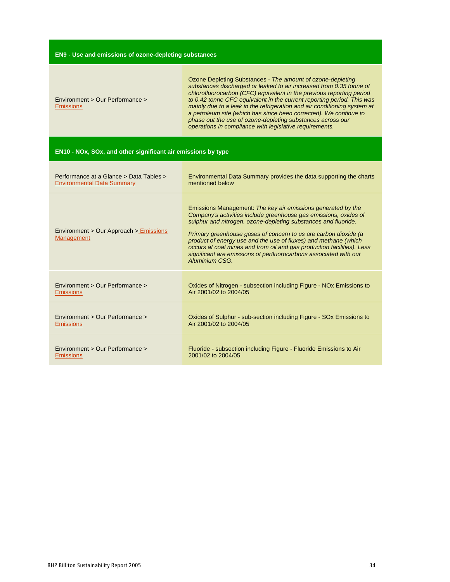| <b>EN9 - Use and emissions of ozone-depleting substances</b> |  |  |
|--------------------------------------------------------------|--|--|
|                                                              |  |  |
|                                                              |  |  |

| Environment > Our Performance ><br><b>Emissions</b>          | Ozone Depleting Substances - The amount of ozone-depleting<br>substances discharged or leaked to air increased from 0.35 tonne of<br>chlorofluorocarbon (CFC) equivalent in the previous reporting period<br>to 0.42 tonne CFC equivalent in the current reporting period. This was<br>mainly due to a leak in the refrigeration and air conditioning system at<br>a petroleum site (which has since been corrected). We continue to<br>phase out the use of ozone-depleting substances across our<br>operations in compliance with legislative requirements. |
|--------------------------------------------------------------|---------------------------------------------------------------------------------------------------------------------------------------------------------------------------------------------------------------------------------------------------------------------------------------------------------------------------------------------------------------------------------------------------------------------------------------------------------------------------------------------------------------------------------------------------------------|
| EN10 - NOx, SOx, and other significant air emissions by type |                                                                                                                                                                                                                                                                                                                                                                                                                                                                                                                                                               |
| Performance at a Glance > Data Tables >                      | Environmental Data Summary provides the data supporting the charts                                                                                                                                                                                                                                                                                                                                                                                                                                                                                            |
| <b>Environmental Data Summary</b>                            | mentioned below                                                                                                                                                                                                                                                                                                                                                                                                                                                                                                                                               |
| Environment > Our Approach > Emissions<br>Management         | Emissions Management: The key air emissions generated by the<br>Company's activities include greenhouse gas emissions, oxides of<br>sulphur and nitrogen, ozone-depleting substances and fluoride.<br>Primary greenhouse gases of concern to us are carbon dioxide (a<br>product of energy use and the use of fluxes) and methane (which<br>occurs at coal mines and from oil and gas production facilities). Less<br>significant are emissions of perfluorocarbons associated with our<br>Aluminium CSG.                                                     |
| Environment > Our Performance >                              | Oxides of Nitrogen - subsection including Figure - NOx Emissions to                                                                                                                                                                                                                                                                                                                                                                                                                                                                                           |
| <b>Emissions</b>                                             | Air 2001/02 to 2004/05                                                                                                                                                                                                                                                                                                                                                                                                                                                                                                                                        |
| Environment > Our Performance >                              | Oxides of Sulphur - sub-section including Figure - SOx Emissions to                                                                                                                                                                                                                                                                                                                                                                                                                                                                                           |
| <b>Emissions</b>                                             | Air 2001/02 to 2004/05                                                                                                                                                                                                                                                                                                                                                                                                                                                                                                                                        |
| Environment > Our Performance >                              | Fluoride - subsection including Figure - Fluoride Emissions to Air                                                                                                                                                                                                                                                                                                                                                                                                                                                                                            |
| <b>Emissions</b>                                             | 2001/02 to 2004/05                                                                                                                                                                                                                                                                                                                                                                                                                                                                                                                                            |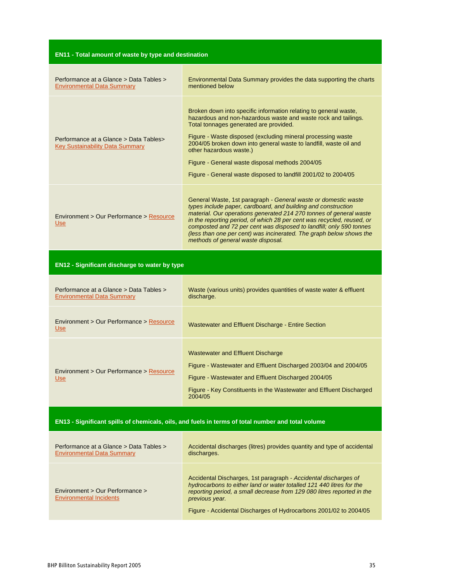| <b>EN11 - Total amount of waste by type and destination</b>                                       |                                                                                                                                                                                                                                                                                                                                                                                                                                                                     |
|---------------------------------------------------------------------------------------------------|---------------------------------------------------------------------------------------------------------------------------------------------------------------------------------------------------------------------------------------------------------------------------------------------------------------------------------------------------------------------------------------------------------------------------------------------------------------------|
| Performance at a Glance > Data Tables ><br><b>Environmental Data Summary</b>                      | Environmental Data Summary provides the data supporting the charts<br>mentioned below                                                                                                                                                                                                                                                                                                                                                                               |
| Performance at a Glance > Data Tables><br><b>Key Sustainability Data Summary</b>                  | Broken down into specific information relating to general waste,<br>hazardous and non-hazardous waste and waste rock and tailings.<br>Total tonnages generated are provided.<br>Figure - Waste disposed (excluding mineral processing waste<br>2004/05 broken down into general waste to landfill, waste oil and<br>other hazardous waste.)<br>Figure - General waste disposal methods 2004/05<br>Figure - General waste disposed to landfill 2001/02 to 2004/05    |
| Environment > Our Performance > Resource<br><b>Use</b>                                            | General Waste, 1st paragraph - General waste or domestic waste<br>types include paper, cardboard, and building and construction<br>material. Our operations generated 214 270 tonnes of general waste<br>in the reporting period, of which 28 per cent was recycled, reused, or<br>composted and 72 per cent was disposed to landfill; only 590 tonnes<br>(less than one per cent) was incinerated. The graph below shows the<br>methods of general waste disposal. |
| <b>EN12 - Significant discharge to water by type</b>                                              |                                                                                                                                                                                                                                                                                                                                                                                                                                                                     |
| Performance at a Glance > Data Tables ><br><b>Environmental Data Summary</b>                      | Waste (various units) provides quantities of waste water & effluent<br>discharge.                                                                                                                                                                                                                                                                                                                                                                                   |
| Environment > Our Performance > Resource<br><b>Use</b>                                            | Wastewater and Effluent Discharge - Entire Section                                                                                                                                                                                                                                                                                                                                                                                                                  |
| Environment > Our Performance > Resource<br><u>Use</u>                                            | <b>Wastewater and Effluent Discharge</b><br>Figure - Wastewater and Effluent Discharged 2003/04 and 2004/05<br>Figure - Wastewater and Effluent Discharged 2004/05<br>Figure - Key Constituents in the Wastewater and Effluent Discharged<br>2004/05                                                                                                                                                                                                                |
| EN13 - Significant spills of chemicals, oils, and fuels in terms of total number and total volume |                                                                                                                                                                                                                                                                                                                                                                                                                                                                     |
| Performance at a Glance > Data Tables ><br>Environmental Data Summary                             | Accidental discharges (litres) provides quantity and type of accidental<br>discharges.                                                                                                                                                                                                                                                                                                                                                                              |
| Environment > Our Performance ><br><b>Environmental Incidents</b>                                 | Accidental Discharges, 1st paragraph - Accidental discharges of<br>hydrocarbons to either land or water totalled 121 440 litres for the<br>reporting period, a small decrease from 129 080 litres reported in the<br>previous year.<br>Figure - Accidental Discharges of Hydrocarbons 2001/02 to 2004/05                                                                                                                                                            |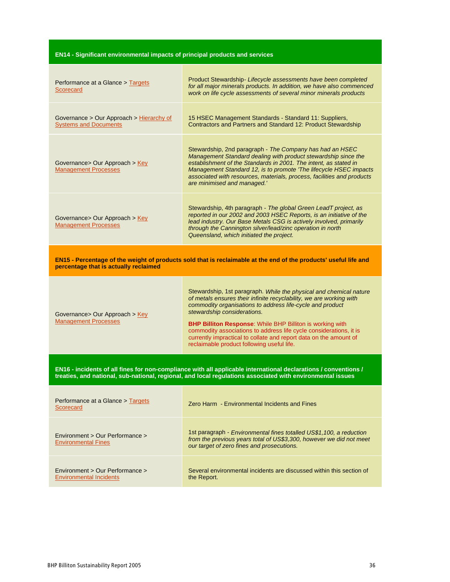# **EN14 - Significant environmental impacts of principal products and services**

| Performance at a Glance > Targets<br>Scorecard                                                                                                                                                                                | Product Stewardship - Lifecycle assessments have been completed<br>for all major minerals products. In addition, we have also commenced<br>work on life cycle assessments of several minor minerals products                                                                                                                                                                                                                                                                                       |
|-------------------------------------------------------------------------------------------------------------------------------------------------------------------------------------------------------------------------------|----------------------------------------------------------------------------------------------------------------------------------------------------------------------------------------------------------------------------------------------------------------------------------------------------------------------------------------------------------------------------------------------------------------------------------------------------------------------------------------------------|
| Governance > Our Approach > Hierarchy of<br><b>Systems and Documents</b>                                                                                                                                                      | 15 HSEC Management Standards - Standard 11: Suppliers,<br>Contractors and Partners and Standard 12: Product Stewardship                                                                                                                                                                                                                                                                                                                                                                            |
| Governance> Our Approach > Key<br><b>Management Processes</b>                                                                                                                                                                 | Stewardship, 2nd paragraph - The Company has had an HSEC<br>Management Standard dealing with product stewardship since the<br>establishment of the Standards in 2001. The intent, as stated in<br>Management Standard 12, is to promote 'The lifecycle HSEC impacts<br>associated with resources, materials, process, facilities and products<br>are minimised and managed.'                                                                                                                       |
| Governance> Our Approach > Key<br><b>Management Processes</b>                                                                                                                                                                 | Stewardship, 4th paragraph - The global Green LeadT project, as<br>reported in our 2002 and 2003 HSEC Reports, is an initiative of the<br>lead industry. Our Base Metals CSG is actively involved, primarily<br>through the Cannington silver/lead/zinc operation in north<br>Queensland, which initiated the project.                                                                                                                                                                             |
| EN15 - Percentage of the weight of products sold that is reclaimable at the end of the products' useful life and<br>percentage that is actually reclaimed                                                                     |                                                                                                                                                                                                                                                                                                                                                                                                                                                                                                    |
| Governance> Our Approach > Key<br><b>Management Processes</b>                                                                                                                                                                 | Stewardship, 1st paragraph. While the physical and chemical nature<br>of metals ensures their infinite recyclability, we are working with<br>commodity organisations to address life-cycle and product<br>stewardship considerations.<br><b>BHP Billiton Response: While BHP Billiton is working with</b><br>commodity associations to address life cycle considerations, it is<br>currently impractical to collate and report data on the amount of<br>reclaimable product following useful life. |
| EN16 - incidents of all fines for non-compliance with all applicable international declarations / conventions /<br>treaties, and national, sub-national, regional, and local regulations associated with environmental issues |                                                                                                                                                                                                                                                                                                                                                                                                                                                                                                    |
| Performance at a Glance > Targets<br>Scorecard                                                                                                                                                                                | Zero Harm - Environmental Incidents and Fines                                                                                                                                                                                                                                                                                                                                                                                                                                                      |
| Environment > Our Performance ><br><b>Environmental Fines</b>                                                                                                                                                                 | 1st paragraph - Environmental fines totalled US\$1,100, a reduction<br>from the previous years total of US\$3,300, however we did not meet<br>our target of zero fines and prosecutions.                                                                                                                                                                                                                                                                                                           |
| Environment > Our Performance ><br><b>Environmental Incidents</b>                                                                                                                                                             | Several environmental incidents are discussed within this section of<br>the Report.                                                                                                                                                                                                                                                                                                                                                                                                                |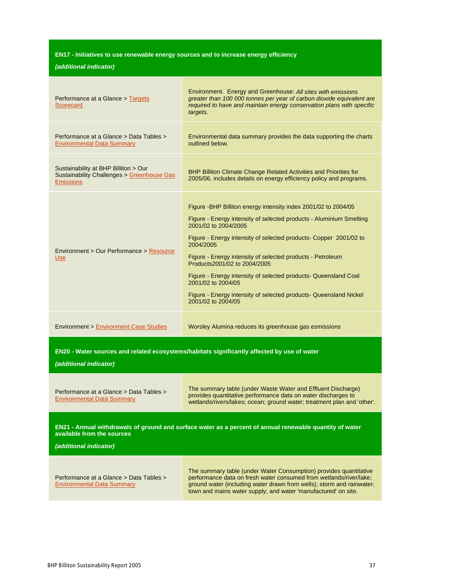# **EN17 - Initiatives to use renewable energy sources and to increase energy efficiency**

| Performance at a Glance > Targets<br>Scorecard                                                                                                                   | Environment. Energy and Greenhouse: All sites with emissions<br>greater than 100 000 tonnes per year of carbon dioxide equivalent are<br>required to have and maintain energy conservation plans with specific<br>targets.                                                                                                                                                                                                                                                                                                         |  |
|------------------------------------------------------------------------------------------------------------------------------------------------------------------|------------------------------------------------------------------------------------------------------------------------------------------------------------------------------------------------------------------------------------------------------------------------------------------------------------------------------------------------------------------------------------------------------------------------------------------------------------------------------------------------------------------------------------|--|
| Performance at a Glance > Data Tables ><br><b>Environmental Data Summary</b>                                                                                     | Environmental data summary provides the data supporting the charts<br>outlined below.                                                                                                                                                                                                                                                                                                                                                                                                                                              |  |
| Sustainability at BHP Billiton > Our<br><b>Sustainability Challenges &gt; Greenhouse Gas</b><br><b>Emissions</b>                                                 | BHP Billiton Climate Change Related Activities and Priorities for<br>2005/06, includes details on energy efficiency policy and programs.                                                                                                                                                                                                                                                                                                                                                                                           |  |
| Environment > Our Performance > Resource<br><b>Use</b>                                                                                                           | Figure - BHP Billiton energy intensity index 2001/02 to 2004/05<br>Figure - Energy intensity of selected products - Aluminium Smelting<br>2001/02 to 2004/2005<br>Figure - Energy intensity of selected products- Copper 2001/02 to<br>2004/2005<br>Figure - Energy intensity of selected products - Petroleum<br>Products2001/02 to 2004/2005<br>Figure - Energy intensity of selected products- Queensland Coal<br>2001/02 to 2004/05<br>Figure - Energy intensity of selected products- Queensland Nickel<br>2001/02 to 2004/05 |  |
| <b>Environment &gt; Environment Case Studies</b>                                                                                                                 | Worsley Alumina reduces its greenhouse gas esmissions                                                                                                                                                                                                                                                                                                                                                                                                                                                                              |  |
| EN20 - Water sources and related ecosystems/habitats significantly affected by use of water<br>(additional indicator)                                            |                                                                                                                                                                                                                                                                                                                                                                                                                                                                                                                                    |  |
| Performance at a Glance > Data Tables ><br>Environmental Data Summary                                                                                            | The summary table (under Waste Water and Effluent Discharge)<br>provides quantitative performance data on water discharges to<br>wetlands/rivers/lakes; ocean; ground water; treatment plan and 'other'.                                                                                                                                                                                                                                                                                                                           |  |
| EN21 - Annual withdrawals of ground and surface water as a percent of annual renewable quantity of water<br>available from the sources<br>(additional indicator) |                                                                                                                                                                                                                                                                                                                                                                                                                                                                                                                                    |  |
| Performance at a Glance > Data Tables ><br><b>Environmental Data Summary</b>                                                                                     | The summary table (under Water Consumption) provides quantitative<br>performance data on fresh water consumed from wetlands/river/lake;<br>ground water (including water drawn from wells); storm and rainwater;<br>town and mains water supply; and water 'manufactured' on site.                                                                                                                                                                                                                                                 |  |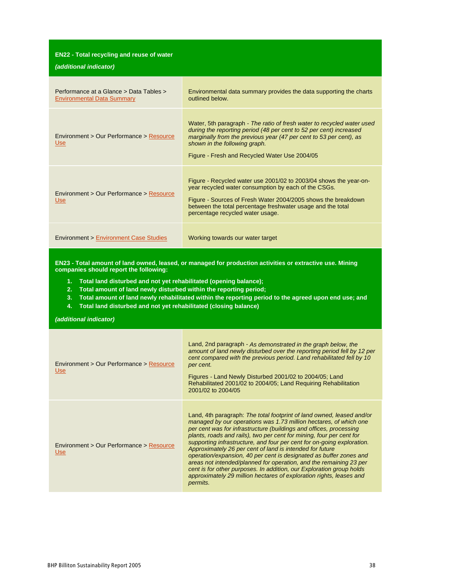| <b>EN22 - Total recycling and reuse of water</b><br>(additional indicator)   |                                                                                                                                                                                                                                                                                                      |
|------------------------------------------------------------------------------|------------------------------------------------------------------------------------------------------------------------------------------------------------------------------------------------------------------------------------------------------------------------------------------------------|
| Performance at a Glance > Data Tables ><br><b>Environmental Data Summary</b> | Environmental data summary provides the data supporting the charts<br>outlined below.                                                                                                                                                                                                                |
| Environment > Our Performance > Resource<br><b>Use</b>                       | Water, 5th paragraph - The ratio of fresh water to recycled water used<br>during the reporting period (48 per cent to 52 per cent) increased<br>marginally from the previous year (47 per cent to 53 per cent), as<br>shown in the following graph.<br>Figure - Fresh and Recycled Water Use 2004/05 |
| Environment > Our Performance > Resource<br><b>Use</b>                       | Figure - Recycled water use 2001/02 to 2003/04 shows the year-on-<br>year recycled water consumption by each of the CSGs.<br>Figure - Sources of Fresh Water 2004/2005 shows the breakdown<br>between the total percentage freshwater usage and the total<br>percentage recycled water usage.        |
| <b>Environment &gt; Environment Case Studies</b>                             | Working towards our water target                                                                                                                                                                                                                                                                     |

**EN23 - Total amount of land owned, leased, or managed for production activities or extractive use. Mining companies should report the following:**

- **1. Total land disturbed and not yet rehabilitated (opening balance);**
- **2. Total amount of land newly disturbed within the reporting period;**
- 3. Total amount of land newly rehabilitated within the reporting period to the agreed upon end use; and
- **4. Total land disturbed and not yet rehabilitated (closing balance)**

| Environment > Our Performance > Resource<br><b>Use</b> | Land, 2nd paragraph - As demonstrated in the graph below, the<br>amount of land newly disturbed over the reporting period fell by 12 per<br>cent compared with the previous period. Land rehabilitated fell by 10<br>per cent.<br>Figures - Land Newly Disturbed 2001/02 to 2004/05; Land<br>Rehabilitated 2001/02 to 2004/05; Land Requiring Rehabilitation<br>2001/02 to 2004/05                                                                                                                                                                                                                                                                                                                                                    |
|--------------------------------------------------------|---------------------------------------------------------------------------------------------------------------------------------------------------------------------------------------------------------------------------------------------------------------------------------------------------------------------------------------------------------------------------------------------------------------------------------------------------------------------------------------------------------------------------------------------------------------------------------------------------------------------------------------------------------------------------------------------------------------------------------------|
| Environment > Our Performance > Resource<br><b>Use</b> | Land, 4th paragraph: The total footprint of land owned, leased and/or<br>managed by our operations was 1.73 million hectares, of which one<br>per cent was for infrastructure (buildings and offices, processing<br>plants, roads and rails), two per cent for mining, four per cent for<br>supporting infrastructure, and four per cent for on-going exploration.<br>Approximately 26 per cent of land is intended for future<br>operation/expansion, 40 per cent is designated as buffer zones and<br>areas not intended/planned for operation, and the remaining 23 per<br>cent is for other purposes. In addition, our Exploration group holds<br>approximately 29 million hectares of exploration rights, leases and<br>permits. |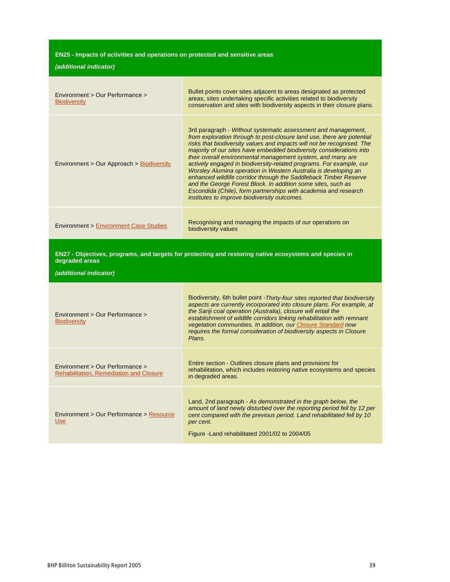# **EN25 - Impacts of activities and operations on protected and sensitive areas**

| Environment > Our Performance ><br><b>Biodiversity</b>                            | Bullet points cover sites adjacent to areas designated as protected<br>areas, sites undertaking specific activities related to biodiversity<br>conservation and sites with biodiversity aspects in their closure plans.                                                                                                                                                                                                                                                                                                                                                                                                                                                                                                                                   |
|-----------------------------------------------------------------------------------|-----------------------------------------------------------------------------------------------------------------------------------------------------------------------------------------------------------------------------------------------------------------------------------------------------------------------------------------------------------------------------------------------------------------------------------------------------------------------------------------------------------------------------------------------------------------------------------------------------------------------------------------------------------------------------------------------------------------------------------------------------------|
| Environment > Our Approach > Biodiversity                                         | 3rd paragraph - Without systematic assessment and management,<br>from exploration through to post-closure land use, there are potential<br>risks that biodiversity values and impacts will not be recognised. The<br>majority of our sites have embedded biodiversity considerations into<br>their overall environmental management system, and many are<br>actively engaged in biodiversity-related programs. For example, our<br>Worsley Alumina operation in Western Australia is developing an<br>enhanced wildlife corridor through the Saddleback Timber Reserve<br>and the George Forest Block. In addition some sites, such as<br>Escondida (Chile), form partnerships with academia and research<br>institutes to improve biodiversity outcomes. |
| <b>Environment &gt; Environment Case Studies</b>                                  | Recognising and managing the impacts of our operations on<br>biodiversity values                                                                                                                                                                                                                                                                                                                                                                                                                                                                                                                                                                                                                                                                          |
| degraded areas                                                                    | EN27 - Objectives, programs, and targets for protecting and restoring native ecosystems and species in                                                                                                                                                                                                                                                                                                                                                                                                                                                                                                                                                                                                                                                    |
| (additional indicator)                                                            |                                                                                                                                                                                                                                                                                                                                                                                                                                                                                                                                                                                                                                                                                                                                                           |
| Environment > Our Performance ><br><b>Biodiversity</b>                            | Biodiversity, 6th bullet point - Thirty-four sites reported that biodiversity<br>aspects are currently incorporated into closure plans. For example, at<br>the Sariji coal operation (Australia), closure will entail the<br>establishment of wildlife corridors linking rehabilitation with remnant<br>vegetation communities. In addition, our Closure Standard now<br>requires the formal consideration of biodiversity aspects in Closure<br>Plans.                                                                                                                                                                                                                                                                                                   |
| Environment > Our Performance ><br><b>Rehabilitation, Remediation and Closure</b> | Entire section - Outlines closure plans and provisions for<br>rehabilitation, which includes restoring native ecosystems and species<br>in degraded areas.                                                                                                                                                                                                                                                                                                                                                                                                                                                                                                                                                                                                |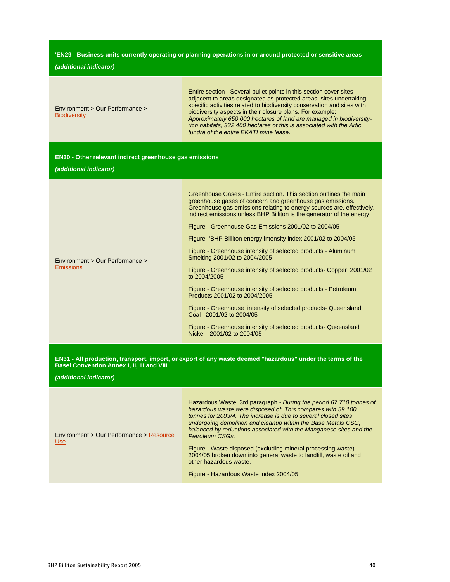#### **'EN29 - Business units currently operating or planning operations in or around protected or sensitive areas**

#### **(additional indicator)**

#### **EN30 - Other relevant indirect greenhouse gas emissions**

**(additional indicator)**

Environment > Our Performance >

**Emissions** 

Greenhouse Gases - Entire section. This section outlines the main greenhouse gases of concern and greenhouse gas emissions. Greenhouse gas emissions relating to energy sources are, effectively, indirect emissions unless BHP Billiton is the generator of the energy.

Figure - Greenhouse Gas Emissions 2001/02 to 2004/05

Figure -'BHP Billiton energy intensity index 2001/02 to 2004/05

Figure - Greenhouse intensity of selected products - Aluminum Smelting 2001/02 to 2004/2005

Figure - Greenhouse intensity of selected products- Copper 2001/02 to 2004/2005

Figure - Greenhouse intensity of selected products - Petroleum Products 2001/02 to 2004/2005

Figure - Greenhouse intensity of selected products- Queensland Coal 2001/02 to 2004/05

Figure - Greenhouse intensity of selected products- Queensland Nickel 2001/02 to 2004/05

EN31 - All production, transport, import, or export of any waste deemed "hazardous" under the terms of the **Basel Convention Annex I, II, III and VIII**

| Environment > Our Performance > Resource<br>Use | Hazardous Waste, 3rd paragraph - During the period 67 710 tonnes of<br>hazardous waste were disposed of. This compares with 59 100<br>tonnes for 2003/4. The increase is due to several closed sites<br>undergoing demolition and cleanup within the Base Metals CSG.<br>balanced by reductions associated with the Manganese sites and the<br>Petroleum CSGs. |
|-------------------------------------------------|----------------------------------------------------------------------------------------------------------------------------------------------------------------------------------------------------------------------------------------------------------------------------------------------------------------------------------------------------------------|
|                                                 | Figure - Waste disposed (excluding mineral processing waste)<br>2004/05 broken down into general waste to landfill, waste oil and<br>other hazardous waste.                                                                                                                                                                                                    |
|                                                 | Figure - Hazardous Waste index 2004/05                                                                                                                                                                                                                                                                                                                         |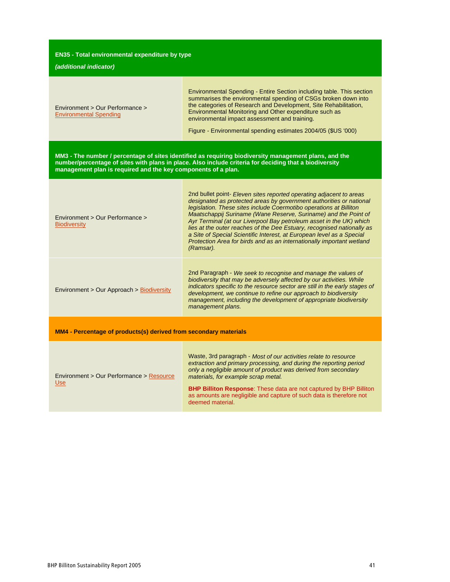| EN35 - Total environmental expenditure by type                          |                                                                                                                                                                                                                                                                                                                                                                                                                                                                                                                                                                                                     |
|-------------------------------------------------------------------------|-----------------------------------------------------------------------------------------------------------------------------------------------------------------------------------------------------------------------------------------------------------------------------------------------------------------------------------------------------------------------------------------------------------------------------------------------------------------------------------------------------------------------------------------------------------------------------------------------------|
| (additional indicator)                                                  |                                                                                                                                                                                                                                                                                                                                                                                                                                                                                                                                                                                                     |
| Environment > Our Performance ><br><b>Environmental Spending</b>        | Environmental Spending - Entire Section including table. This section<br>summarises the environmental spending of CSGs broken down into<br>the categories of Research and Development, Site Rehabilitation,<br>Environmental Monitoring and Other expenditure such as<br>environmental impact assessment and training.<br>Figure - Environmental spending estimates 2004/05 (\$US '000)                                                                                                                                                                                                             |
| management plan is required and the key components of a plan.           | MM3 - The number / percentage of sites identified as requiring biodiversity management plans, and the<br>number/percentage of sites with plans in place. Also include criteria for deciding that a biodiversity                                                                                                                                                                                                                                                                                                                                                                                     |
| Environment > Our Performance ><br><b>Biodiversity</b>                  | 2nd bullet point- Eleven sites reported operating adjacent to areas<br>designated as protected areas by government authorities or national<br>legislation. These sites include Coermotibo operations at Billiton<br>Maatschappij Suriname (Wane Reserve, Suriname) and the Point of<br>Ayr Terminal (at our Liverpool Bay petroleum asset in the UK) which<br>lies at the outer reaches of the Dee Estuary, recognised nationally as<br>a Site of Special Scientific Interest, at European level as a Special<br>Protection Area for birds and as an internationally important wetland<br>(Ramsar). |
| Environment > Our Approach > Biodiversity                               | 2nd Paragraph - We seek to recognise and manage the values of<br>biodiversity that may be adversely affected by our activities. While<br>indicators specific to the resource sector are still in the early stages of<br>development, we continue to refine our approach to biodiversity<br>management, including the development of appropriate biodiversity<br>management plans.                                                                                                                                                                                                                   |
| <b>MM4 - Percentage of products(s) derived from secondary materials</b> |                                                                                                                                                                                                                                                                                                                                                                                                                                                                                                                                                                                                     |
| Environment > Our Performance > Resource<br><b>Use</b>                  | Waste, 3rd paragraph - Most of our activities relate to resource<br>extraction and primary processing, and during the reporting period<br>only a negligible amount of product was derived from secondary<br>materials, for example scrap metal.<br><b>BHP Billiton Response:</b> These data are not captured by BHP Billiton<br>as amounts are negligible and capture of such data is therefore not<br>deemed material.                                                                                                                                                                             |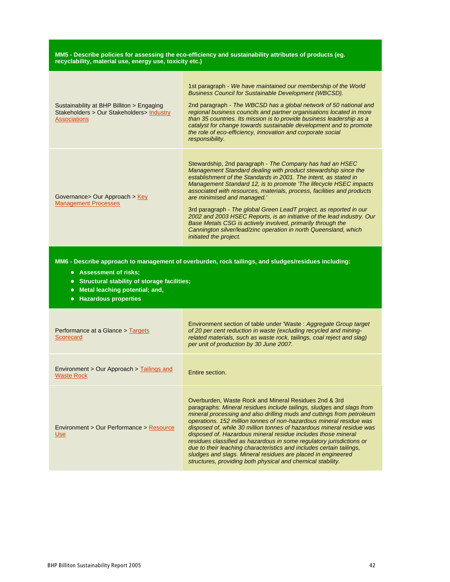#### **MM5 - Describe policies for assessing the eco-efficiency and sustainability attributes of products (eg. recyclability, material use, energy use, toxicity etc.)**

| Sustainability at BHP Billiton > Engaging<br>Stakeholders > Our Stakeholders > Industry<br><b>Associations</b> | 1st paragraph - We have maintained our membership of the World<br><b>Business Council for Sustainable Development (WBCSD).</b><br>2nd paragraph - The WBCSD has a global network of 50 national and<br>regional business councils and partner organisations located in more<br>than 35 countries. Its mission is to provide business leadership as a<br>catalyst for change towards sustainable development and to promote<br>the role of eco-efficiency, innovation and corporate social<br>responsibility.                                                                                                                                                                              |
|----------------------------------------------------------------------------------------------------------------|-------------------------------------------------------------------------------------------------------------------------------------------------------------------------------------------------------------------------------------------------------------------------------------------------------------------------------------------------------------------------------------------------------------------------------------------------------------------------------------------------------------------------------------------------------------------------------------------------------------------------------------------------------------------------------------------|
| Governance > Our Approach > $Key$<br><b>Management Processes</b>                                               | Stewardship, 2nd paragraph - The Company has had an HSEC<br>Management Standard dealing with product stewardship since the<br>establishment of the Standards in 2001. The intent, as stated in<br>Management Standard 12, is to promote 'The lifecycle HSEC impacts<br>associated with resources, materials, process, facilities and products<br>are minimised and managed.'<br>3rd paragraph - The global Green LeadT project, as reported in our<br>2002 and 2003 HSEC Reports, is an initiative of the lead industry. Our<br>Base Metals CSG is actively involved, primarily through the<br>Cannington silver/lead/zinc operation in north Queensland, which<br>initiated the project. |

**MM6 - Describe approach to management of overburden, rock tailings, and sludges/residues including:**

- **Assessment of risks;**
- **Structural stability of storage facilities;**
- **Metal leaching potential; and,**
- **Hazardous properties**

| Performance at a Glance > Targets<br>Scorecard                 | Environment section of table under 'Waste: Aggregate Group target<br>of 20 per cent reduction in waste (excluding recycled and mining-<br>related materials, such as waste rock, tailings, coal reject and slag)<br>per unit of production by 30 June 2007.                                                                                                                                                                                                                                                                                                                                                                                                                                             |
|----------------------------------------------------------------|---------------------------------------------------------------------------------------------------------------------------------------------------------------------------------------------------------------------------------------------------------------------------------------------------------------------------------------------------------------------------------------------------------------------------------------------------------------------------------------------------------------------------------------------------------------------------------------------------------------------------------------------------------------------------------------------------------|
| Environment > Our Approach > Tailings and<br><b>Waste Rock</b> | Entire section.                                                                                                                                                                                                                                                                                                                                                                                                                                                                                                                                                                                                                                                                                         |
| Environment > Our Performance > Resource<br><b>Use</b>         | Overburden, Waste Rock and Mineral Residues 2nd & 3rd<br>paragraphs: Mineral residues include tailings, sludges and slags from<br>mineral processing and also drilling muds and cuttings from petroleum<br>operations. 152 million tonnes of non-hazardous mineral residue was<br>disposed of, while 30 million tonnes of hazardous mineral residue was<br>disposed of. Hazardous mineral residue includes those mineral<br>residues classified as hazardous in some regulatory jurisdictions or<br>due to their leaching characteristics and includes certain tailings,<br>sludges and slags. Mineral residues are placed in engineered<br>structures, providing both physical and chemical stability. |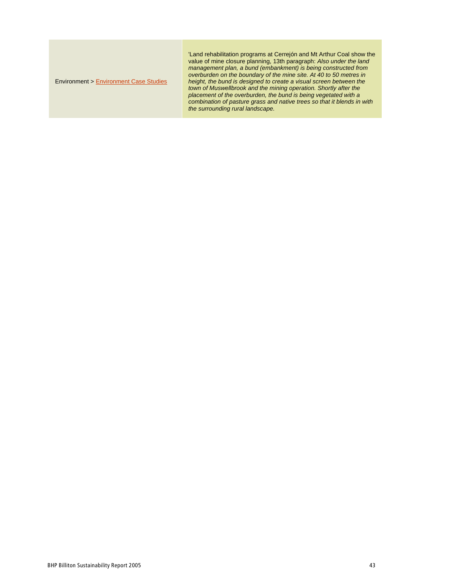#### Environment > Environment Case Studies

'Land rehabilitation programs at Cerrejón and Mt Arthur Coal show the value of mine closure planning, 13th paragraph: Also under the land management plan, a bund (embankment) is being constructed from overburden on the boundary of the mine site. At 40 to 50 metres in height, the bund is designed to create a visual screen between the town of Muswellbrook and the mining operation. Shortly after the placement of the overburden, the bund is being vegetated with a combination of pasture grass and native trees so that it blends in with the surrounding rural landscape.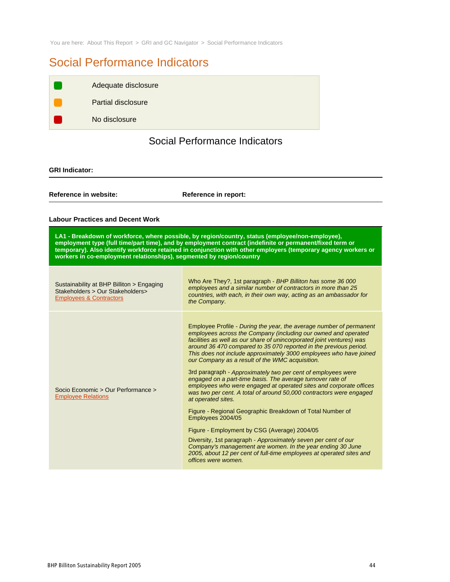You are here: About This Report > GRI and GC Navigator > Social Performance Indicators

# Social Performance Indicators

| Partial disclosure<br>No disclosure | Adequate disclosure |
|-------------------------------------|---------------------|
|                                     |                     |
|                                     |                     |

# Social Performance Indicators

### **GRI Indicator:**

**Reference in website: Reference in report:**

#### **Labour Practices and Decent Work**

| LA1 - Breakdown of workforce, where possible, by region/country, status (employee/non-employee),              |
|---------------------------------------------------------------------------------------------------------------|
| employment type (full time/part time), and by employment contract (indefinite or permanent/fixed term or      |
| temporary). Also identify workforce retained in conjunction with other employers (temporary agency workers or |
| workers in co-employment relationships), segmented by region/country                                          |

| Sustainability at BHP Billiton > Engaging<br>Stakeholders > Our Stakeholders><br><b>Employees &amp; Contractors</b> | Who Are They?, 1st paragraph - BHP Billiton has some 36 000<br>employees and a similar number of contractors in more than 25<br>countries, with each, in their own way, acting as an ambassador for<br>the Company.                                                                                                                                                                                                                                                                                                                                                                                                                                                                                                                                                                                                                                                                                                                                                                                                                                                            |
|---------------------------------------------------------------------------------------------------------------------|--------------------------------------------------------------------------------------------------------------------------------------------------------------------------------------------------------------------------------------------------------------------------------------------------------------------------------------------------------------------------------------------------------------------------------------------------------------------------------------------------------------------------------------------------------------------------------------------------------------------------------------------------------------------------------------------------------------------------------------------------------------------------------------------------------------------------------------------------------------------------------------------------------------------------------------------------------------------------------------------------------------------------------------------------------------------------------|
| Socio Economic > Our Performance ><br><b>Employee Relations</b>                                                     | Employee Profile - During the year, the average number of permanent<br>employees across the Company (including our owned and operated<br>facilities as well as our share of unincorporated joint ventures) was<br>around 36 470 compared to 35 070 reported in the previous period.<br>This does not include approximately 3000 employees who have joined<br>our Company as a result of the WMC acquisition.<br>3rd paragraph - Approximately two per cent of employees were<br>engaged on a part-time basis. The average turnover rate of<br>employees who were engaged at operated sites and corporate offices<br>was two per cent. A total of around 50,000 contractors were engaged<br>at operated sites.<br>Figure - Regional Geographic Breakdown of Total Number of<br>Employees 2004/05<br>Figure - Employment by CSG (Average) 2004/05<br>Diversity, 1st paragraph - Approximately seven per cent of our<br>Company's management are women. In the year ending 30 June<br>2005, about 12 per cent of full-time employees at operated sites and<br>offices were women. |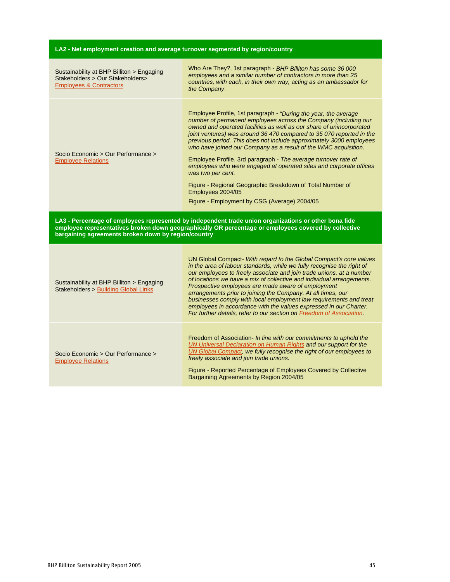| LA2 - Net employment creation and average turnover segmented by region/country                                      |                                                                                                                                                                                                                                                                                                                                                                                                                                                                                                                                                                                                                                                                                                                             |
|---------------------------------------------------------------------------------------------------------------------|-----------------------------------------------------------------------------------------------------------------------------------------------------------------------------------------------------------------------------------------------------------------------------------------------------------------------------------------------------------------------------------------------------------------------------------------------------------------------------------------------------------------------------------------------------------------------------------------------------------------------------------------------------------------------------------------------------------------------------|
| Sustainability at BHP Billiton > Engaging<br>Stakeholders > Our Stakeholders><br><b>Employees &amp; Contractors</b> | Who Are They?, 1st paragraph - BHP Billiton has some 36 000<br>employees and a similar number of contractors in more than 25<br>countries, with each, in their own way, acting as an ambassador for<br>the Company.                                                                                                                                                                                                                                                                                                                                                                                                                                                                                                         |
| Socio Economic > Our Performance ><br><b>Employee Relations</b>                                                     | Employee Profile, 1st paragraph - "During the year, the average<br>number of permanent employees across the Company (including our<br>owned and operated facilities as well as our share of unincorporated<br>joint ventures) was around 36 470 compared to 35 070 reported in the<br>previous period. This does not include approximately 3000 employees<br>who have joined our Company as a result of the WMC acquisition.<br>Employee Profile, 3rd paragraph - The average turnover rate of<br>employees who were engaged at operated sites and corporate offices<br>was two per cent.<br>Figure - Regional Geographic Breakdown of Total Number of<br>Employees 2004/05<br>Figure - Employment by CSG (Average) 2004/05 |
|                                                                                                                     |                                                                                                                                                                                                                                                                                                                                                                                                                                                                                                                                                                                                                                                                                                                             |
| bargaining agreements broken down by region/country                                                                 | LA3 - Percentage of employees represented by independent trade union organizations or other bona fide<br>employee representatives broken down geographically OR percentage or employees covered by collective                                                                                                                                                                                                                                                                                                                                                                                                                                                                                                               |
| Sustainability at BHP Billiton > Engaging<br><b>Stakeholders &gt; Building Global Links</b>                         | UN Global Compact- With regard to the Global Compact's core values<br>in the area of labour standards, while we fully recognise the right of<br>our employees to freely associate and join trade unions, at a number<br>of locations we have a mix of collective and individual arrangements.<br>Prospective employees are made aware of employment<br>arrangements prior to joining the Company. At all times, our<br>businesses comply with local employment law requirements and treat<br>employees in accordance with the values expressed in our Charter.<br>For further details, refer to our section on Freedom of Association.                                                                                      |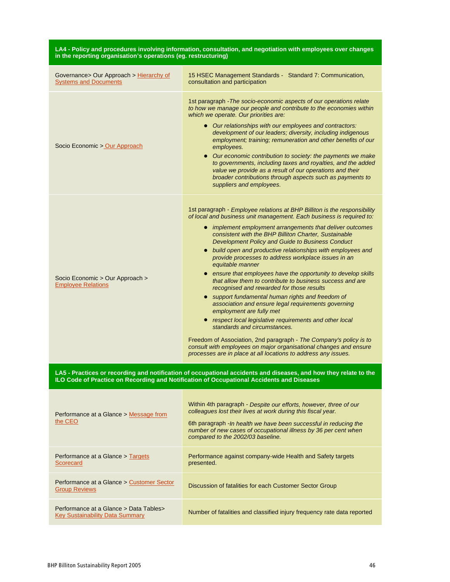| LA4 - Policy and procedures involving information, consultation, and negotiation with employees over changes<br>in the reporting organisation's operations (eg. restructuring)                                |                                                                                                                                                                                                                                                                                                                                                                                                                                                                                                                                                                                                                                                                                                                                                                                                                                                                                                                                                                                                                                                                                                    |  |
|---------------------------------------------------------------------------------------------------------------------------------------------------------------------------------------------------------------|----------------------------------------------------------------------------------------------------------------------------------------------------------------------------------------------------------------------------------------------------------------------------------------------------------------------------------------------------------------------------------------------------------------------------------------------------------------------------------------------------------------------------------------------------------------------------------------------------------------------------------------------------------------------------------------------------------------------------------------------------------------------------------------------------------------------------------------------------------------------------------------------------------------------------------------------------------------------------------------------------------------------------------------------------------------------------------------------------|--|
| Governance> Our Approach > Hierarchy of<br><b>Systems and Documents</b>                                                                                                                                       | 15 HSEC Management Standards - Standard 7: Communication,<br>consultation and participation                                                                                                                                                                                                                                                                                                                                                                                                                                                                                                                                                                                                                                                                                                                                                                                                                                                                                                                                                                                                        |  |
| Socio Economic > Our Approach                                                                                                                                                                                 | 1st paragraph - The socio-economic aspects of our operations relate<br>to how we manage our people and contribute to the economies within<br>which we operate. Our priorities are:<br>• Our relationships with our employees and contractors:<br>development of our leaders; diversity, including indigenous<br>employment; training; remuneration and other benefits of our<br>employees.<br>• Our economic contribution to society: the payments we make<br>to governments, including taxes and royalties, and the added<br>value we provide as a result of our operations and their<br>broader contributions through aspects such as payments to<br>suppliers and employees.                                                                                                                                                                                                                                                                                                                                                                                                                    |  |
| Socio Economic > Our Approach ><br><b>Employee Relations</b>                                                                                                                                                  | 1st paragraph - Employee relations at BHP Billiton is the responsibility<br>of local and business unit management. Each business is required to:<br>• implement employment arrangements that deliver outcomes<br>consistent with the BHP Billiton Charter, Sustainable<br>Development Policy and Guide to Business Conduct<br>• build open and productive relationships with employees and<br>provide processes to address workplace issues in an<br>equitable manner<br>• ensure that employees have the opportunity to develop skills<br>that allow them to contribute to business success and are<br>recognised and rewarded for those results<br>• support fundamental human rights and freedom of<br>association and ensure legal requirements governing<br>employment are fully met<br>• respect local legislative requirements and other local<br>standards and circumstances.<br>Freedom of Association, 2nd paragraph - The Company's policy is to<br>consult with employees on major organisational changes and ensure<br>processes are in place at all locations to address any issues. |  |
| LA5 - Practices or recording and notification of occupational accidents and diseases, and how they relate to the<br>ILO Code of Practice on Recording and Notification of Occupational Accidents and Diseases |                                                                                                                                                                                                                                                                                                                                                                                                                                                                                                                                                                                                                                                                                                                                                                                                                                                                                                                                                                                                                                                                                                    |  |
| Performance at a Glance > Message from<br>the CEO                                                                                                                                                             | Within 4th paragraph - Despite our efforts, however, three of our<br>colleagues lost their lives at work during this fiscal year.<br>6th paragraph - In health we have been successful in reducing the<br>number of new cases of occupational illness by 36 per cent when<br>compared to the 2002/03 baseline.                                                                                                                                                                                                                                                                                                                                                                                                                                                                                                                                                                                                                                                                                                                                                                                     |  |
| Performance at a Glance > Targets<br><b>Scorecard</b>                                                                                                                                                         | Performance against company-wide Health and Safety targets<br>presented.                                                                                                                                                                                                                                                                                                                                                                                                                                                                                                                                                                                                                                                                                                                                                                                                                                                                                                                                                                                                                           |  |
| Performance at a Glance > Customer Sector<br><b>Group Reviews</b>                                                                                                                                             | Discussion of fatalities for each Customer Sector Group                                                                                                                                                                                                                                                                                                                                                                                                                                                                                                                                                                                                                                                                                                                                                                                                                                                                                                                                                                                                                                            |  |
| Performance at a Glance > Data Tables ><br><b>Key Sustainability Data Summary</b>                                                                                                                             | Number of fatalities and classified injury frequency rate data reported                                                                                                                                                                                                                                                                                                                                                                                                                                                                                                                                                                                                                                                                                                                                                                                                                                                                                                                                                                                                                            |  |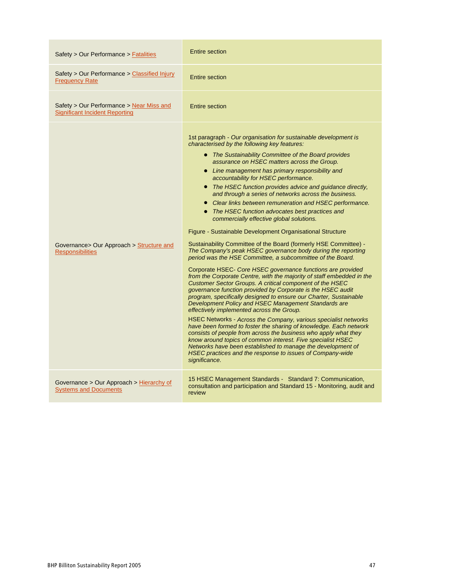| Safety > Our Performance > Fatalities                                             | <b>Entire section</b>                                                                                                                                                                                                                                                                                                                                                                                                                                                                                                                                                                                                                                                                                                                                                                                                                                                                                                                                                                                                                                                                                                                                                                                                                                                                                                                                                                                                                                                                                                                                                                                                                                                                                                                   |
|-----------------------------------------------------------------------------------|-----------------------------------------------------------------------------------------------------------------------------------------------------------------------------------------------------------------------------------------------------------------------------------------------------------------------------------------------------------------------------------------------------------------------------------------------------------------------------------------------------------------------------------------------------------------------------------------------------------------------------------------------------------------------------------------------------------------------------------------------------------------------------------------------------------------------------------------------------------------------------------------------------------------------------------------------------------------------------------------------------------------------------------------------------------------------------------------------------------------------------------------------------------------------------------------------------------------------------------------------------------------------------------------------------------------------------------------------------------------------------------------------------------------------------------------------------------------------------------------------------------------------------------------------------------------------------------------------------------------------------------------------------------------------------------------------------------------------------------------|
| Safety > Our Performance > Classified Injury<br><b>Frequency Rate</b>             | Entire section                                                                                                                                                                                                                                                                                                                                                                                                                                                                                                                                                                                                                                                                                                                                                                                                                                                                                                                                                                                                                                                                                                                                                                                                                                                                                                                                                                                                                                                                                                                                                                                                                                                                                                                          |
| Safety > Our Performance > Near Miss and<br><b>Significant Incident Reporting</b> | <b>Entire section</b>                                                                                                                                                                                                                                                                                                                                                                                                                                                                                                                                                                                                                                                                                                                                                                                                                                                                                                                                                                                                                                                                                                                                                                                                                                                                                                                                                                                                                                                                                                                                                                                                                                                                                                                   |
| Governance> Our Approach > Structure and<br><b>Responsibilities</b>               | 1st paragraph - Our organisation for sustainable development is<br>characterised by the following key features:<br>• The Sustainability Committee of the Board provides<br>assurance on HSEC matters across the Group.<br>• Line management has primary responsibility and<br>accountability for HSEC performance.<br>• The HSEC function provides advice and guidance directly,<br>and through a series of networks across the business.<br>• Clear links between remuneration and HSEC performance.<br>• The HSEC function advocates best practices and<br>commercially effective global solutions.<br>Figure - Sustainable Development Organisational Structure<br>Sustainability Committee of the Board (formerly HSE Committee) -<br>The Company's peak HSEC governance body during the reporting<br>period was the HSE Committee, a subcommittee of the Board.<br>Corporate HSEC Core HSEC governance functions are provided<br>from the Corporate Centre, with the majority of staff embedded in the<br>Customer Sector Groups. A critical component of the HSEC<br>governance function provided by Corporate is the HSEC audit<br>program, specifically designed to ensure our Charter, Sustainable<br>Development Policy and HSEC Management Standards are<br>effectively implemented across the Group.<br>HSEC Networks - Across the Company, various specialist networks<br>have been formed to foster the sharing of knowledge. Each network<br>consists of people from across the business who apply what they<br>know around topics of common interest. Five specialist HSEC<br>Networks have been established to manage the development of<br>HSEC practices and the response to issues of Company-wide<br>significance. |
| Governance > Our Approach > Hierarchy of<br><b>Systems and Documents</b>          | 15 HSEC Management Standards - Standard 7: Communication,<br>consultation and participation and Standard 15 - Monitoring, audit and<br>review                                                                                                                                                                                                                                                                                                                                                                                                                                                                                                                                                                                                                                                                                                                                                                                                                                                                                                                                                                                                                                                                                                                                                                                                                                                                                                                                                                                                                                                                                                                                                                                           |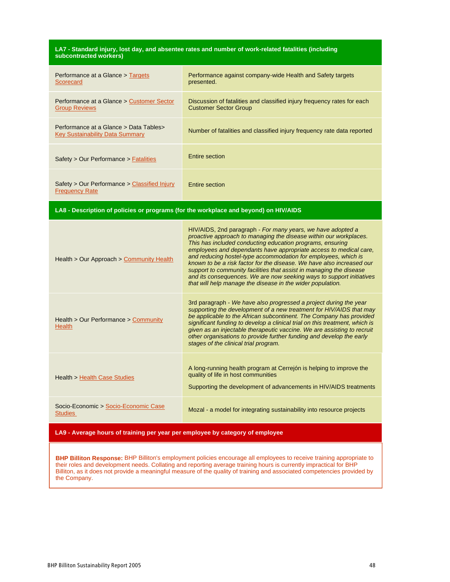#### **LA7 - Standard injury, lost day, and absentee rates and number of work-related fatalities (including subcontracted workers)**

| Performance at a Glance > Targets<br>Scorecard                             | Performance against company-wide Health and Safety targets<br>presented.                                |
|----------------------------------------------------------------------------|---------------------------------------------------------------------------------------------------------|
| Performance at a Glance > Customer Sector<br><b>Group Reviews</b>          | Discussion of fatalities and classified injury frequency rates for each<br><b>Customer Sector Group</b> |
| Performance at a Glance > Data Tables ><br>Key Sustainability Data Summary | Number of fatalities and classified injury frequency rate data reported                                 |
| Safety > Our Performance > Fatalities                                      | Entire section                                                                                          |
| Safety > Our Performance > Classified Injury<br><b>Frequency Rate</b>      | Entire section                                                                                          |

**LA8 - Description of policies or programs (for the workplace and beyond) on HIV/AIDS**

| Health > Our Approach > Community Health               | HIV/AIDS, 2nd paragraph - For many years, we have adopted a<br>proactive approach to managing the disease within our workplaces.<br>This has included conducting education programs, ensuring<br>employees and dependants have appropriate access to medical care,<br>and reducing hostel-type accommodation for employees, which is<br>known to be a risk factor for the disease. We have also increased our<br>support to community facilities that assist in managing the disease<br>and its consequences. We are now seeking ways to support initiatives<br>that will help manage the disease in the wider population. |
|--------------------------------------------------------|----------------------------------------------------------------------------------------------------------------------------------------------------------------------------------------------------------------------------------------------------------------------------------------------------------------------------------------------------------------------------------------------------------------------------------------------------------------------------------------------------------------------------------------------------------------------------------------------------------------------------|
| Health > Our Performance > Community<br><b>Health</b>  | 3rd paragraph - We have also progressed a project during the year<br>supporting the development of a new treatment for HIV/AIDS that may<br>be applicable to the African subcontinent. The Company has provided<br>significant funding to develop a clinical trial on this treatment, which is<br>given as an injectable therapeutic vaccine. We are assisting to recruit<br>other organisations to provide further funding and develop the early<br>stages of the clinical trial program.                                                                                                                                 |
| Health > Health Case Studies                           | A long-running health program at Cerrejon is helping to improve the<br>quality of life in host communities<br>Supporting the development of advancements in HIV/AIDS treatments                                                                                                                                                                                                                                                                                                                                                                                                                                            |
| Socio-Economic > Socio-Economic Case<br><b>Studies</b> | Mozal - a model for integrating sustainability into resource projects                                                                                                                                                                                                                                                                                                                                                                                                                                                                                                                                                      |

**LA9 - Average hours of training per year per employee by category of employee**

**BHP Billiton Response:** BHP Billiton's employment policies encourage all employees to receive training appropriate to their roles and development needs. Collating and reporting average training hours is currently impractical for BHP Billiton, as it does not provide a meaningful measure of the quality of training and associated competencies provided by the Company.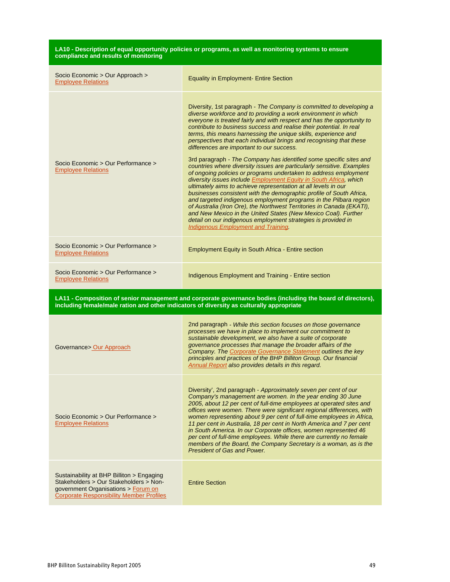| LA10 - Description of equal opportunity policies or programs, as well as monitoring systems to ensure<br>compliance and results of monitoring                                 |                                                                                                                                                                                                                                                                                                                                                                                                                                                                                                                                                                                                                                                                                                                                                                                                                                                                                                                                                                                                                                                                                                                                                                                                                                              |
|-------------------------------------------------------------------------------------------------------------------------------------------------------------------------------|----------------------------------------------------------------------------------------------------------------------------------------------------------------------------------------------------------------------------------------------------------------------------------------------------------------------------------------------------------------------------------------------------------------------------------------------------------------------------------------------------------------------------------------------------------------------------------------------------------------------------------------------------------------------------------------------------------------------------------------------------------------------------------------------------------------------------------------------------------------------------------------------------------------------------------------------------------------------------------------------------------------------------------------------------------------------------------------------------------------------------------------------------------------------------------------------------------------------------------------------|
| Socio Economic > Our Approach ><br><b>Employee Relations</b>                                                                                                                  | <b>Equality in Employment- Entire Section</b>                                                                                                                                                                                                                                                                                                                                                                                                                                                                                                                                                                                                                                                                                                                                                                                                                                                                                                                                                                                                                                                                                                                                                                                                |
| Socio Economic > Our Performance ><br><b>Employee Relations</b>                                                                                                               | Diversity, 1st paragraph - The Company is committed to developing a<br>diverse workforce and to providing a work environment in which<br>everyone is treated fairly and with respect and has the opportunity to<br>contribute to business success and realise their potential. In real<br>terms, this means harnessing the unique skills, experience and<br>perspectives that each individual brings and recognising that these<br>differences are important to our success.<br>3rd paragraph - The Company has identified some specific sites and<br>countries where diversity issues are particularly sensitive. Examples<br>of ongoing policies or programs undertaken to address employment<br>diversity issues include Employment Equity in South Africa, which<br>ultimately aims to achieve representation at all levels in our<br>businesses consistent with the demographic profile of South Africa,<br>and targeted indigenous employment programs in the Pilbara region<br>of Australia (Iron Ore), the Northwest Territories in Canada (EKATI),<br>and New Mexico in the United States (New Mexico Coal). Further<br>detail on our indigenous employment strategies is provided in<br><b>Indigenous Employment and Training.</b> |
| Socio Economic > Our Performance ><br><b>Employee Relations</b>                                                                                                               | <b>Employment Equity in South Africa - Entire section</b>                                                                                                                                                                                                                                                                                                                                                                                                                                                                                                                                                                                                                                                                                                                                                                                                                                                                                                                                                                                                                                                                                                                                                                                    |
| Socio Economic > Our Performance ><br><b>Employee Relations</b>                                                                                                               | Indigenous Employment and Training - Entire section                                                                                                                                                                                                                                                                                                                                                                                                                                                                                                                                                                                                                                                                                                                                                                                                                                                                                                                                                                                                                                                                                                                                                                                          |
| including female/male ration and other indicators of diversity as culturally appropriate                                                                                      | LA11 - Composition of senior management and corporate governance bodies (including the board of directors),                                                                                                                                                                                                                                                                                                                                                                                                                                                                                                                                                                                                                                                                                                                                                                                                                                                                                                                                                                                                                                                                                                                                  |
| Governance> Our Approach                                                                                                                                                      | 2nd paragraph - While this section focuses on those governance<br>processes we have in place to implement our commitment to<br>sustainable development, we also have a suite of corporate<br>governance processes that manage the broader affairs of the<br>Company. The Corporate Governance Statement outlines the key<br>principles and practices of the BHP Billiton Group. Our financial<br>Annual Report also provides details in this regard.                                                                                                                                                                                                                                                                                                                                                                                                                                                                                                                                                                                                                                                                                                                                                                                         |
| Socio Economic > Our Performance ><br><b>Employee Relations</b>                                                                                                               | Diversity', 2nd paragraph - Approximately seven per cent of our<br>Company's management are women. In the year ending 30 June<br>2005, about 12 per cent of full-time employees at operated sites and<br>offices were women. There were significant regional differences, with<br>women representing about 9 per cent of full-time employees in Africa,<br>11 per cent in Australia, 18 per cent in North America and 7 per cent<br>in South America. In our Corporate offices, women represented 46<br>per cent of full-time employees. While there are currently no female<br>members of the Board, the Company Secretary is a woman, as is the<br><b>President of Gas and Power.</b>                                                                                                                                                                                                                                                                                                                                                                                                                                                                                                                                                      |
| Sustainability at BHP Billiton > Engaging<br>Stakeholders > Our Stakeholders > Non-<br>government Organisations > Forum on<br><b>Corporate Responsibility Member Profiles</b> | <b>Entire Section</b>                                                                                                                                                                                                                                                                                                                                                                                                                                                                                                                                                                                                                                                                                                                                                                                                                                                                                                                                                                                                                                                                                                                                                                                                                        |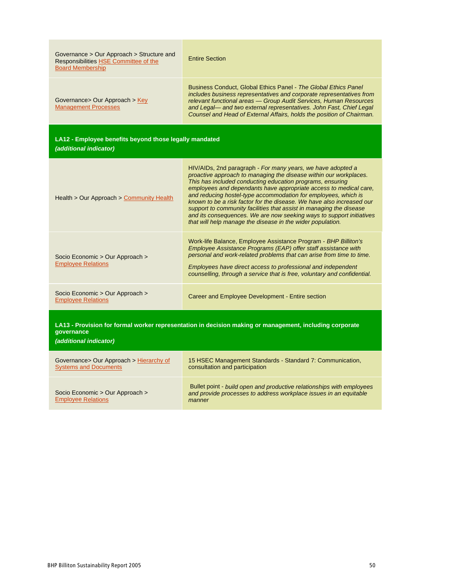| Governance > Our Approach > Structure and<br>Responsibilities HSE Committee of the<br><b>Board Membership</b>                                   | <b>Entire Section</b>                                                                                                                                                                                                                                                                                                                                                                                                                                                                                                                                                                                                      |
|-------------------------------------------------------------------------------------------------------------------------------------------------|----------------------------------------------------------------------------------------------------------------------------------------------------------------------------------------------------------------------------------------------------------------------------------------------------------------------------------------------------------------------------------------------------------------------------------------------------------------------------------------------------------------------------------------------------------------------------------------------------------------------------|
| Governance> Our Approach > Key<br><b>Management Processes</b>                                                                                   | Business Conduct, Global Ethics Panel - The Global Ethics Panel<br>includes business representatives and corporate representatives from<br>relevant functional areas - Group Audit Services, Human Resources<br>and Legal-and two external representatives. John Fast, Chief Legal<br>Counsel and Head of External Affairs, holds the position of Chairman.                                                                                                                                                                                                                                                                |
| LA12 - Employee benefits beyond those legally mandated<br>(additional indicator)                                                                |                                                                                                                                                                                                                                                                                                                                                                                                                                                                                                                                                                                                                            |
| Health > Our Approach > Community Health                                                                                                        | HIV/AIDs, 2nd paragraph - For many years, we have adopted a<br>proactive approach to managing the disease within our workplaces.<br>This has included conducting education programs, ensuring<br>employees and dependants have appropriate access to medical care,<br>and reducing hostel-type accommodation for employees, which is<br>known to be a risk factor for the disease. We have also increased our<br>support to community facilities that assist in managing the disease<br>and its consequences. We are now seeking ways to support initiatives<br>that will help manage the disease in the wider population. |
| Socio Economic > Our Approach ><br><b>Employee Relations</b>                                                                                    | Work-life Balance, Employee Assistance Program - BHP Billiton's<br>Employee Assistance Programs (EAP) offer staff assistance with<br>personal and work-related problems that can arise from time to time.<br>Employees have direct access to professional and independent<br>counselling, through a service that is free, voluntary and confidential.                                                                                                                                                                                                                                                                      |
| Socio Economic > Our Approach ><br><b>Employee Relations</b>                                                                                    | Career and Employee Development - Entire section                                                                                                                                                                                                                                                                                                                                                                                                                                                                                                                                                                           |
| LA13 - Provision for formal worker representation in decision making or management, including corporate<br>qovernance<br>(additional indicator) |                                                                                                                                                                                                                                                                                                                                                                                                                                                                                                                                                                                                                            |
| Governance> Our Approach > Hierarchy of<br><b>Systems and Documents</b>                                                                         | 15 HSEC Management Standards - Standard 7: Communication,<br>consultation and participation                                                                                                                                                                                                                                                                                                                                                                                                                                                                                                                                |
|                                                                                                                                                 | Bullet point - build open and productive relationships with employees                                                                                                                                                                                                                                                                                                                                                                                                                                                                                                                                                      |

manner

Socio Economic > Our Approach > Employee Relations

Bullet point - build open and productive relationships with employees and provide processes to address workplace issues in an equitable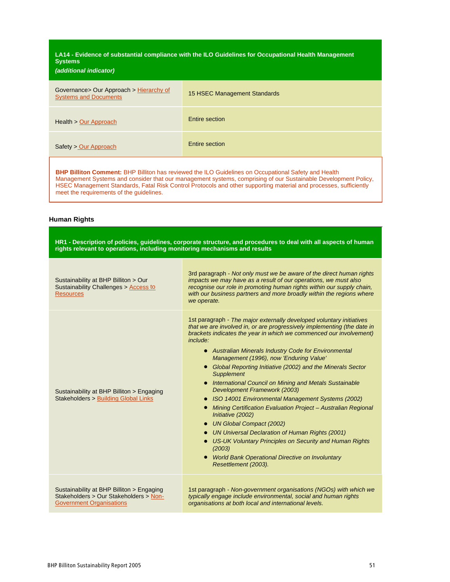**LA14 - Evidence of substantial compliance with the ILO Guidelines for Occupational Health Management Systems**

### **(additional indicator)**

| Governance> Our Approach > Hierarchy of<br><b>Systems and Documents</b> | 15 HSEC Management Standards |
|-------------------------------------------------------------------------|------------------------------|
| Health > Our Approach                                                   | Entire section               |
| Safety > Our Approach                                                   | Entire section               |
|                                                                         |                              |

**BHP Billiton Comment:** BHP Billiton has reviewed the ILO Guidelines on Occupational Safety and Health Management Systems and consider that our management systems, comprising of our Sustainable Development Policy, HSEC Management Standards, Fatal Risk Control Protocols and other supporting material and processes, sufficiently meet the requirements of the guidelines.

#### **Human Rights**

| HR1 - Description of policies, guidelines, corporate structure, and procedures to deal with all aspects of human<br>rights relevant to operations, including monitoring mechanisms and results |                                                                                                                                                                                                                                                                                                                                                                                                                                                                                                                                                                                                                                                                                                                                                                                                                                                                                                                 |
|------------------------------------------------------------------------------------------------------------------------------------------------------------------------------------------------|-----------------------------------------------------------------------------------------------------------------------------------------------------------------------------------------------------------------------------------------------------------------------------------------------------------------------------------------------------------------------------------------------------------------------------------------------------------------------------------------------------------------------------------------------------------------------------------------------------------------------------------------------------------------------------------------------------------------------------------------------------------------------------------------------------------------------------------------------------------------------------------------------------------------|
| Sustainability at BHP Billiton > Our<br>Sustainability Challenges > Access to<br><b>Resources</b>                                                                                              | 3rd paragraph - Not only must we be aware of the direct human rights<br>impacts we may have as a result of our operations, we must also<br>recognise our role in promoting human rights within our supply chain,<br>with our business partners and more broadly within the regions where<br>we operate.                                                                                                                                                                                                                                                                                                                                                                                                                                                                                                                                                                                                         |
| Sustainability at BHP Billiton > Engaging<br>Stakeholders > Building Global Links                                                                                                              | 1st paragraph - The major externally developed voluntary initiatives<br>that we are involved in, or are progressively implementing (the date in<br>brackets indicates the year in which we commenced our involvement)<br>include:<br>• Australian Minerals Industry Code for Environmental<br>Management (1996), now 'Enduring Value'<br>• Global Reporting Initiative (2002) and the Minerals Sector<br><b>Supplement</b><br>• International Council on Mining and Metals Sustainable<br>Development Framework (2003)<br>• ISO 14001 Environmental Management Systems (2002)<br>• Mining Certification Evaluation Project - Australian Regional<br>Initiative (2002)<br><b>UN Global Compact (2002)</b><br>• UN Universal Declaration of Human Rights (2001)<br>• US-UK Voluntary Principles on Security and Human Rights<br>(2003)<br>World Bank Operational Directive on Involuntary<br>Resettlement (2003). |
| Sustainability at BHP Billiton > Engaging<br>Stakeholders > Our Stakeholders > Non-<br><b>Government Organisations</b>                                                                         | 1st paragraph - Non-government organisations (NGOs) with which we<br>typically engage include environmental, social and human rights<br>organisations at both local and international levels.                                                                                                                                                                                                                                                                                                                                                                                                                                                                                                                                                                                                                                                                                                                   |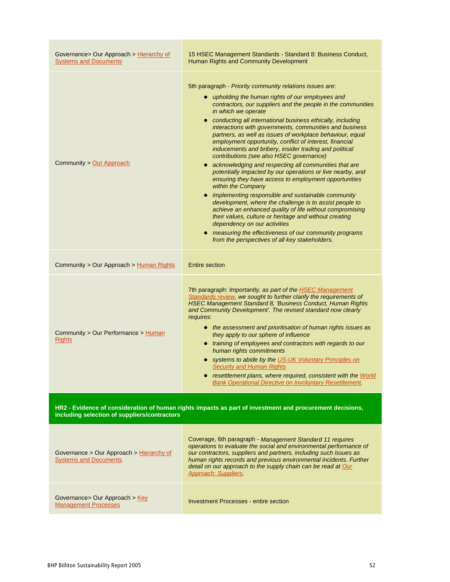| Governance> Our Approach > Hierarchy of<br><b>Systems and Documents</b>                                                                                  | 15 HSEC Management Standards - Standard 8: Business Conduct,<br>Human Rights and Community Development                                                                                                                                                                                                                                                                                                                                                                                                                                                                                                                                                                                                                                                                                                                                                                                                                                                                                                                                                                                                                                                      |
|----------------------------------------------------------------------------------------------------------------------------------------------------------|-------------------------------------------------------------------------------------------------------------------------------------------------------------------------------------------------------------------------------------------------------------------------------------------------------------------------------------------------------------------------------------------------------------------------------------------------------------------------------------------------------------------------------------------------------------------------------------------------------------------------------------------------------------------------------------------------------------------------------------------------------------------------------------------------------------------------------------------------------------------------------------------------------------------------------------------------------------------------------------------------------------------------------------------------------------------------------------------------------------------------------------------------------------|
| Community > Our Approach                                                                                                                                 | 5th paragraph - Priority community relations issues are:<br>• upholding the human rights of our employees and<br>contractors, our suppliers and the people in the communities<br>in which we operate<br>• conducting all international business ethically, including<br>interactions with governments, communities and business<br>partners, as well as issues of workplace behaviour, equal<br>employment opportunity, conflict of interest, financial<br>inducements and bribery, insider trading and political<br>contributions (see also HSEC governance)<br>• acknowledging and respecting all communities that are<br>potentially impacted by our operations or live nearby, and<br>ensuring they have access to employment opportunities<br>within the Company<br>• implementing responsible and sustainable community<br>development, where the challenge is to assist people to<br>achieve an enhanced quality of life without compromising<br>their values, culture or heritage and without creating<br>dependency on our activities<br>• measuring the effectiveness of our community programs<br>from the perspectives of all key stakeholders. |
| Community > Our Approach > Human Rights                                                                                                                  | <b>Entire section</b>                                                                                                                                                                                                                                                                                                                                                                                                                                                                                                                                                                                                                                                                                                                                                                                                                                                                                                                                                                                                                                                                                                                                       |
| Community > Our Performance > Human<br><b>Rights</b>                                                                                                     | 7th paragraph: Importantly, as part of the <b>HSEC Management</b><br>Standards review, we sought to further clarify the requirements of<br>HSEC Management Standard 8, 'Business Conduct, Human Rights<br>and Community Development'. The revised standard now clearly<br>requires:<br>• the assessment and prioritisation of human rights issues as<br>they apply to our sphere of influence<br>• training of employees and contractors with regards to our<br>human rights commitments<br>• systems to abide by the US-UK Voluntary Principles on<br><b>Security and Human Rights</b><br>resettlement plans, where required, consistent with the World<br><b>Bank Operational Directive on Involuntary Resettlement.</b>                                                                                                                                                                                                                                                                                                                                                                                                                                  |
| HR2 - Evidence of consideration of human rights impacts as part of investment and procurement decisions,<br>including selection of suppliers/contractors |                                                                                                                                                                                                                                                                                                                                                                                                                                                                                                                                                                                                                                                                                                                                                                                                                                                                                                                                                                                                                                                                                                                                                             |
| Governance > Our Approach > Hierarchy of<br><b>Systems and Documents</b>                                                                                 | Coverage, 6th paragraph - Management Standard 11 requires<br>operations to evaluate the social and environmental performance of<br>our contractors, suppliers and partners, including such issues as<br>human rights records and previous environmental incidents. Further<br>detail on our approach to the supply chain can be read at Our<br><b>Approach: Suppliers.</b>                                                                                                                                                                                                                                                                                                                                                                                                                                                                                                                                                                                                                                                                                                                                                                                  |
| Governance> Our Approach > Key<br><b>Management Processes</b>                                                                                            | <b>Investment Processes - entire section</b>                                                                                                                                                                                                                                                                                                                                                                                                                                                                                                                                                                                                                                                                                                                                                                                                                                                                                                                                                                                                                                                                                                                |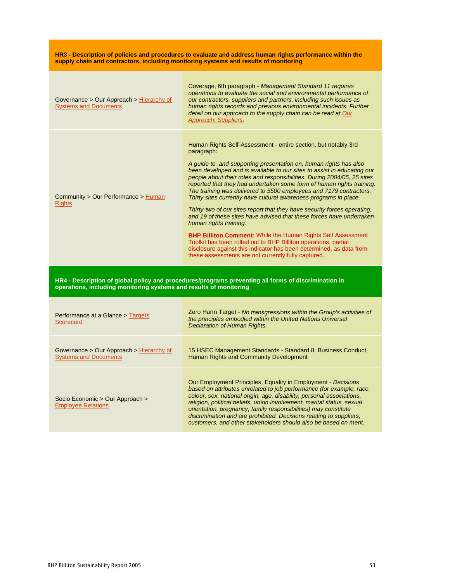**HR3 - Description of policies and procedures to evaluate and address human rights performance within the supply chain and contractors, including monitoring systems and results of monitoring**

| Governance > Our Approach > Hierarchy of<br><b>Systems and Documents</b> | Coverage, 6th paragraph - Management Standard 11 requires<br>operations to evaluate the social and environmental performance of<br>our contractors, suppliers and partners, including such issues as<br>human rights records and previous environmental incidents. Further<br>detail on our approach to the supply chain can be read at Our<br>Approach: Suppliers.                                                                                                                                                                                                                                                                                                                                                                                                                                                                                                                                                        |
|--------------------------------------------------------------------------|----------------------------------------------------------------------------------------------------------------------------------------------------------------------------------------------------------------------------------------------------------------------------------------------------------------------------------------------------------------------------------------------------------------------------------------------------------------------------------------------------------------------------------------------------------------------------------------------------------------------------------------------------------------------------------------------------------------------------------------------------------------------------------------------------------------------------------------------------------------------------------------------------------------------------|
| Community > Our Performance > Human<br><b>Rights</b>                     | Human Rights Self-Assessment - entire section, but notably 3rd<br>paragraph:<br>A guide to, and supporting presentation on, human rights has also<br>been developed and is available to our sites to assist in educating our<br>people about their roles and responsibilities. During 2004/05, 25 sites<br>reported that they had undertaken some form of human rights training.<br>The training was delivered to 5500 employees and 7179 contractors.<br>Thirty sites currently have cultural awareness programs in place.<br>Thirty-two of our sites report that they have security forces operating,<br>and 19 of these sites have advised that these forces have undertaken<br>human rights training.<br><b>BHP Billiton Comment: While the Human Rights Self Assessment</b><br>Toolkit has been rolled out to BHP Billiton operations, partial<br>disclosure against this indicator has been determined, as data from |
|                                                                          | these assessments are not currently fully captured.                                                                                                                                                                                                                                                                                                                                                                                                                                                                                                                                                                                                                                                                                                                                                                                                                                                                        |
| operations, including monitoring systems and results of monitoring       | HR4 - Description of global policy and procedures/programs preventing all forms of discrimination in                                                                                                                                                                                                                                                                                                                                                                                                                                                                                                                                                                                                                                                                                                                                                                                                                       |
| Performance at a Glance > Targets<br>Scorecard                           | Zero Harm Target - No transgressions within the Group's activities of<br>the principles embodied within the United Nations Universal<br>Declaration of Human Rights.                                                                                                                                                                                                                                                                                                                                                                                                                                                                                                                                                                                                                                                                                                                                                       |
| Governance > Our Approach > Hierarchy of<br><b>Systems and Documents</b> | 15 HSEC Management Standards - Standard 8: Business Conduct,<br>Human Rights and Community Development                                                                                                                                                                                                                                                                                                                                                                                                                                                                                                                                                                                                                                                                                                                                                                                                                     |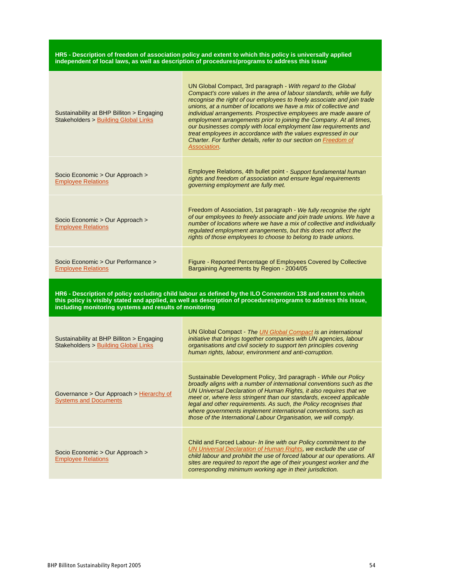#### **HR5 - Description of freedom of association policy and extent to which this policy is universally applied independent of local laws, as well as description of procedures/programs to address this issue**

| Sustainability at BHP Billiton > Engaging<br><b>Stakeholders &gt; Building Global Links</b> | UN Global Compact, 3rd paragraph - With regard to the Global<br>Compact's core values in the area of labour standards, while we fully<br>recognise the right of our employees to freely associate and join trade<br>unions, at a number of locations we have a mix of collective and<br>individual arrangements. Prospective employees are made aware of<br>employment arrangements prior to joining the Company. At all times,<br>our businesses comply with local employment law requirements and<br>treat employees in accordance with the values expressed in our<br>Charter. For further details, refer to our section on Freedom of<br>Association. |
|---------------------------------------------------------------------------------------------|-----------------------------------------------------------------------------------------------------------------------------------------------------------------------------------------------------------------------------------------------------------------------------------------------------------------------------------------------------------------------------------------------------------------------------------------------------------------------------------------------------------------------------------------------------------------------------------------------------------------------------------------------------------|
| Socio Economic > Our Approach ><br><b>Employee Relations</b>                                | Employee Relations, 4th bullet point - Support fundamental human<br>rights and freedom of association and ensure legal requirements<br>governing employment are fully met.                                                                                                                                                                                                                                                                                                                                                                                                                                                                                |
| Socio Economic > Our Approach ><br><b>Employee Relations</b>                                | Freedom of Association, 1st paragraph - We fully recognise the right<br>of our employees to freely associate and join trade unions. We have a<br>number of locations where we have a mix of collective and individually<br>regulated employment arrangements, but this does not affect the<br>rights of those employees to choose to belong to trade unions.                                                                                                                                                                                                                                                                                              |
| Socio Economic > Our Performance ><br><b>Employee Relations</b>                             | Figure - Reported Percentage of Employees Covered by Collective<br>Bargaining Agreements by Region - 2004/05                                                                                                                                                                                                                                                                                                                                                                                                                                                                                                                                              |

HR6 - Description of policy excluding child labour as defined by the ILO Convention 138 and extent to which this policy is visibly stated and applied, as well as description of procedures/programs to address this issue, **including monitoring systems and results of monitoring**

| Sustainability at BHP Billiton > Engaging<br>Stakeholders > Building Global Links | UN Global Compact - The UN Global Compact is an international<br>initiative that brings together companies with UN agencies, labour<br>organisations and civil society to support ten principles covering<br>human rights, labour, environment and anti-corruption.                                                                                                                                                                                                                              |
|-----------------------------------------------------------------------------------|--------------------------------------------------------------------------------------------------------------------------------------------------------------------------------------------------------------------------------------------------------------------------------------------------------------------------------------------------------------------------------------------------------------------------------------------------------------------------------------------------|
| Governance > Our Approach > Hierarchy of<br><b>Systems and Documents</b>          | Sustainable Development Policy, 3rd paragraph - While our Policy<br>broadly aligns with a number of international conventions such as the<br>UN Universal Declaration of Human Rights, it also requires that we<br>meet or, where less stringent than our standards, exceed applicable<br>legal and other requirements. As such, the Policy recognises that<br>where governments implement international conventions, such as<br>those of the International Labour Organisation, we will comply. |
| Socio Economic > Our Approach ><br><b>Employee Relations</b>                      | Child and Forced Labour- In line with our Policy commitment to the<br>UN Universal Declaration of Human Rights, we exclude the use of<br>child labour and prohibit the use of forced labour at our operations. All<br>sites are required to report the age of their youngest worker and the<br>corresponding minimum working age in their jurisdiction.                                                                                                                                          |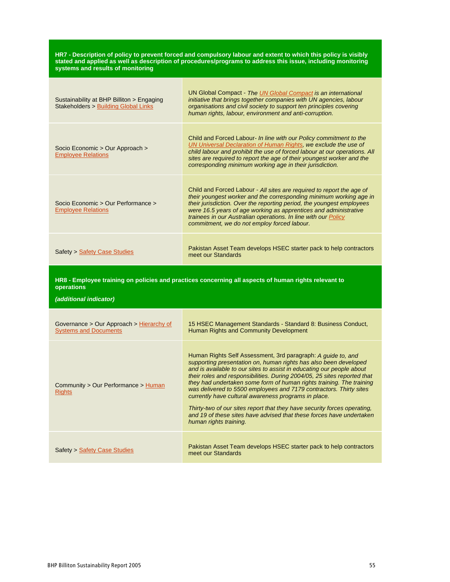HR7 - Description of policy to prevent forced and compulsory labour and extent to which this policy is visibly **stated and applied as well as description of procedures/programs to address this issue, including monitoring systems and results of monitoring**

| Sustainability at BHP Billiton > Engaging<br><b>Stakeholders &gt; Building Global Links</b> | UN Global Compact - The UN Global Compact is an international<br>initiative that brings together companies with UN agencies, labour<br>organisations and civil society to support ten principles covering<br>human rights, labour, environment and anti-corruption.                                                                                                                                       |
|---------------------------------------------------------------------------------------------|-----------------------------------------------------------------------------------------------------------------------------------------------------------------------------------------------------------------------------------------------------------------------------------------------------------------------------------------------------------------------------------------------------------|
| Socio Economic > Our Approach ><br><b>Employee Relations</b>                                | Child and Forced Labour- In line with our Policy commitment to the<br>UN Universal Declaration of Human Rights, we exclude the use of<br>child labour and prohibit the use of forced labour at our operations. All<br>sites are required to report the age of their youngest worker and the<br>corresponding minimum working age in their jurisdiction.                                                   |
| Socio Economic > Our Performance ><br><b>Employee Relations</b>                             | Child and Forced Labour - All sites are required to report the age of<br>their youngest worker and the corresponding minimum working age in<br>their jurisdiction. Over the reporting period, the youngest employees<br>were 16.5 years of age working as apprentices and administrative<br>trainees in our Australian operations. In line with our Policy<br>commitment, we do not employ forced labour. |
| Safety > Safety Case Studies                                                                | Pakistan Asset Team develops HSEC starter pack to help contractors<br>meet our Standards                                                                                                                                                                                                                                                                                                                  |
| operations<br>(additional indicator)                                                        | HR8 - Employee training on policies and practices concerning all aspects of human rights relevant to                                                                                                                                                                                                                                                                                                      |

| Governance > Our Approach > Hierarchy of<br><b>Systems and Documents</b> | 15 HSEC Management Standards - Standard 8: Business Conduct,<br>Human Rights and Community Development                                                                                                                                                                                                                                                                                                                                                                                                                                                                                                                                                                    |
|--------------------------------------------------------------------------|---------------------------------------------------------------------------------------------------------------------------------------------------------------------------------------------------------------------------------------------------------------------------------------------------------------------------------------------------------------------------------------------------------------------------------------------------------------------------------------------------------------------------------------------------------------------------------------------------------------------------------------------------------------------------|
| Community > Our Performance > Human<br><b>Rights</b>                     | Human Rights Self Assessment, 3rd paragraph: A guide to, and<br>supporting presentation on, human rights has also been developed<br>and is available to our sites to assist in educating our people about<br>their roles and responsibilities. During 2004/05, 25 sites reported that<br>they had undertaken some form of human rights training. The training<br>was delivered to 5500 employees and 7179 contractors. Thirty sites<br>currently have cultural awareness programs in place.<br>Thirty-two of our sites report that they have security forces operating.<br>and 19 of these sites have advised that these forces have undertaken<br>human rights training. |
| Safety > Safety Case Studies                                             | Pakistan Asset Team develops HSEC starter pack to help contractors<br>meet our Standards                                                                                                                                                                                                                                                                                                                                                                                                                                                                                                                                                                                  |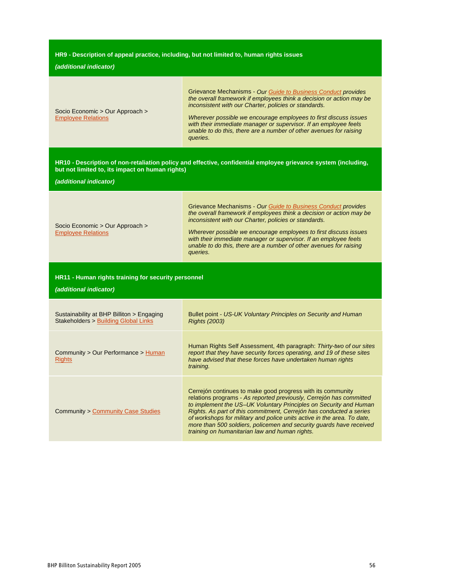#### **HR9 - Description of appeal practice, including, but not limited to, human rights issues**

#### **(additional indicator)**

| <b>Crievance Mechanisms - Our Guide to Business Conduct provides</b> |
|----------------------------------------------------------------------|
| the overall framework if employees think a decision or action may be |
| inconsistent with our Charter, policies or standards.                |

Socio Economic > Our Approach > Employee Relations

Wherever possible we encourage employees to first discuss issues with their immediate manager or supervisor. If an employee feels unable to do this, there are a number of other avenues for raising queries.

**HR10 - Description of non-retaliation policy and effective, confidential employee grievance system (including, but not limited to, its impact on human rights)**

**(additional indicator)**

Grievance Mechanisms - Our Guide to Business Conduct provides the overall framework if employees think a decision or action may be inconsistent with our Charter, policies or standards.

Socio Economic > Our Approach > Employee Relations

Wherever possible we encourage employees to first discuss issues with their immediate manager or supervisor. If an employee feels unable to do this, there are a number of other avenues for raising queries.

**HR11 - Human rights training for security personnel**

| Sustainability at BHP Billiton > Engaging<br>Stakeholders > Building Global Links | Bullet point - US-UK Voluntary Principles on Security and Human<br><b>Rights (2003)</b>                                                                                                                                                                                                                                                                                                                                                                                            |
|-----------------------------------------------------------------------------------|------------------------------------------------------------------------------------------------------------------------------------------------------------------------------------------------------------------------------------------------------------------------------------------------------------------------------------------------------------------------------------------------------------------------------------------------------------------------------------|
| Community > Our Performance > Human<br><b>Rights</b>                              | Human Rights Self Assessment, 4th paragraph: Thirty-two of our sites<br>report that they have security forces operating, and 19 of these sites<br>have advised that these forces have undertaken human rights<br>training.                                                                                                                                                                                                                                                         |
| <b>Community &gt; Community Case Studies</b>                                      | Cerrejón continues to make good progress with its community<br>relations programs - As reported previously, Cerrejón has committed<br>to implement the US-UK Voluntary Principles on Security and Human<br>Rights. As part of this commitment, Cerrejón has conducted a series<br>of workshops for military and police units active in the area. To date,<br>more than 500 soldiers, policemen and security guards have received<br>training on humanitarian law and human rights. |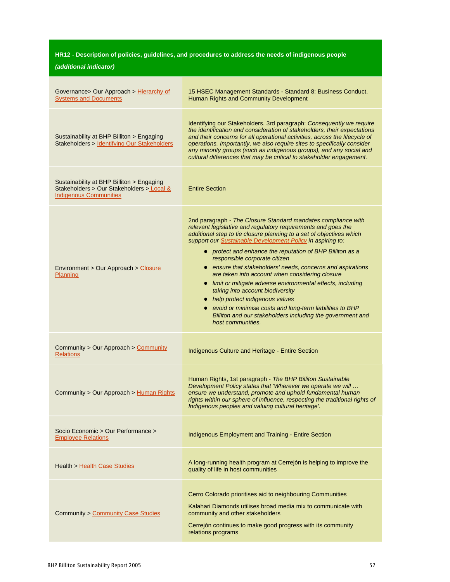# **HR12 - Description of policies, guidelines, and procedures to address the needs of indigenous people**

| Governance> Our Approach > Hierarchy of<br><b>Systems and Documents</b>                                                 | 15 HSEC Management Standards - Standard 8: Business Conduct,<br>Human Rights and Community Development                                                                                                                                                                                                                                                                                                                                                                                                                                                                                                                                                                                                                                                                        |
|-------------------------------------------------------------------------------------------------------------------------|-------------------------------------------------------------------------------------------------------------------------------------------------------------------------------------------------------------------------------------------------------------------------------------------------------------------------------------------------------------------------------------------------------------------------------------------------------------------------------------------------------------------------------------------------------------------------------------------------------------------------------------------------------------------------------------------------------------------------------------------------------------------------------|
| Sustainability at BHP Billiton > Engaging<br>Stakeholders > Identifying Our Stakeholders                                | Identifying our Stakeholders, 3rd paragraph: Consequently we require<br>the identification and consideration of stakeholders, their expectations<br>and their concerns for all operational activities, across the lifecycle of<br>operations. Importantly, we also require sites to specifically consider<br>any minority groups (such as indigenous groups), and any social and<br>cultural differences that may be critical to stakeholder engagement.                                                                                                                                                                                                                                                                                                                      |
| Sustainability at BHP Billiton > Engaging<br>Stakeholders > Our Stakeholders > Local &<br><b>Indigenous Communities</b> | <b>Entire Section</b>                                                                                                                                                                                                                                                                                                                                                                                                                                                                                                                                                                                                                                                                                                                                                         |
| Environment > Our Approach > Closure<br>Planning                                                                        | 2nd paragraph - The Closure Standard mandates compliance with<br>relevant legislative and regulatory requirements and goes the<br>additional step to tie closure planning to a set of objectives which<br>support our Sustainable Development Policy in aspiring to:<br>• protect and enhance the reputation of BHP Billiton as a<br>responsible corporate citizen<br>• ensure that stakeholders' needs, concerns and aspirations<br>are taken into account when considering closure<br>• limit or mitigate adverse environmental effects, including<br>taking into account biodiversity<br>• help protect indigenous values<br>• avoid or minimise costs and long-term liabilities to BHP<br>Billiton and our stakeholders including the government and<br>host communities. |
| Community > Our Approach > Community<br><b>Relations</b>                                                                | Indigenous Culture and Heritage - Entire Section                                                                                                                                                                                                                                                                                                                                                                                                                                                                                                                                                                                                                                                                                                                              |
| Community > Our Approach > Human Rights                                                                                 | Human Rights, 1st paragraph - The BHP Billiton Sustainable<br>Development Policy states that 'Wherever we operate we will<br>ensure we understand, promote and uphold fundamental human<br>rights within our sphere of influence, respecting the traditional rights of<br>Indigenous peoples and valuing cultural heritage'.                                                                                                                                                                                                                                                                                                                                                                                                                                                  |
| Socio Economic > Our Performance ><br><b>Employee Relations</b>                                                         | Indigenous Employment and Training - Entire Section                                                                                                                                                                                                                                                                                                                                                                                                                                                                                                                                                                                                                                                                                                                           |
| <b>Health &gt; Health Case Studies</b>                                                                                  | A long-running health program at Cerrejón is helping to improve the<br>quality of life in host communities                                                                                                                                                                                                                                                                                                                                                                                                                                                                                                                                                                                                                                                                    |
| <b>Community &gt; Community Case Studies</b>                                                                            | Cerro Colorado prioritises aid to neighbouring Communities<br>Kalahari Diamonds utilises broad media mix to communicate with<br>community and other stakeholders<br>Cerrejón continues to make good progress with its community<br>relations programs                                                                                                                                                                                                                                                                                                                                                                                                                                                                                                                         |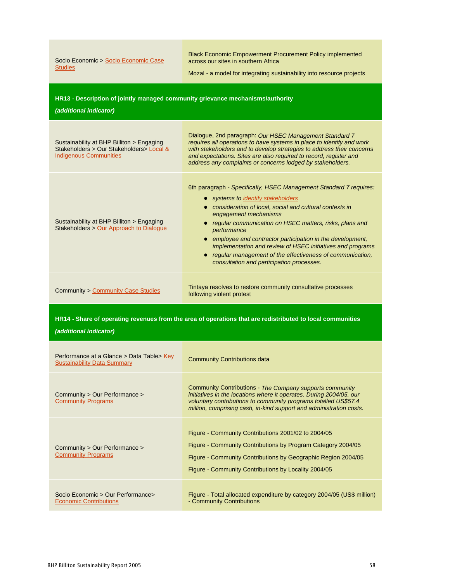| Socio Economic > Socio Economic Case<br><b>Studies</b>                                                                               | <b>Black Economic Empowerment Procurement Policy implemented</b><br>across our sites in southern Africa<br>Mozal - a model for integrating sustainability into resource projects                                                                                                                                                                                                                                                                                                                                               |  |
|--------------------------------------------------------------------------------------------------------------------------------------|--------------------------------------------------------------------------------------------------------------------------------------------------------------------------------------------------------------------------------------------------------------------------------------------------------------------------------------------------------------------------------------------------------------------------------------------------------------------------------------------------------------------------------|--|
| HR13 - Description of jointly managed community grievance mechanisms/authority<br>(additional indicator)                             |                                                                                                                                                                                                                                                                                                                                                                                                                                                                                                                                |  |
| Sustainability at BHP Billiton > Engaging<br>Stakeholders > Our Stakeholders > Local &<br><b>Indigenous Communities</b>              | Dialogue, 2nd paragraph: Our HSEC Management Standard 7<br>requires all operations to have systems in place to identify and work<br>with stakeholders and to develop strategies to address their concerns<br>and expectations. Sites are also required to record, register and<br>address any complaints or concerns lodged by stakeholders.                                                                                                                                                                                   |  |
| Sustainability at BHP Billiton > Engaging<br>Stakeholders > Our Approach to Dialogue                                                 | 6th paragraph - Specifically, HSEC Management Standard 7 requires:<br>systems to identify stakeholders<br>$\bullet$<br>• consideration of local, social and cultural contexts in<br>engagement mechanisms<br>• regular communication on HSEC matters, risks, plans and<br>performance<br>• employee and contractor participation in the development,<br>implementation and review of HSEC initiatives and programs<br>• regular management of the effectiveness of communication,<br>consultation and participation processes. |  |
| <b>Community &gt; Community Case Studies</b>                                                                                         | Tintaya resolves to restore community consultative processes<br>following violent protest                                                                                                                                                                                                                                                                                                                                                                                                                                      |  |
| HR14 - Share of operating revenues from the area of operations that are redistributed to local communities<br>(additional indicator) |                                                                                                                                                                                                                                                                                                                                                                                                                                                                                                                                |  |
| Performance at a Glance > Data Table> Key<br><b>Sustainability Data Summary</b>                                                      | <b>Community Contributions data</b>                                                                                                                                                                                                                                                                                                                                                                                                                                                                                            |  |
| Community > Our Performance ><br><b>Community Programs</b>                                                                           | Community Contributions - The Company supports community<br>initiatives in the locations where it operates. During 2004/05, our<br>voluntary contributions to community programs totalled US\$57.4<br>million, comprising cash, in-kind support and administration costs.                                                                                                                                                                                                                                                      |  |
| Community > Our Performance ><br><b>Community Programs</b>                                                                           | Figure - Community Contributions 2001/02 to 2004/05<br>Figure - Community Contributions by Program Category 2004/05<br>Figure - Community Contributions by Geographic Region 2004/05<br>Figure - Community Contributions by Locality 2004/05                                                                                                                                                                                                                                                                                   |  |
| Socio Economic > Our Performance>                                                                                                    | Figure - Total allocated expenditure by category 2004/05 (US\$ million)                                                                                                                                                                                                                                                                                                                                                                                                                                                        |  |

- Community Contributions

Economic Contributions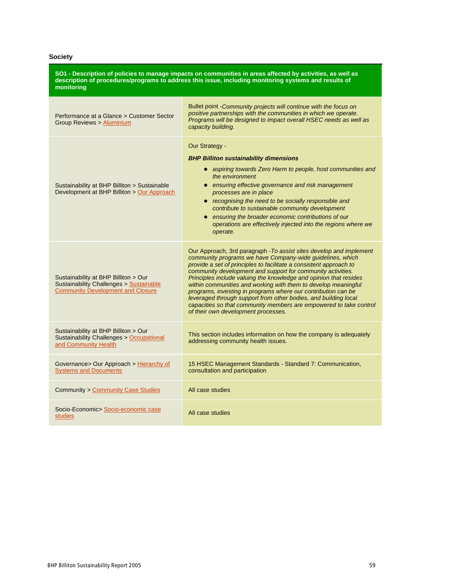### **Society**

| SO1 - Description of policies to manage impacts on communities in areas affected by activities, as well as<br>description of procedures/programs to address this issue, including monitoring systems and results of<br>monitoring |                                                                                                                                                                                                                                                                                                                                                                                                                                                                                                                                                                                                                                                               |
|-----------------------------------------------------------------------------------------------------------------------------------------------------------------------------------------------------------------------------------|---------------------------------------------------------------------------------------------------------------------------------------------------------------------------------------------------------------------------------------------------------------------------------------------------------------------------------------------------------------------------------------------------------------------------------------------------------------------------------------------------------------------------------------------------------------------------------------------------------------------------------------------------------------|
| Performance at a Glance > Customer Sector<br>Group Reviews > Aluminium                                                                                                                                                            | Bullet point - Community projects will continue with the focus on<br>positive partnerships with the communities in which we operate.<br>Programs will be designed to impact overall HSEC needs as well as<br>capacity building.                                                                                                                                                                                                                                                                                                                                                                                                                               |
| Sustainability at BHP Billiton > Sustainable<br>Development at BHP Billiton > Our Approach                                                                                                                                        | Our Strategy -<br><b>BHP Billiton sustainability dimensions</b><br>• aspiring towards Zero Harm to people, host communities and<br>the environment<br>• ensuring effective governance and risk management<br>processes are in place<br>• recognising the need to be socially responsible and<br>contribute to sustainable community development<br>• ensuring the broader economic contributions of our<br>operations are effectively injected into the regions where we<br>operate.                                                                                                                                                                          |
| Sustainability at BHP Billiton > Our<br><b>Sustainability Challenges &gt; Sustainable</b><br><b>Community Development and Closure</b>                                                                                             | Our Approach, 3rd paragraph - To assist sites develop and implement<br>community programs we have Company-wide guidelines, which<br>provide a set of principles to facilitate a consistent approach to<br>community development and support for community activities.<br>Principles include valuing the knowledge and opinion that resides<br>within communities and working with them to develop meaningful<br>programs, investing in programs where our contribution can be<br>leveraged through support from other bodies, and building local<br>capacities so that community members are empowered to take control<br>of their own development processes. |
| Sustainability at BHP Billiton > Our<br><b>Sustainability Challenges &gt; Occupational</b><br>and Community Health                                                                                                                | This section includes information on how the company is adequately<br>addressing community health issues.                                                                                                                                                                                                                                                                                                                                                                                                                                                                                                                                                     |
| Governance> Our Approach > Hierarchy of<br><b>Systems and Documents</b>                                                                                                                                                           | 15 HSEC Management Standards - Standard 7: Communication,<br>consultation and participation                                                                                                                                                                                                                                                                                                                                                                                                                                                                                                                                                                   |
| <b>Community &gt; Community Case Studies</b>                                                                                                                                                                                      | All case studies                                                                                                                                                                                                                                                                                                                                                                                                                                                                                                                                                                                                                                              |
| Socio-Economic> Socio-economic case<br><b>studies</b>                                                                                                                                                                             | All case studies                                                                                                                                                                                                                                                                                                                                                                                                                                                                                                                                                                                                                                              |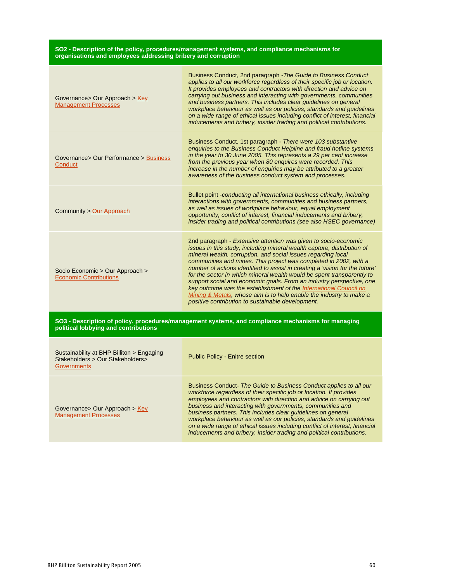#### **SO2 - Description of the policy, procedures/management systems, and compliance mechanisms for organisations and employees addressing bribery and corruption**

| Governance> Our Approach > Key<br><b>Management Processes</b>                                                                              | Business Conduct, 2nd paragraph - The Guide to Business Conduct<br>applies to all our workforce regardless of their specific job or location.<br>It provides employees and contractors with direction and advice on<br>carrying out business and interacting with governments, communities<br>and business partners. This includes clear guidelines on general<br>workplace behaviour as well as our policies, standards and guidelines<br>on a wide range of ethical issues including conflict of interest, financial<br>inducements and bribery, insider trading and political contributions.                                                                                                                     |
|--------------------------------------------------------------------------------------------------------------------------------------------|---------------------------------------------------------------------------------------------------------------------------------------------------------------------------------------------------------------------------------------------------------------------------------------------------------------------------------------------------------------------------------------------------------------------------------------------------------------------------------------------------------------------------------------------------------------------------------------------------------------------------------------------------------------------------------------------------------------------|
| Governance> Our Performance > Business<br>Conduct                                                                                          | Business Conduct, 1st paragraph - There were 103 substantive<br>enquiries to the Business Conduct Helpline and fraud hotline systems<br>in the year to 30 June 2005. This represents a 29 per cent increase<br>from the previous year when 80 enquires were recorded. This<br>increase in the number of enquiries may be attributed to a greater<br>awareness of the business conduct system and processes.                                                                                                                                                                                                                                                                                                         |
| Community > Our Approach                                                                                                                   | Bullet point -conducting all international business ethically, including<br>interactions with governments, communities and business partners,<br>as well as issues of workplace behaviour, equal employment<br>opportunity, conflict of interest, financial inducements and bribery,<br>insider trading and political contributions (see also HSEC governance)                                                                                                                                                                                                                                                                                                                                                      |
| Socio Economic > Our Approach ><br><b>Economic Contributions</b>                                                                           | 2nd paragraph - Extensive attention was given to socio-economic<br>issues in this study, including mineral wealth capture, distribution of<br>mineral wealth, corruption, and social issues regarding local<br>communities and mines. This project was completed in 2002, with a<br>number of actions identified to assist in creating a 'vision for the future'<br>for the sector in which mineral wealth would be spent transparently to<br>support social and economic goals. From an industry perspective, one<br>key outcome was the establishment of the International Council on<br>Mining & Metals, whose aim is to help enable the industry to make a<br>positive contribution to sustainable development. |
| SO3 - Description of policy, procedures/management systems, and compliance mechanisms for managing<br>political lobbying and contributions |                                                                                                                                                                                                                                                                                                                                                                                                                                                                                                                                                                                                                                                                                                                     |
| Sustainability at BHP Billiton > Engaging<br>Stakeholders > Our Stakeholders><br>Governments                                               | <b>Public Policy - Enitre section</b>                                                                                                                                                                                                                                                                                                                                                                                                                                                                                                                                                                                                                                                                               |
|                                                                                                                                            | Pupinese Canduat, The Cuide to Pupinese Canduate applicate all our                                                                                                                                                                                                                                                                                                                                                                                                                                                                                                                                                                                                                                                  |

Governance> Our Approach > Key Management Processes

usiness Conduct- *The Guide to Business Conduct applies to all our* workforce regardless of their specific job or location. It provides employees and contractors with direction and advice on carrying out business and interacting with governments, communities and business partners. This includes clear guidelines on general workplace behaviour as well as our policies, standards and guidelines on a wide range of ethical issues including conflict of interest, financial inducements and bribery, insider trading and political contributions.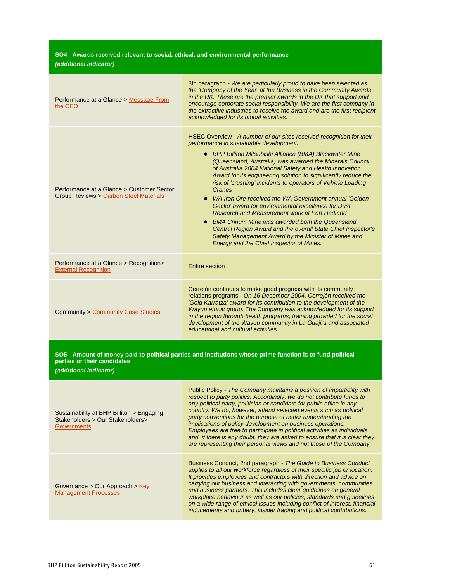### **SO4 - Awards received relevant to social, ethical, and environmental performance (additional indicator)**

| Performance at a Glance > Message From<br>the CEO                                   | 8th paragraph - We are particularly proud to have been selected as<br>the 'Company of the Year' at the Business in the Community Awards<br>in the UK. These are the premier awards in the UK that support and<br>encourage corporate social responsibility. We are the first company in<br>the extractive industries to receive the award and are the first recipient<br>acknowledged for its global activities.                                                                                                                                                                                                                                                                                                                                                                                                                          |
|-------------------------------------------------------------------------------------|-------------------------------------------------------------------------------------------------------------------------------------------------------------------------------------------------------------------------------------------------------------------------------------------------------------------------------------------------------------------------------------------------------------------------------------------------------------------------------------------------------------------------------------------------------------------------------------------------------------------------------------------------------------------------------------------------------------------------------------------------------------------------------------------------------------------------------------------|
| Performance at a Glance > Customer Sector<br>Group Reviews > Carbon Steel Materials | HSEC Overview - A number of our sites received recognition for their<br>performance in sustainable development:<br>• BHP Billiton Mitsubishi Alliance (BMA) Blackwater Mine<br>(Queensland, Australia) was awarded the Minerals Council<br>of Australia 2004 National Safety and Health Innovation<br>Award for its engineering solution to significantly reduce the<br>risk of 'crushing' incidents to operators of Vehicle Loading<br>Cranes<br>• WA Iron Ore received the WA Government annual 'Golden<br>Gecko' award for environmental excellence for Dust<br>Research and Measurement work at Port Hedland<br>• BMA Crinum Mine was awarded both the Queensland<br>Central Region Award and the overall State Chief Inspector's<br>Safety Management Award by the Minister of Mines and<br>Energy and the Chief Inspector of Mines. |
| Performance at a Glance > Recognition><br><b>External Recognition</b>               | Entire section                                                                                                                                                                                                                                                                                                                                                                                                                                                                                                                                                                                                                                                                                                                                                                                                                            |
| <b>Community &gt; Community Case Studies</b>                                        | Cerrejón continues to make good progress with its community<br>relations programs - On 16 December 2004, Cerrejón received the<br>'Gold Karratza' award for its contribution to the development of the<br>Wayuu ethnic group. The Company was acknowledged for its support<br>in the region through health programs, training provided for the social<br>development of the Wayuu community in La Guajira and associated<br>educational and cultural activities.                                                                                                                                                                                                                                                                                                                                                                          |

SO5 - Amount of money paid to political parties and institutions whose prime function is to fund political **parties or their candidates**

| Sustainability at BHP Billiton > Engaging<br>Stakeholders > Our Stakeholders><br><b>Governments</b> | Public Policy - The Company maintains a position of impartiality with<br>respect to party politics. Accordingly, we do not contribute funds to<br>any political party, politician or candidate for public office in any<br>country. We do, however, attend selected events such as political<br>party conventions for the purpose of better understanding the<br><i>implications of policy development on business operations.</i><br>Employees are free to participate in political activities as individuals<br>and, if there is any doubt, they are asked to ensure that it is clear they<br>are representing their personal views and not those of the Company. |
|-----------------------------------------------------------------------------------------------------|---------------------------------------------------------------------------------------------------------------------------------------------------------------------------------------------------------------------------------------------------------------------------------------------------------------------------------------------------------------------------------------------------------------------------------------------------------------------------------------------------------------------------------------------------------------------------------------------------------------------------------------------------------------------|
| Governance $>$ Our Approach $>$ Key<br><b>Management Processes</b>                                  | Business Conduct, 2nd paragraph - The Guide to Business Conduct<br>applies to all our workforce regardless of their specific job or location.<br>It provides employees and contractors with direction and advice on<br>carrying out business and interacting with governments, communities<br>and business partners. This includes clear quidelines on general<br>workplace behaviour as well as our policies, standards and guidelines<br>on a wide range of ethical issues including conflict of interest, financial<br>inducements and bribery, insider trading and political contributions.                                                                     |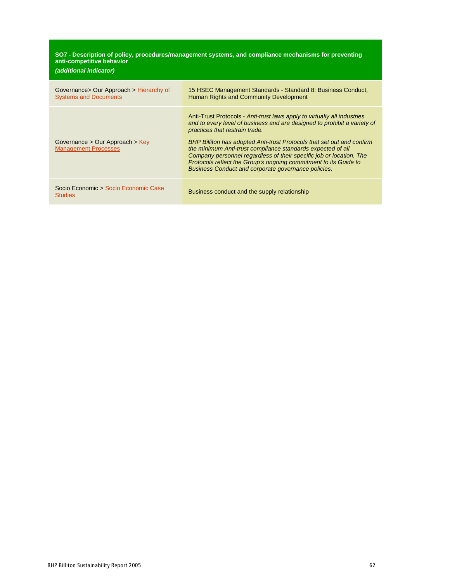#### **SO7 - Description of policy, procedures/management systems, and compliance mechanisms for preventing anti-competitive behavior**

| (additional indicator)                                                   |                                                                                                                                                                                                                                                                                                                                                                                                                                                                                                                                          |
|--------------------------------------------------------------------------|------------------------------------------------------------------------------------------------------------------------------------------------------------------------------------------------------------------------------------------------------------------------------------------------------------------------------------------------------------------------------------------------------------------------------------------------------------------------------------------------------------------------------------------|
| Governance > Our Approach > Hierarchy of<br><b>Systems and Documents</b> | 15 HSEC Management Standards - Standard 8: Business Conduct,<br>Human Rights and Community Development                                                                                                                                                                                                                                                                                                                                                                                                                                   |
| Governance $>$ Our Approach $>$ Key<br><b>Management Processes</b>       | Anti-Trust Protocols - Anti-trust laws apply to virtually all industries<br>and to every level of business and are designed to prohibit a variety of<br>practices that restrain trade.<br>BHP Billiton has adopted Anti-trust Protocols that set out and confirm<br>the minimum Anti-trust compliance standards expected of all<br>Company personnel regardless of their specific job or location. The<br>Protocols reflect the Group's ongoing commitment to its Guide to<br><b>Business Conduct and corporate governance policies.</b> |
| Socio Economic > Socio Economic Case<br><b>Studies</b>                   | Business conduct and the supply relationship                                                                                                                                                                                                                                                                                                                                                                                                                                                                                             |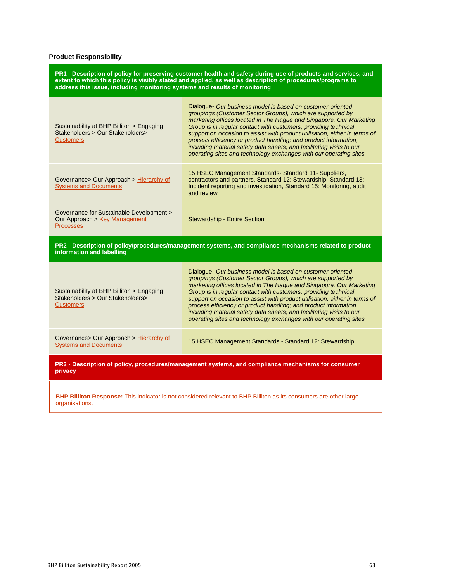### **Product Responsibility**

| PR1 - Description of policy for preserving customer health and safety during use of products and services, and<br>extent to which this policy is visibly stated and applied, as well as description of procedures/programs to<br>address this issue, including monitoring systems and results of monitoring |                                                                                                                                                                                                                                                                                                                                                                                                                                                                                                                                                                     |  |
|-------------------------------------------------------------------------------------------------------------------------------------------------------------------------------------------------------------------------------------------------------------------------------------------------------------|---------------------------------------------------------------------------------------------------------------------------------------------------------------------------------------------------------------------------------------------------------------------------------------------------------------------------------------------------------------------------------------------------------------------------------------------------------------------------------------------------------------------------------------------------------------------|--|
| Sustainability at BHP Billiton > Engaging<br>Stakeholders > Our Stakeholders><br><b>Customers</b>                                                                                                                                                                                                           | Dialogue- Our business model is based on customer-oriented<br>groupings (Customer Sector Groups), which are supported by<br>marketing offices located in The Hague and Singapore. Our Marketing<br>Group is in regular contact with customers, providing technical<br>support on occasion to assist with product utilisation, either in terms of<br>process efficiency or product handling; and product information,<br>including material safety data sheets; and facilitating visits to our<br>operating sites and technology exchanges with our operating sites. |  |
| Governance> Our Approach > Hierarchy of<br><b>Systems and Documents</b>                                                                                                                                                                                                                                     | 15 HSEC Management Standards-Standard 11-Suppliers,<br>contractors and partners, Standard 12: Stewardship, Standard 13:<br>Incident reporting and investigation, Standard 15: Monitoring, audit<br>and review                                                                                                                                                                                                                                                                                                                                                       |  |
| Governance for Sustainable Development ><br>Our Approach > Key Management<br><b>Processes</b>                                                                                                                                                                                                               | <b>Stewardship - Entire Section</b>                                                                                                                                                                                                                                                                                                                                                                                                                                                                                                                                 |  |
| PR2 - Description of policy/procedures/management systems, and compliance mechanisms related to product<br>information and labelling                                                                                                                                                                        |                                                                                                                                                                                                                                                                                                                                                                                                                                                                                                                                                                     |  |
| Sustainability at BHP Billiton > Engaging<br>Stakeholders > Our Stakeholders><br><b>Customers</b>                                                                                                                                                                                                           | Dialogue- Our business model is based on customer-oriented<br>groupings (Customer Sector Groups), which are supported by<br>marketing offices located in The Hague and Singapore. Our Marketing<br>Group is in regular contact with customers, providing technical<br>support on occasion to assist with product utilisation, either in terms of<br>process efficiency or product handling; and product information,<br>including material safety data sheets; and facilitating visits to our<br>operating sites and technology exchanges with our operating sites. |  |
| Governance> Our Approach > Hierarchy of<br><b>Systems and Documents</b>                                                                                                                                                                                                                                     | 15 HSEC Management Standards - Standard 12: Stewardship                                                                                                                                                                                                                                                                                                                                                                                                                                                                                                             |  |
| PR3 - Description of policy, procedures/management systems, and compliance mechanisms for consumer<br>privacy                                                                                                                                                                                               |                                                                                                                                                                                                                                                                                                                                                                                                                                                                                                                                                                     |  |

**BHP Billiton Response:** This indicator is not considered relevant to BHP Billiton as its consumers are other large organisations.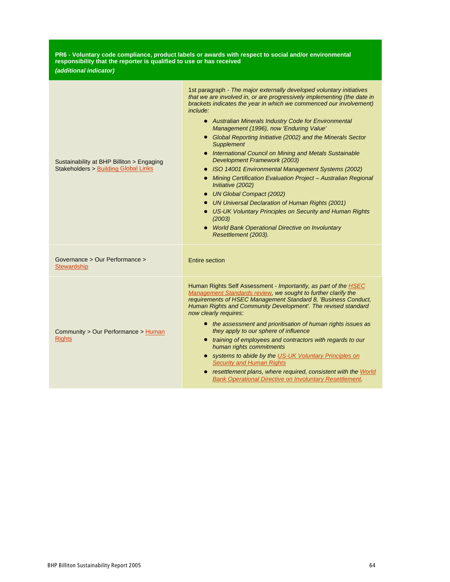| PR6 - Voluntary code compliance, product labels or awards with respect to social and/or environmental<br>responsibility that the reporter is qualified to use or has received<br>(additional indicator) |                                                                                                                                                                                                                                                                                                                                                                                                                                                                                                                                                                                                                                                                                                                                                                                                                                                                                                                   |
|---------------------------------------------------------------------------------------------------------------------------------------------------------------------------------------------------------|-------------------------------------------------------------------------------------------------------------------------------------------------------------------------------------------------------------------------------------------------------------------------------------------------------------------------------------------------------------------------------------------------------------------------------------------------------------------------------------------------------------------------------------------------------------------------------------------------------------------------------------------------------------------------------------------------------------------------------------------------------------------------------------------------------------------------------------------------------------------------------------------------------------------|
| Sustainability at BHP Billiton > Engaging<br><b>Stakeholders &gt; Building Global Links</b>                                                                                                             | 1st paragraph - The major externally developed voluntary initiatives<br>that we are involved in, or are progressively implementing (the date in<br>brackets indicates the year in which we commenced our involvement)<br>include:<br>• Australian Minerals Industry Code for Environmental<br>Management (1996), now 'Enduring Value'<br>• Global Reporting Initiative (2002) and the Minerals Sector<br><b>Supplement</b><br>• International Council on Mining and Metals Sustainable<br>Development Framework (2003)<br>• ISO 14001 Environmental Management Systems (2002)<br>• Mining Certification Evaluation Project - Australian Regional<br>Initiative (2002)<br>• UN Global Compact (2002)<br>• UN Universal Declaration of Human Rights (2001)<br>• US-UK Voluntary Principles on Security and Human Rights<br>(2003)<br><b>World Bank Operational Directive on Involuntary</b><br>Resettlement (2003). |
| Governance > Our Performance ><br><b>Stewardship</b>                                                                                                                                                    | Entire section                                                                                                                                                                                                                                                                                                                                                                                                                                                                                                                                                                                                                                                                                                                                                                                                                                                                                                    |
| Community > Our Performance > Human<br><b>Rights</b>                                                                                                                                                    | Human Rights Self Assessment - Importantly, as part of the <b>HSEC</b><br>Management Standards review, we sought to further clarify the<br>requirements of HSEC Management Standard 8, 'Business Conduct,<br>Human Rights and Community Development'. The revised standard<br>now clearly requires:<br>• the assessment and prioritisation of human rights issues as<br>they apply to our sphere of influence<br>• training of employees and contractors with regards to our<br>human rights commitments<br>• systems to abide by the US-UK Voluntary Principles on<br><b>Security and Human Rights</b><br>• resettlement plans, where required, consistent with the World<br><b>Bank Operational Directive on Involuntary Resettlement.</b>                                                                                                                                                                      |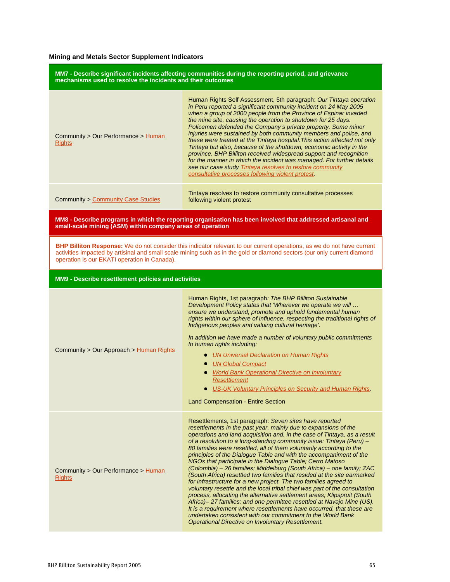### **Mining and Metals Sector Supplement Indicators**

| MM7 - Describe significant incidents affecting communities during the reporting period, and grievance<br>mechanisms used to resolve the incidents and their outcomes                                                                                                                               |                                                                                                                                                                                                                                                                                                                                                                                                                                                                                                                                                                                                                                                                                                                                                                                                                                                                                                                                                                                                                                                                                                                                                    |  |
|----------------------------------------------------------------------------------------------------------------------------------------------------------------------------------------------------------------------------------------------------------------------------------------------------|----------------------------------------------------------------------------------------------------------------------------------------------------------------------------------------------------------------------------------------------------------------------------------------------------------------------------------------------------------------------------------------------------------------------------------------------------------------------------------------------------------------------------------------------------------------------------------------------------------------------------------------------------------------------------------------------------------------------------------------------------------------------------------------------------------------------------------------------------------------------------------------------------------------------------------------------------------------------------------------------------------------------------------------------------------------------------------------------------------------------------------------------------|--|
| Community > Our Performance > Human<br><b>Rights</b>                                                                                                                                                                                                                                               | Human Rights Self Assessment, 5th paragraph: Our Tintaya operation<br>in Peru reported a significant community incident on 24 May 2005<br>when a group of 2000 people from the Province of Espinar invaded<br>the mine site, causing the operation to shutdown for 25 days.<br>Policemen defended the Company's private property. Some minor<br>injuries were sustained by both community members and police, and<br>these were treated at the Tintaya hospital. This action affected not only<br>Tintaya but also, because of the shutdown, economic activity in the<br>province. BHP Billiton received widespread support and recognition<br>for the manner in which the incident was managed. For further details<br>see our case study Tintaya resolves to restore community<br>consultative processes following violent protest.                                                                                                                                                                                                                                                                                                              |  |
| <b>Community &gt; Community Case Studies</b>                                                                                                                                                                                                                                                       | Tintaya resolves to restore community consultative processes<br>following violent protest                                                                                                                                                                                                                                                                                                                                                                                                                                                                                                                                                                                                                                                                                                                                                                                                                                                                                                                                                                                                                                                          |  |
| MM8 - Describe programs in which the reporting organisation has been involved that addressed artisanal and<br>small-scale mining (ASM) within company areas of operation                                                                                                                           |                                                                                                                                                                                                                                                                                                                                                                                                                                                                                                                                                                                                                                                                                                                                                                                                                                                                                                                                                                                                                                                                                                                                                    |  |
| BHP Billiton Response: We do not consider this indicator relevant to our current operations, as we do not have current<br>activities impacted by artisinal and small scale mining such as in the gold or diamond sectors (our only current diamond<br>operation is our EKATI operation in Canada). |                                                                                                                                                                                                                                                                                                                                                                                                                                                                                                                                                                                                                                                                                                                                                                                                                                                                                                                                                                                                                                                                                                                                                    |  |
| MM9 - Describe resettlement policies and activities                                                                                                                                                                                                                                                |                                                                                                                                                                                                                                                                                                                                                                                                                                                                                                                                                                                                                                                                                                                                                                                                                                                                                                                                                                                                                                                                                                                                                    |  |
| Community > Our Approach > Human Rights                                                                                                                                                                                                                                                            | Human Rights, 1st paragraph: The BHP Billiton Sustainable<br>Development Policy states that 'Wherever we operate we will<br>ensure we understand, promote and uphold fundamental human<br>rights within our sphere of influence, respecting the traditional rights of<br>Indigenous peoples and valuing cultural heritage'.<br>In addition we have made a number of voluntary public commitments<br>to human rights including:<br><b>.</b> UN Universal Declaration on Human Rights<br>• UN Global Compact<br>• World Bank Operational Directive on Involuntary<br><b>Resettlement</b><br>• US-UK Voluntary Principles on Security and Human Rights.<br><b>Land Compensation - Entire Section</b>                                                                                                                                                                                                                                                                                                                                                                                                                                                  |  |
| Community > Our Performance > Human<br><b>Rights</b>                                                                                                                                                                                                                                               | Resettlements, 1st paragraph: Seven sites have reported<br>resettlements in the past year, mainly due to expansions of the<br>operations and land acquisition and, in the case of Tintaya, as a result<br>of a resolution to a long-standing community issue: Tintaya (Peru) -<br>80 families were resettled, all of them voluntarily according to the<br>principles of the Dialogue Table and with the accompaniment of the<br>NGOs that participate in the Dialogue Table; Cerro Matoso<br>(Colombia) - 26 families; Middelburg (South Africa) - one family; ZAC<br>(South Africa) resettled two families that resided at the site earmarked<br>for infrastructure for a new project. The two families agreed to<br>voluntary resettle and the local tribal chief was part of the consultation<br>process, allocating the alternative settlement areas; Klipspruit (South<br>Africa)-27 families; and one permittee resettled at Navajo Mine (US).<br>It is a requirement where resettlements have occurred, that these are<br>undertaken consistent with our commitment to the World Bank<br>Operational Directive on Involuntary Resettlement. |  |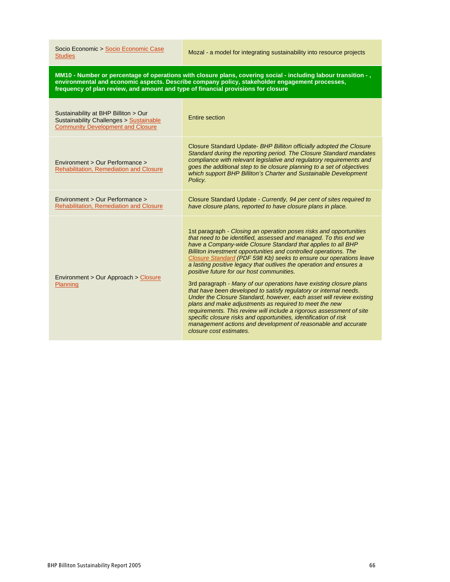Socio Economic > Socio Economic Case<br>Studies

Mozal - a model for integrating sustainability into resource projects

MM10 - Number or percentage of operations with closure plans, covering social - including labour transition - , **environmental and economic aspects. Describe company policy, stakeholder engagement processes, frequency of plan review, and amount and type of financial provisions for closure**

| Sustainability at BHP Billiton > Our<br>Sustainability Challenges > Sustainable<br><b>Community Development and Closure</b> | Entire section                                                                                                                                                                                                                                                                                                                                                                                                                                                                                                                                                                                                                                                                                                                                                                                                                                                                                                                                                                            |
|-----------------------------------------------------------------------------------------------------------------------------|-------------------------------------------------------------------------------------------------------------------------------------------------------------------------------------------------------------------------------------------------------------------------------------------------------------------------------------------------------------------------------------------------------------------------------------------------------------------------------------------------------------------------------------------------------------------------------------------------------------------------------------------------------------------------------------------------------------------------------------------------------------------------------------------------------------------------------------------------------------------------------------------------------------------------------------------------------------------------------------------|
| Environment > Our Performance ><br><b>Rehabilitation, Remediation and Closure</b>                                           | Closure Standard Update- BHP Billiton officially adopted the Closure<br>Standard during the reporting period. The Closure Standard mandates<br>compliance with relevant legislative and regulatory requirements and<br>goes the additional step to tie closure planning to a set of objectives<br>which support BHP Billiton's Charter and Sustainable Development<br>Policy.                                                                                                                                                                                                                                                                                                                                                                                                                                                                                                                                                                                                             |
| Environment > Our Performance ><br><b>Rehabilitation. Remediation and Closure</b>                                           | Closure Standard Update - Currently, 94 per cent of sites required to<br>have closure plans, reported to have closure plans in place.                                                                                                                                                                                                                                                                                                                                                                                                                                                                                                                                                                                                                                                                                                                                                                                                                                                     |
| Environment > Our Approach > Closure<br>Planning                                                                            | 1st paragraph - Closing an operation poses risks and opportunities<br>that need to be identified, assessed and managed. To this end we<br>have a Company-wide Closure Standard that applies to all BHP<br>Billiton investment opportunities and controlled operations. The<br>Closure Standard (PDF 598 Kb) seeks to ensure our operations leave<br>a lasting positive legacy that outlives the operation and ensures a<br>positive future for our host communities.<br>3rd paragraph - Many of our operations have existing closure plans<br>that have been developed to satisfy regulatory or internal needs.<br>Under the Closure Standard, however, each asset will review existing<br>plans and make adjustments as required to meet the new<br>requirements. This review will include a rigorous assessment of site<br>specific closure risks and opportunities, identification of risk<br>management actions and development of reasonable and accurate<br>closure cost estimates. |